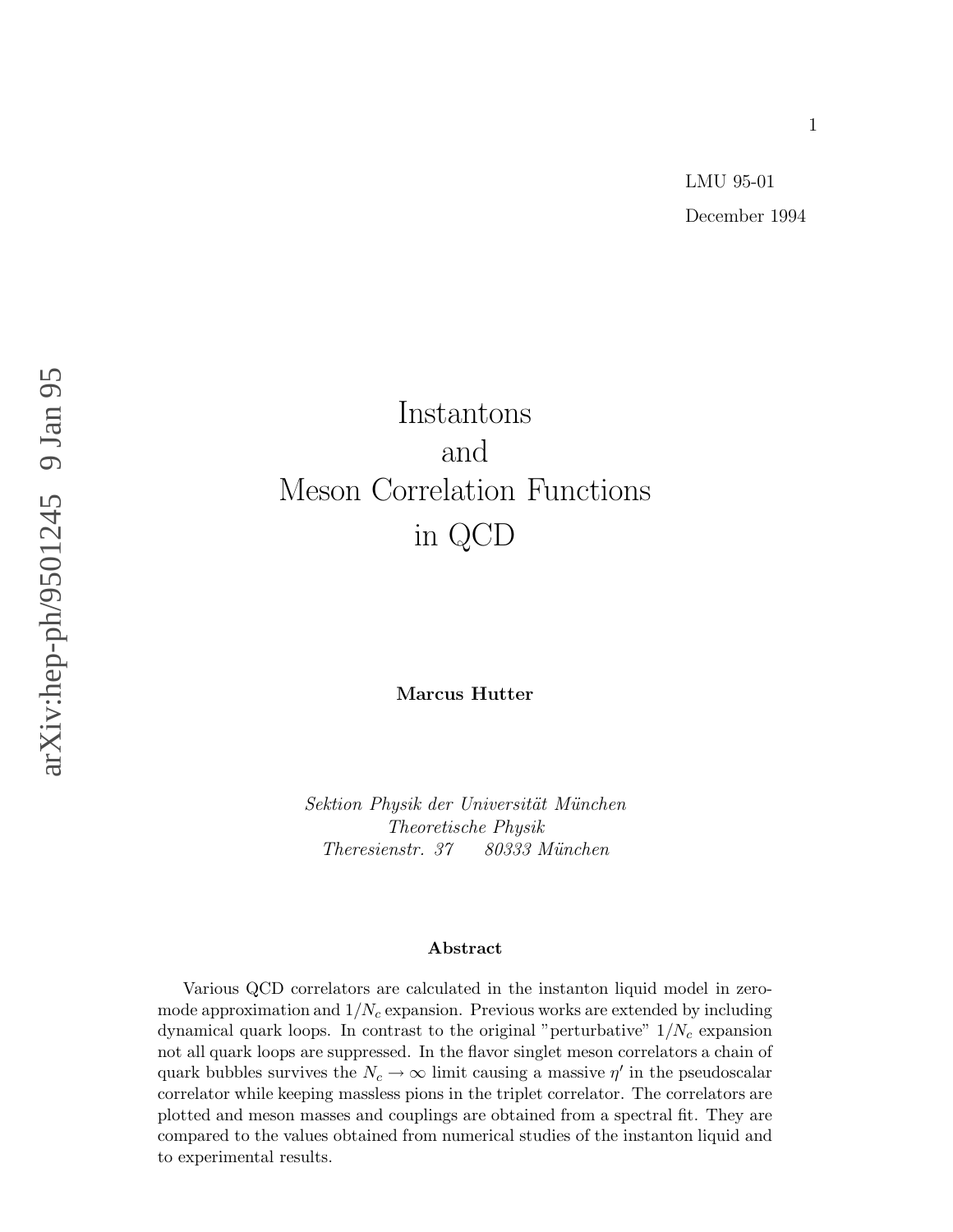# Instantons and Meson Correlation Functions in QCD

**Marcus Hutter**

Sektion Physik der Universität München Theoretische Physik Theresienstr. 37 80333 München

## **Abstract**

Various QCD correlators are calculated in the instanton liquid model in zeromode approximation and  $1/N_c$  expansion. Previous works are extended by including dynamical quark loops. In contrast to the original "perturbative"  $1/N_c$  expansion not all quark loops are suppressed. In the flavor singlet meson correlators a chain of quark bubbles survives the  $N_c \to \infty$  limit causing a massive  $\eta'$  in the pseudoscalar correlator while keeping massless pions in the triplet correlator. The correlators are plotted and meson masses and couplings are obtained from a spectral fit. They are compared to the values obtained from numerical studies of the instanton liquid and to experimental results.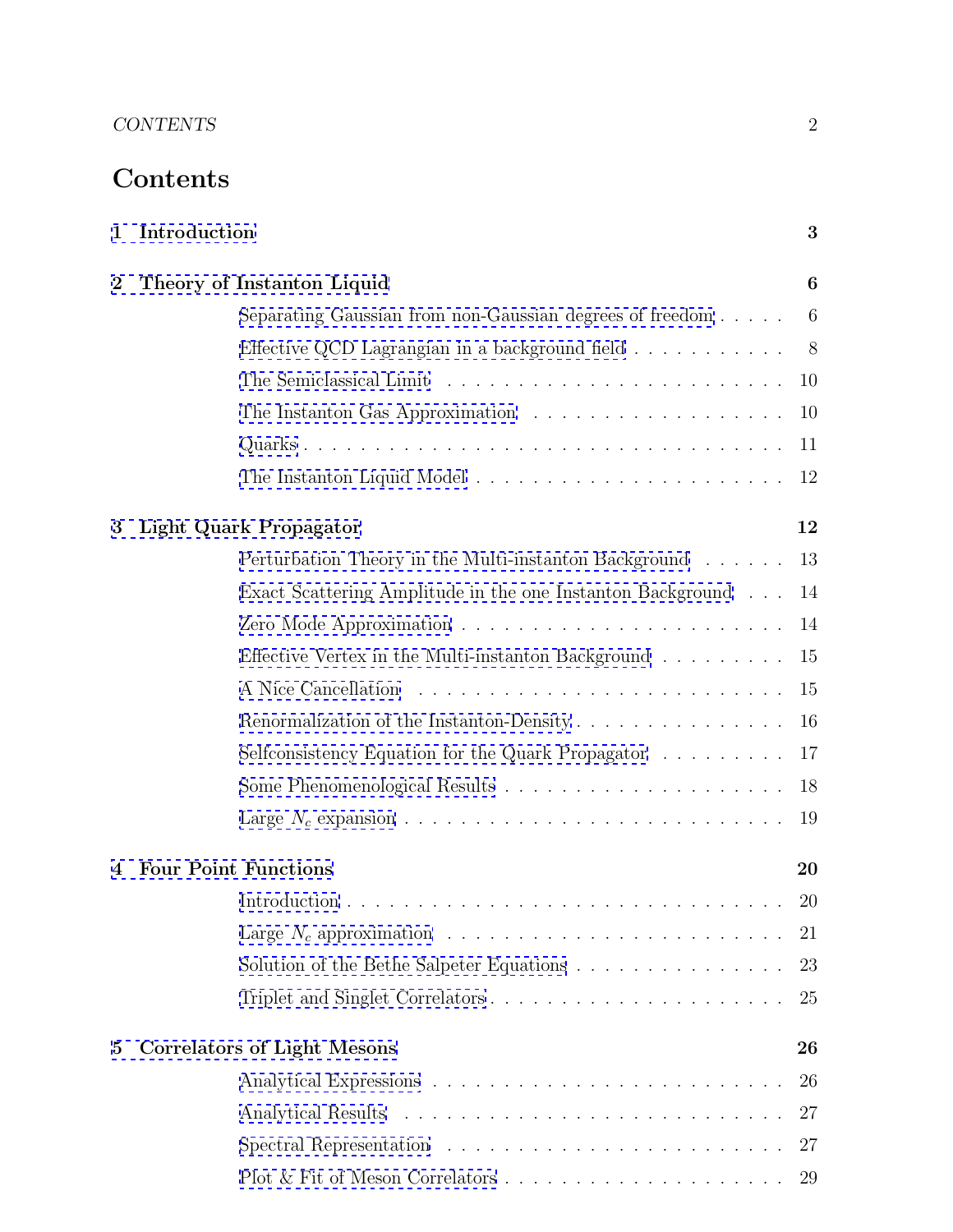# **Contents**

| 1              | Introduction                                                                  | 3              |
|----------------|-------------------------------------------------------------------------------|----------------|
| $\overline{2}$ | Theory of Instanton Liquid                                                    | 6              |
|                | Separating Gaussian from non-Gaussian degrees of freedom                      | 6              |
|                | Effective QCD Lagrangian in a background field                                | 8 <sup>8</sup> |
|                |                                                                               | 10             |
|                |                                                                               | 10             |
|                |                                                                               | 11             |
|                | The Instanton Liquid Model $\ldots \ldots \ldots \ldots \ldots \ldots \ldots$ | 12             |
| 3              | <b>Light Quark Propagator</b>                                                 | 12             |
|                | Perturbation Theory in the Multi-instanton Background                         | 13             |
|                | Exact Scattering Amplitude in the one Instanton Background                    | 14             |
|                |                                                                               | 14             |
|                | Effective Vertex in the Multi-instanton Background $\ldots \ldots \ldots$     | 15             |
|                |                                                                               | 15             |
|                | Renormalization of the Instanton-Density                                      | 16             |
|                | Selfconsistency Equation for the Quark Propagator                             | 17             |
|                |                                                                               | 18             |
|                |                                                                               | 19             |
| 4              | <b>Four Point Functions</b>                                                   | 20             |
|                |                                                                               | 20             |
|                |                                                                               | 21             |
|                | Solution of the Bethe Salpeter Equations $\ldots \ldots \ldots \ldots \ldots$ | 23             |
|                |                                                                               | 25             |
| 5              | <b>Correlators of Light Mesons</b>                                            | 26             |
|                |                                                                               | 26             |
|                |                                                                               | 27             |
|                | Spectral Representation $\ldots \ldots \ldots \ldots \ldots \ldots \ldots$    | 27             |
|                |                                                                               |                |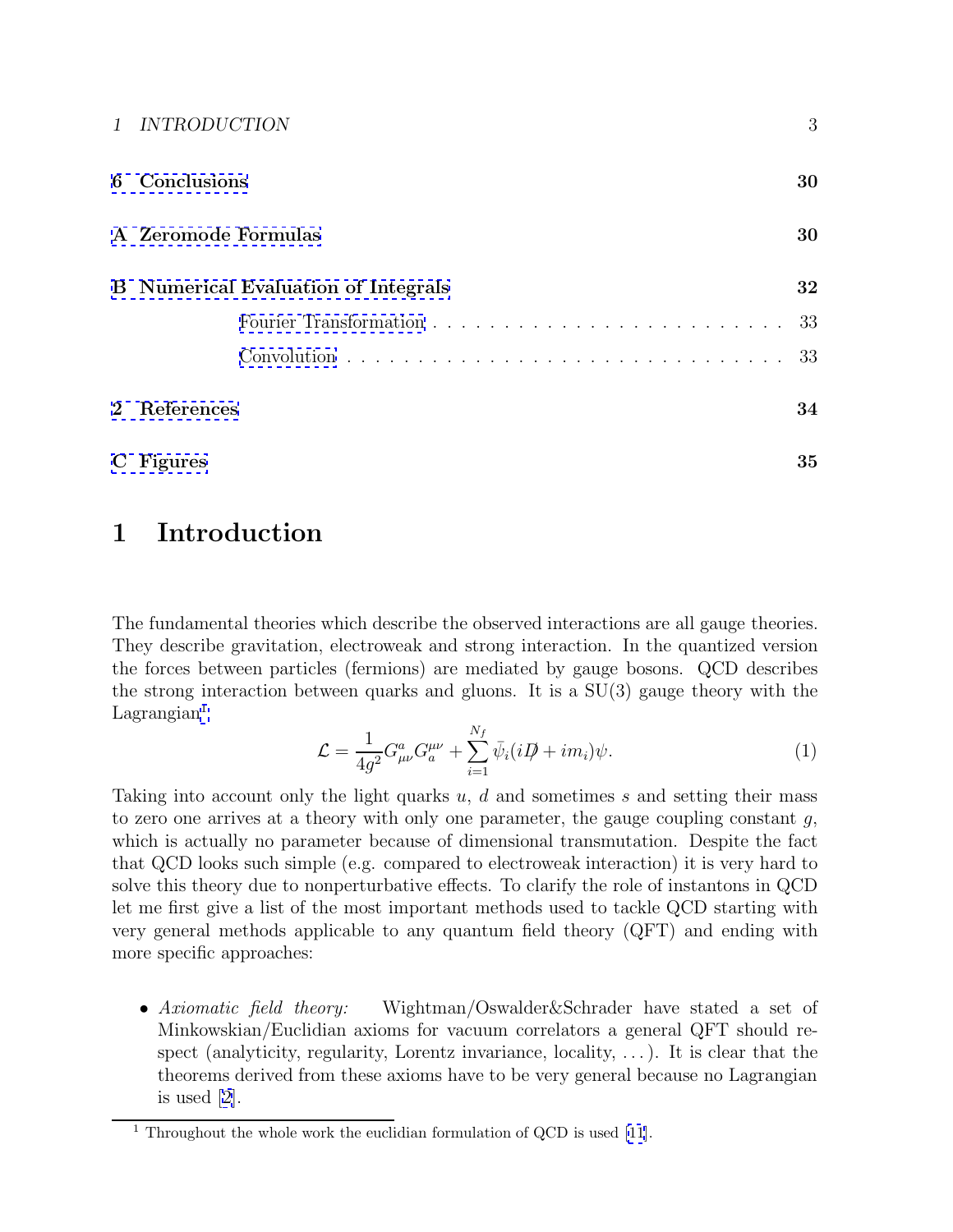<span id="page-2-0"></span>

| 1 INTRODUCTION                             | 3  |
|--------------------------------------------|----|
| 6 Conclusions                              | 30 |
| A Zeromode Formulas                        | 30 |
| <b>B</b> Numerical Evaluation of Integrals | 32 |
|                                            |    |
|                                            | 33 |
| 2 References                               | 34 |
| C Figures                                  | 35 |

## **1 Introduction**

The fundamental theories which describe the observed interactions are all gauge theories. They describe gravitation, electroweak and strong interaction. In the quantized version the forces between particles (fermions) are mediated by gauge bosons. QCD describes the strong interaction between quarks and gluons. It is a SU(3) gauge theory with the  $Lagrangian<sup>1</sup>$ 

$$
\mathcal{L} = \frac{1}{4g^2} G^a_{\mu\nu} G^{\mu\nu}_a + \sum_{i=1}^{N_f} \bar{\psi}_i (i\mathcal{D} + im_i)\psi.
$$
 (1)

Taking into account only the light quarks  $u, d$  and sometimes  $s$  and setting their mass to zero one arrives at a theory with only one parameter, the gauge coupling constant  $g$ , which is actually no parameter because of dimensional transmutation. Despite the fact that QCD looks such simple (e.g. compared to electroweak interaction) it is very hard to solve this theory due to nonperturbative effects. To clarify the role of instantons in QCD let me first give a list of the most important methods used to tackle QCD starting with very general methods applicable to any quantum field theory (QFT) and ending with more specific approaches:

• Axiomatic field theory: Wightman/Oswalder&Schrader have stated a set of Minkowskian/Euclidian axioms for vacuum correlators a general QFT should respect (analyticity, regularity, Lorentz invariance, locality,  $\dots$ ). It is clear that the theorems derived from these axioms have to be very general because no Lagrangian is used [[2\]](#page-33-0).

<sup>&</sup>lt;sup>1</sup> Throughout the whole work the euclidian formulation of QCD is used [\[11](#page-33-0)].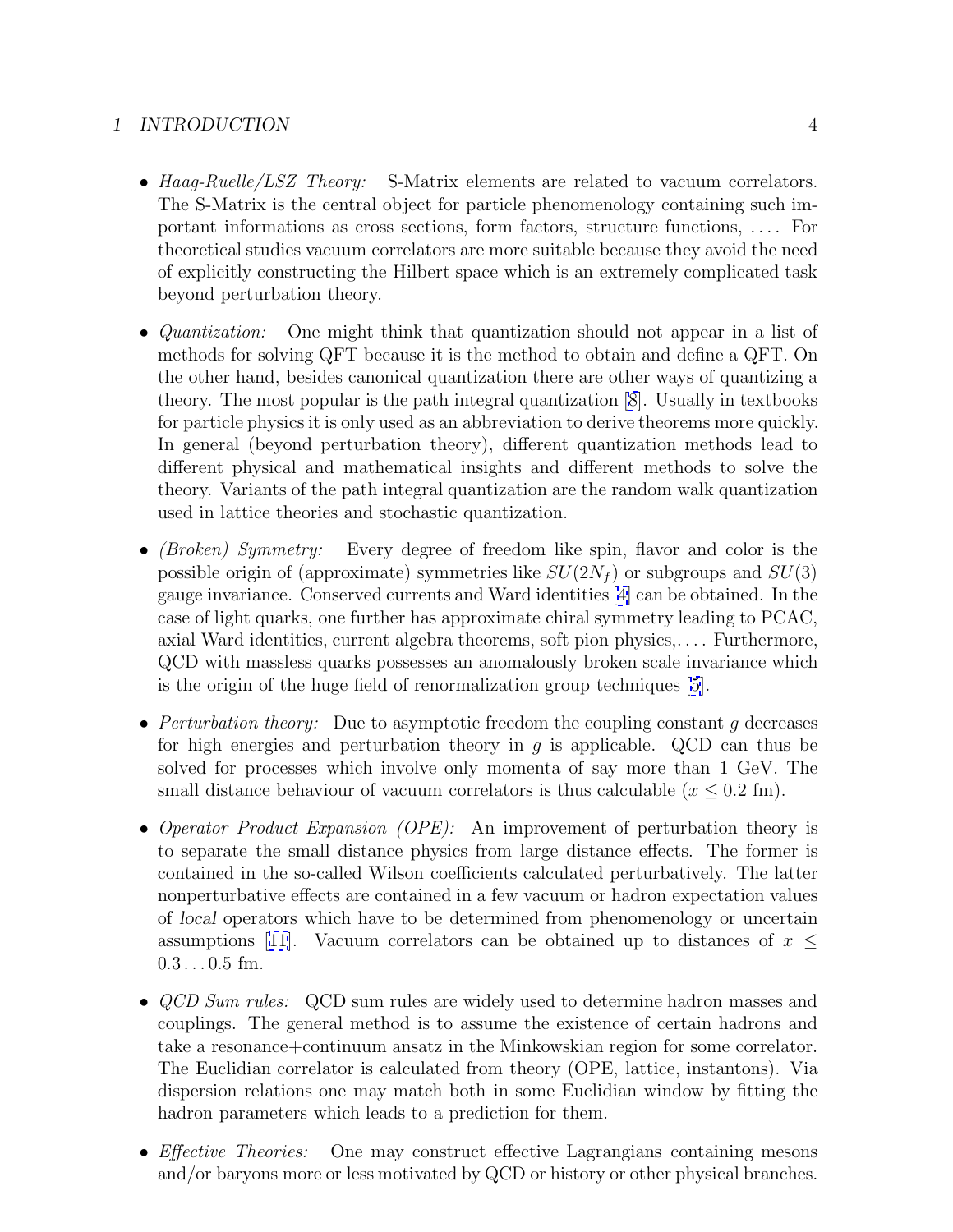## *1 INTRODUCTION* 4

- Haag-Ruelle/LSZ Theory: S-Matrix elements are related to vacuum correlators. The S-Matrix is the central object for particle phenomenology containing such important informations as cross sections, form factors, structure functions, . . . . For theoretical studies vacuum correlators are more suitable because they avoid the need of explicitly constructing the Hilbert space which is an extremely complicated task beyond perturbation theory.
- *Quantization:* One might think that quantization should not appear in a list of methods for solving QFT because it is the method to obtain and define a QFT. On the other hand, besides canonical quantization there are other ways of quantizing a theory. The most popular is the path integral quantization [[8\]](#page-33-0). Usually in textbooks for particle physics it is only used as an abbreviation to derive theorems more quickly. In general (beyond perturbation theory), different quantization methods lead to different physical and mathematical insights and different methods to solve the theory. Variants of the path integral quantization are the random walk quantization used in lattice theories and stochastic quantization.
- *(Broken) Symmetry:* Every degree of freedom like spin, flavor and color is the possible origin of (approximate) symmetries like  $SU(2N_f)$  or subgroups and  $SU(3)$ gauge invariance. Conserved currents and Ward identities [[4\]](#page-33-0) can be obtained. In the case of light quarks, one further has approximate chiral symmetry leading to PCAC, axial Ward identities, current algebra theorems, soft pion physics,. . . . Furthermore, QCD with massless quarks possesses an anomalously broken scale invariance which is the origin of the huge field of renormalization group techniques [\[5\]](#page-33-0).
- Perturbation theory: Due to asymptotic freedom the coupling constant g decreases for high energies and perturbation theory in q is applicable. QCD can thus be solved for processes which involve only momenta of say more than 1 GeV. The small distance behaviour of vacuum correlators is thus calculable  $(x \leq 0.2 \text{ fm})$ .
- Operator Product Expansion (OPE): An improvement of perturbation theory is to separate the small distance physics from large distance effects. The former is contained in the so-called Wilson coefficients calculated perturbatively. The latter nonperturbative effects are contained in a few vacuum or hadron expectation values of *local* operators which have to be determined from phenomenology or uncertain assumptions [[11\]](#page-33-0). Vacuum correlators can be obtained up to distances of  $x \leq$  $0.3...0.5$  fm.
- *QCD Sum rules:* QCD sum rules are widely used to determine hadron masses and couplings. The general method is to assume the existence of certain hadrons and take a resonance+continuum ansatz in the Minkowskian region for some correlator. The Euclidian correlator is calculated from theory (OPE, lattice, instantons). Via dispersion relations one may match both in some Euclidian window by fitting the hadron parameters which leads to a prediction for them.
- *Effective Theories:* One may construct effective Lagrangians containing mesons and/or baryons more or less motivated by QCD or history or other physical branches.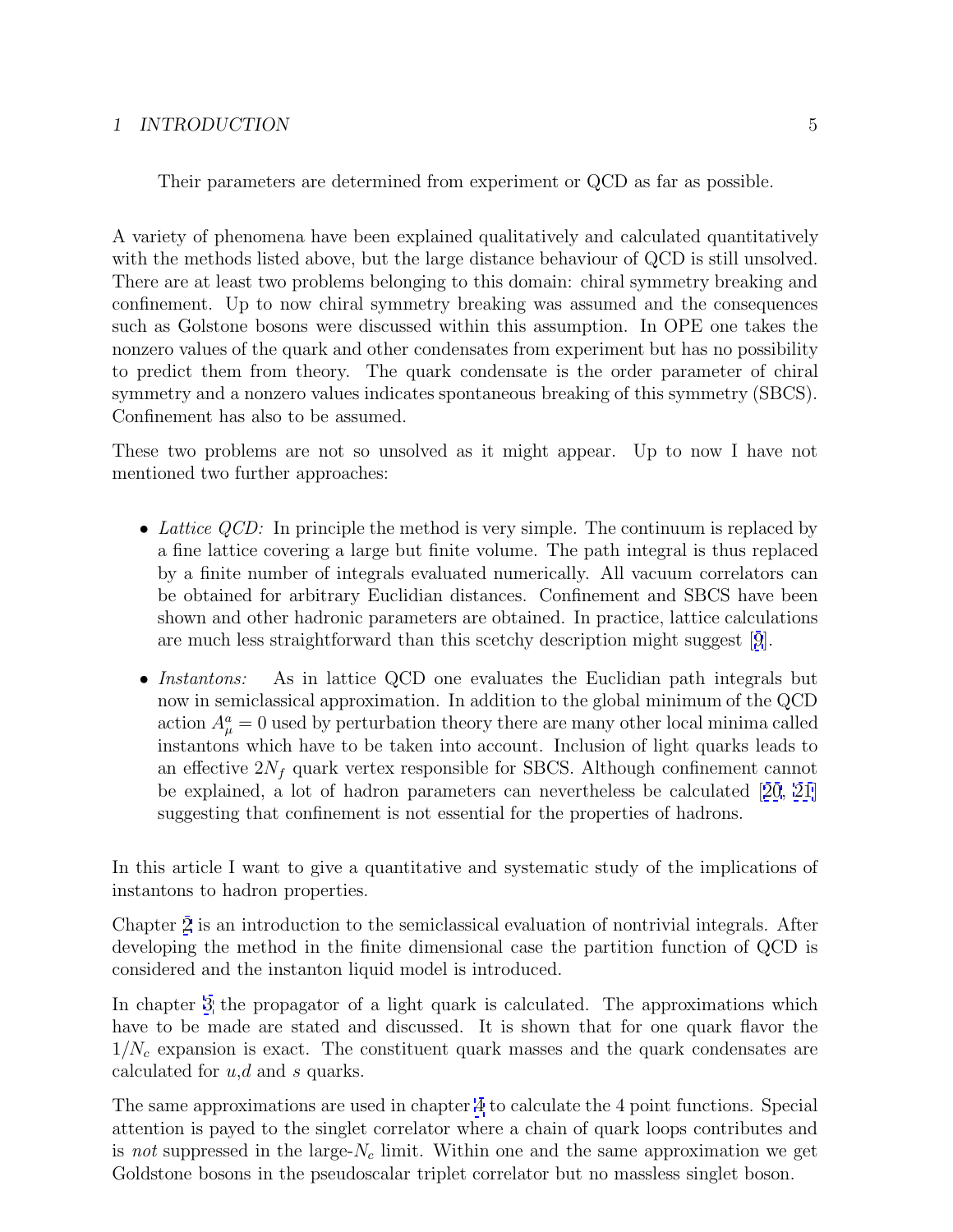## *1 INTRODUCTION* 5

Their parameters are determined from experiment or QCD as far as possible.

A variety of phenomena have been explained qualitatively and calculated quantitatively with the methods listed above, but the large distance behaviour of QCD is still unsolved. There are at least two problems belonging to this domain: chiral symmetry breaking and confinement. Up to now chiral symmetry breaking was assumed and the consequences such as Golstone bosons were discussed within this assumption. In OPE one takes the nonzero values of the quark and other condensates from experiment but has no possibility to predict them from theory. The quark condensate is the order parameter of chiral symmetry and a nonzero values indicates spontaneous breaking of this symmetry (SBCS). Confinement has also to be assumed.

These two problems are not so unsolved as it might appear. Up to now I have not mentioned two further approaches:

- Lattice  $QCD$ : In principle the method is very simple. The continuum is replaced by a fine lattice covering a large but finite volume. The path integral is thus replaced by a finite number of integrals evaluated numerically. All vacuum correlators can be obtained for arbitrary Euclidian distances. Confinement and SBCS have been shown and other hadronic parameters are obtained. In practice, lattice calculations are much less straightforward than this scetchy description might suggest [[9](#page-33-0)].
- Instantons: As in lattice QCD one evaluates the Euclidian path integrals but now in semiclassical approximation. In addition to the global minimum of the QCD action  $A^a_\mu = 0$  used by perturbation theory there are many other local minima called instantons which have to be taken into account. Inclusion of light quarks leads to an effective  $2N_f$  quark vertex responsible for SBCS. Although confinement cannot be explained, a lot of hadron parameters can nevertheless be calculated [[20](#page-34-0), [21](#page-34-0)] suggesting that confinement is not essential for the properties of hadrons.

In this article I want to give a quantitative and systematic study of the implications of instantons to hadron properties.

Chapter [2](#page-5-0) is an introduction to the semiclassical evaluation of nontrivial integrals. After developing the method in the finite dimensional case the partition function of QCD is considered and the instanton liquid model is introduced.

In chapter [3](#page-11-0) the propagator of a light quark is calculated. The approximations which have to be made are stated and discussed. It is shown that for one quark flavor the  $1/N_c$  expansion is exact. The constituent quark masses and the quark condensates are calculated for  $u, d$  and s quarks.

The same approximations are used in chapter [4](#page-19-0) to calculate the 4 point functions. Special attention is payed to the singlet correlator where a chain of quark loops contributes and is not suppressed in the large- $N_c$  limit. Within one and the same approximation we get Goldstone bosons in the pseudoscalar triplet correlator but no massless singlet boson.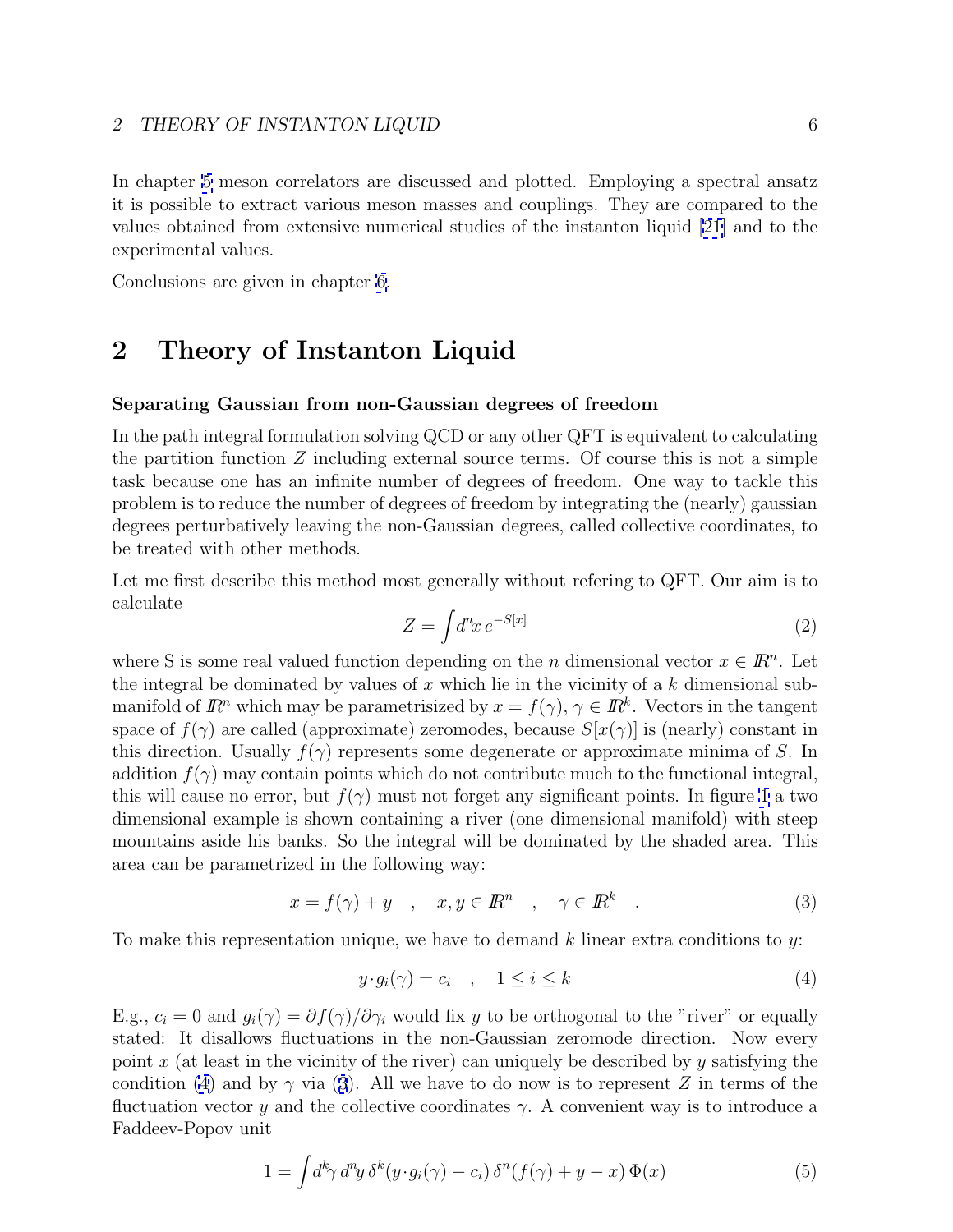<span id="page-5-0"></span>In chapter [5](#page-25-0) meson correlators are discussed and plotted. Employing a spectral ansatz it is possible to extract various meson masses and couplings. They are compared to the values obtained from extensive numerical studies of the instanton liquid [\[21\]](#page-34-0) and to the experimental values.

Conclusions are given in chapter [6.](#page-29-0)

## **2 Theory of Instanton Liquid**

## **Separating Gaussian from non-Gaussian degrees of freedom**

In the path integral formulation solving QCD or any other QFT is equivalent to calculating the partition function  $Z$  including external source terms. Of course this is not a simple task because one has an infinite number of degrees of freedom. One way to tackle this problem is to reduce the number of degrees of freedom by integrating the (nearly) gaussian degrees perturbatively leaving the non-Gaussian degrees, called collective coordinates, to be treated with other methods.

Let me first describe this method most generally without refering to QFT. Our aim is to calculate

$$
Z = \int d^n x \, e^{-S[x]} \tag{2}
$$

where S is some real valued function depending on the n dimensional vector  $x \in \mathbb{R}^n$ . Let the integral be dominated by values of x which lie in the vicinity of a  $k$  dimensional submanifold of  $\mathbb{R}^n$  which may be parametrisized by  $x = f(\gamma)$ ,  $\gamma \in \mathbb{R}^k$ . Vectors in the tangent space of  $f(\gamma)$  are called (approximate) zeromodes, because  $S[x(\gamma)]$  is (nearly) constant in this direction. Usually  $f(\gamma)$  represents some degenerate or approximate minima of S. In addition  $f(\gamma)$  may contain points which do not contribute much to the functional integral, this will cause no error, but  $f(\gamma)$  must not forget any significant points. In figure [1](#page-35-0) a two dimensional example is shown containing a river (one dimensional manifold) with steep mountains aside his banks. So the integral will be dominated by the shaded area. This area can be parametrized in the following way:

$$
x = f(\gamma) + y \quad , \quad x, y \in \mathbb{R}^n \quad , \quad \gamma \in \mathbb{R}^k \quad . \tag{3}
$$

To make this representation unique, we have to demand  $k$  linear extra conditions to y:

$$
y \cdot g_i(\gamma) = c_i \quad , \quad 1 \le i \le k \tag{4}
$$

E.g.,  $c_i = 0$  and  $g_i(\gamma) = \partial f(\gamma)/\partial \gamma_i$  would fix y to be orthogonal to the "river" or equally stated: It disallows fluctuations in the non-Gaussian zeromode direction. Now every point x (at least in the vicinity of the river) can uniquely be described by y satisfying the condition (4) and by  $\gamma$  via (3). All we have to do now is to represent Z in terms of the fluctuation vector y and the collective coordinates  $\gamma$ . A convenient way is to introduce a Faddeev-Popov unit

$$
1 = \int d^k \gamma \, d^n y \, \delta^k (y \cdot g_i(\gamma) - c_i) \, \delta^n (f(\gamma) + y - x) \, \Phi(x) \tag{5}
$$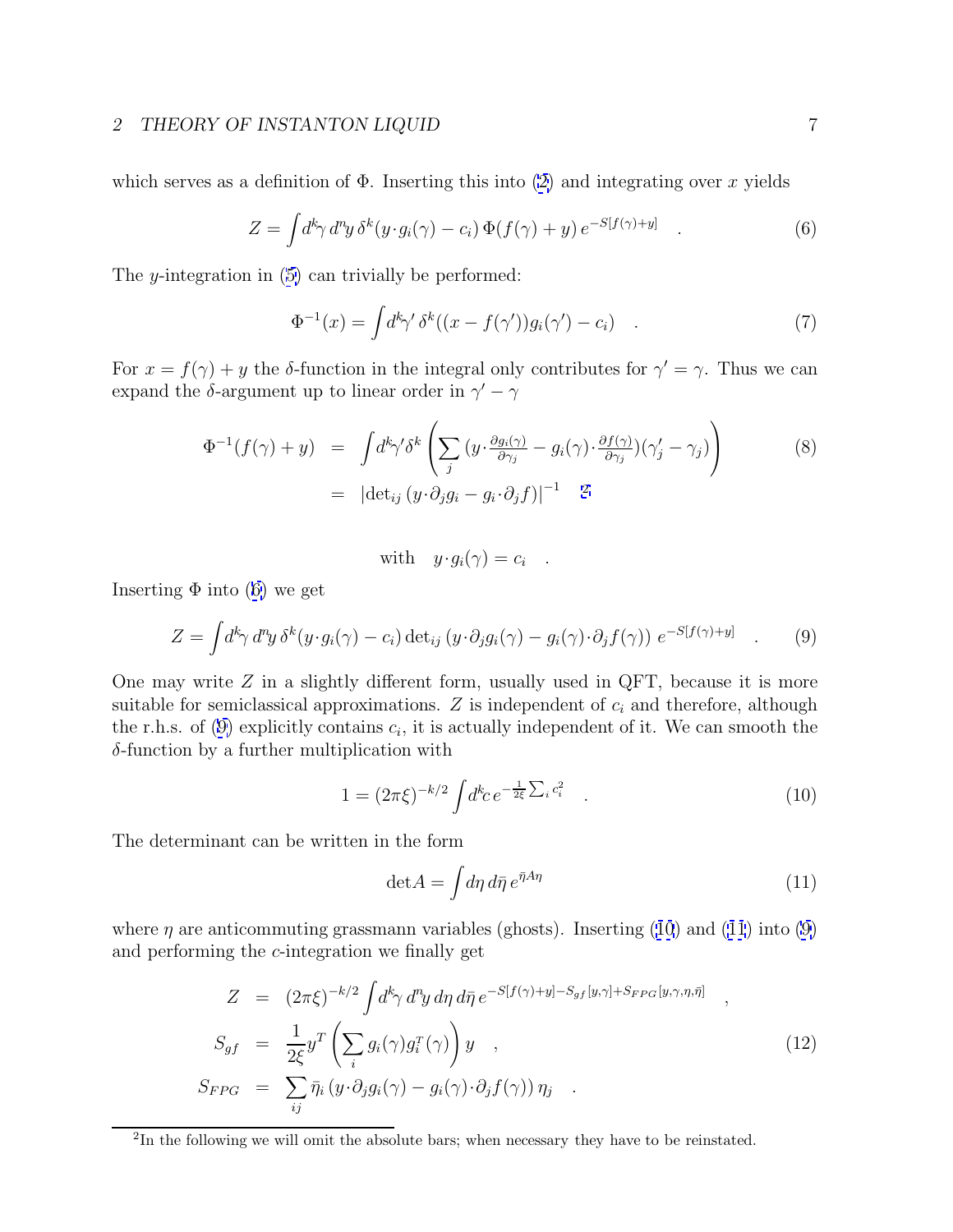<span id="page-6-0"></span>which serves as a definition of  $\Phi$ . Inserting this into [\(2\)](#page-5-0) and integrating over x yields

$$
Z = \int d^k \gamma \, d^n y \, \delta^k (y \cdot g_i(\gamma) - c_i) \, \Phi(f(\gamma) + y) \, e^{-S[f(\gamma) + y]} \quad . \tag{6}
$$

The y-integration in ([5\)](#page-5-0) can trivially be performed:

$$
\Phi^{-1}(x) = \int d^k \gamma' \, \delta^k((x - f(\gamma'))g_i(\gamma') - c_i) \quad . \tag{7}
$$

For  $x = f(\gamma) + y$  the δ-function in the integral only contributes for  $\gamma' = \gamma$ . Thus we can expand the  $\delta\text{-argument}$  up to linear order in  $\gamma'-\gamma$ 

$$
\Phi^{-1}(f(\gamma) + y) = \int d^k \gamma' \delta^k \left( \sum_j (y \cdot \frac{\partial g_i(\gamma)}{\partial \gamma_j} - g_i(\gamma) \cdot \frac{\partial f(\gamma)}{\partial \gamma_j}) (\gamma_j' - \gamma_j) \right)
$$
\n
$$
= |\det_{ij} (y \cdot \partial_j g_i - g_i \cdot \partial_j f)|^{-1} \quad \text{2}
$$
\n(8)

with 
$$
y \cdot g_i(\gamma) = c_i
$$
.

Inserting  $\Phi$  into (6) we get

$$
Z = \int d^k \gamma \, d^n y \, \delta^k (y \cdot g_i(\gamma) - c_i) \det_{ij} (y \cdot \partial_j g_i(\gamma) - g_i(\gamma) \cdot \partial_j f(\gamma)) \ e^{-S[f(\gamma) + y]} \quad . \tag{9}
$$

One may write  $Z$  in a slightly different form, usually used in QFT, because it is more suitable for semiclassical approximations.  $Z$  is independent of  $c_i$  and therefore, although the r.h.s. of (9) explicitly contains  $c_i$ , it is actually independent of it. We can smooth the  $\delta$ -function by a further multiplication with

$$
1 = (2\pi\xi)^{-k/2} \int d^k c \, e^{-\frac{1}{2\xi} \sum_i c_i^2} \quad . \tag{10}
$$

The determinant can be written in the form

$$
\det A = \int d\eta \, d\bar{\eta} \, e^{\bar{\eta} A \eta} \tag{11}
$$

where  $\eta$  are anticommuting grassmann variables (ghosts). Inserting (10) and (11) into (9) and performing the c-integration we finally get

$$
Z = (2\pi\xi)^{-k/2} \int d^k \gamma \, d^n y \, d\eta \, d\bar{\eta} \, e^{-S[f(\gamma)+y]-S_{gf}[y,\gamma]+S_{FPG}[y,\gamma,\eta,\bar{\eta}]} \quad ,
$$
  
\n
$$
S_{gf} = \frac{1}{2\xi} y^T \left( \sum_i g_i(\gamma) g_i^T(\gamma) \right) y \quad ,
$$
  
\n
$$
S_{FPG} = \sum_{ij} \bar{\eta}_i (y \cdot \partial_j g_i(\gamma) - g_i(\gamma) \cdot \partial_j f(\gamma)) \eta_j \quad .
$$
\n(12)

<sup>2</sup>In the following we will omit the absolute bars; when necessary they have to be reinstated.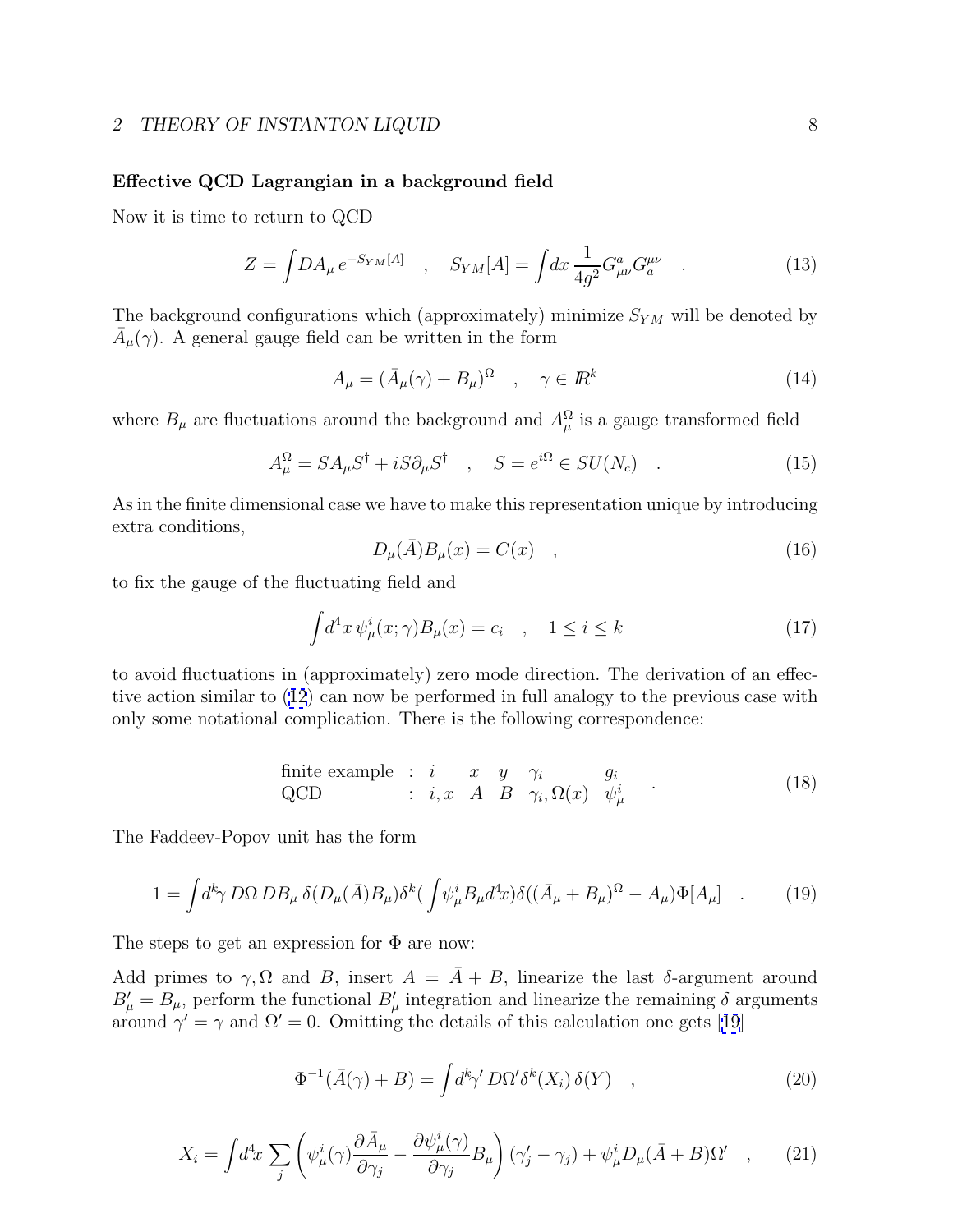## <span id="page-7-0"></span>**Effective QCD Lagrangian in a background field**

Now it is time to return to QCD

$$
Z = \int DA_{\mu} e^{-S_{YM}[A]} \quad , \quad S_{YM}[A] = \int dx \, \frac{1}{4g^2} G^a_{\mu\nu} G^{\mu\nu}_a \quad . \tag{13}
$$

The background configurations which (approximately) minimize  $S_{YM}$  will be denoted by  $A_\mu(\gamma)$ . A general gauge field can be written in the form

$$
A_{\mu} = (\bar{A}_{\mu}(\gamma) + B_{\mu})^{\Omega} \quad , \quad \gamma \in I\!\!R^{k} \tag{14}
$$

where  $B_{\mu}$  are fluctuations around the background and  $A_{\mu}^{\Omega}$  is a gauge transformed field

$$
A^{\Omega}_{\mu} = SA_{\mu} S^{\dagger} + iS \partial_{\mu} S^{\dagger} \quad , \quad S = e^{i\Omega} \in SU(N_c) \quad . \tag{15}
$$

As in the finite dimensional case we have to make this representation unique by introducing extra conditions,

$$
D_{\mu}(\bar{A})B_{\mu}(x) = C(x) \quad , \tag{16}
$$

to fix the gauge of the fluctuating field and

$$
\int d^4x \,\psi^i_\mu(x;\gamma)B_\mu(x) = c_i \quad , \quad 1 \le i \le k \tag{17}
$$

to avoid fluctuations in (approximately) zero mode direction. The derivation of an effective action similar to ([12](#page-6-0)) can now be performed in full analogy to the previous case with only some notational complication. There is the following correspondence:

finite example : 
$$
i
$$
  $x$   $y$   $\gamma_i$   $g_i$   
\nQCD :  $i, x$   $A$   $B$   $\gamma_i, \Omega(x)$   $\psi^i_\mu$  (18)

The Faddeev-Popov unit has the form

$$
1 = \int d^k \gamma \, D\Omega \, DB_\mu \, \delta(D_\mu(\bar{A})B_\mu) \delta^k \left( \int \psi_\mu^i B_\mu d^4 x \right) \delta \left( (\bar{A}_\mu + B_\mu)^{\Omega} - A_\mu \right) \Phi[A_\mu] \quad . \tag{19}
$$

The steps to get an expression for  $\Phi$  are now:

Add primes to  $\gamma$ ,  $\Omega$  and  $B$ , insert  $A = \overline{A} + B$ , linearize the last  $\delta$ -argument around  $B'_{\mu} = B_{\mu}$ , perform the functional  $B'_{\mu}$  integration and linearize the remaining  $\delta$  arguments around  $\gamma' = \gamma$  and  $\Omega' = 0$ . Omitting the details of this calculation one gets [[19](#page-34-0)]

$$
\Phi^{-1}(\bar{A}(\gamma) + B) = \int d^k \gamma' D\Omega' \delta^k(X_i) \,\delta(Y) \quad , \tag{20}
$$

$$
X_i = \int d^4x \sum_j \left( \psi_\mu^i(\gamma) \frac{\partial \bar{A}_\mu}{\partial \gamma_j} - \frac{\partial \psi_\mu^i(\gamma)}{\partial \gamma_j} B_\mu \right) (\gamma_j' - \gamma_j) + \psi_\mu^i D_\mu (\bar{A} + B) \Omega' \quad , \tag{21}
$$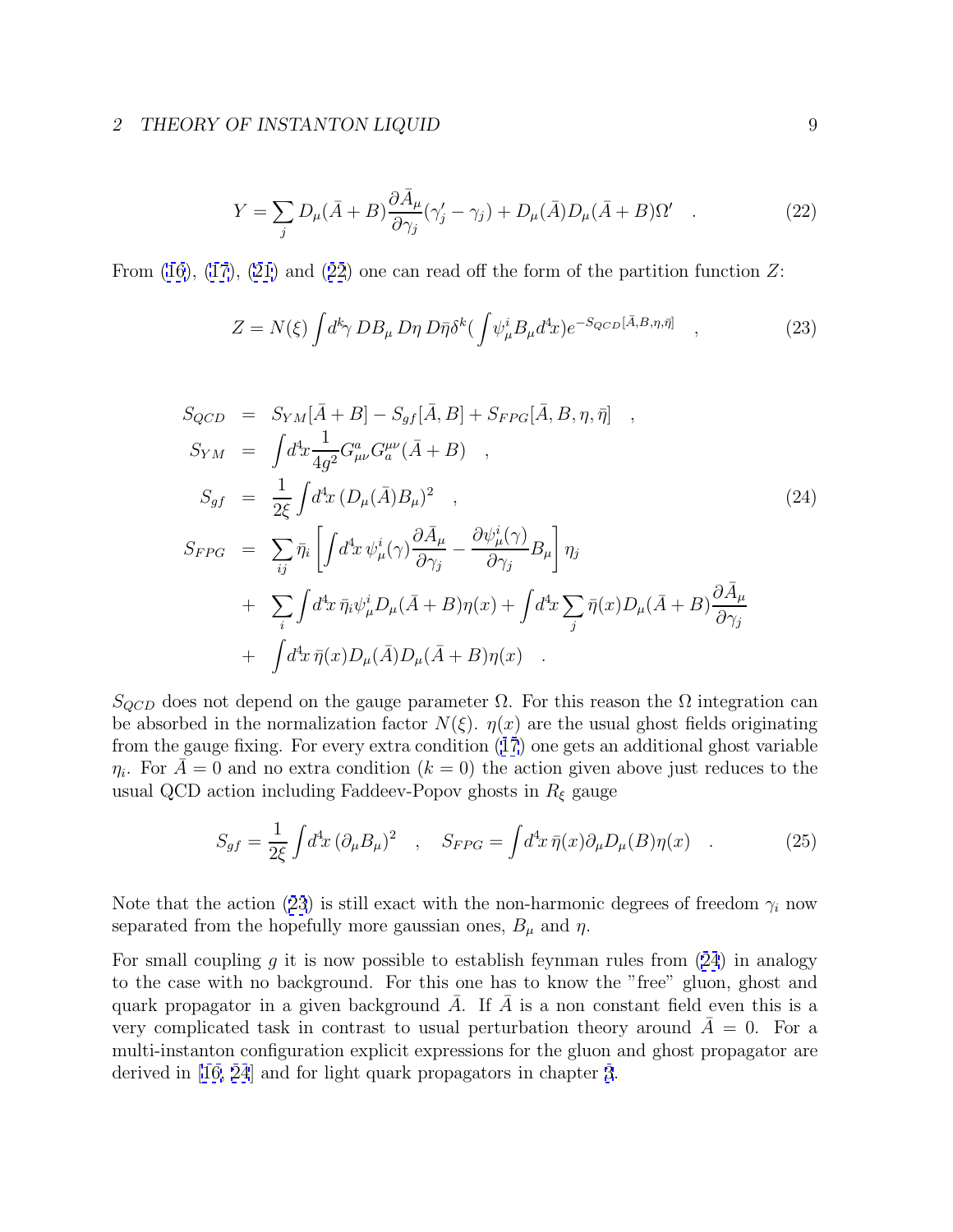$$
Y = \sum_{j} D_{\mu}(\bar{A} + B) \frac{\partial \bar{A}_{\mu}}{\partial \gamma_{j}} (\gamma_{j}^{\prime} - \gamma_{j}) + D_{\mu}(\bar{A}) D_{\mu}(\bar{A} + B) \Omega^{\prime} \quad . \tag{22}
$$

<span id="page-8-0"></span>From  $(16)$ ,  $(17)$ ,  $(21)$  and  $(22)$  one can read off the form of the partition function Z:

$$
Z = N(\xi) \int d^k \gamma \, DB_\mu \, D\eta \, D\bar{\eta} \delta^k \left( \int \psi_\mu^i B_\mu d^4 x \right) e^{-S_{QCD}[\bar{A}, B, \eta, \bar{\eta}]} \quad , \tag{23}
$$

$$
S_{QCD} = S_{YM}[\bar{A} + B] - S_{gf}[\bar{A}, B] + S_{FPG}[\bar{A}, B, \eta, \bar{\eta}] ,
$$
  
\n
$$
S_{YM} = \int d^4x \frac{1}{4g^2} G^a_{\mu\nu} G^{\mu\nu}_a (\bar{A} + B) ,
$$
  
\n
$$
S_{gf} = \frac{1}{2\xi} \int d^4x (D_{\mu}(\bar{A})B_{\mu})^2 ,
$$
  
\n
$$
S_{FPG} = \sum_{ij} \bar{\eta}_i \left[ \int d^4x \psi^i_{\mu}(\gamma) \frac{\partial \bar{A}_{\mu}}{\partial \gamma_j} - \frac{\partial \psi^i_{\mu}(\gamma)}{\partial \gamma_j} B_{\mu} \right] \eta_j
$$
  
\n
$$
+ \sum_{i} \int d^4x \, \bar{\eta}_i \psi^i_{\mu} D_{\mu}(\bar{A} + B) \eta(x) + \int d^4x \sum_{j} \bar{\eta}(x) D_{\mu}(\bar{A} + B) \frac{\partial \bar{A}_{\mu}}{\partial \gamma_j} + \int d^4x \, \bar{\eta}(x) D_{\mu}(\bar{A}) D_{\mu}(\bar{A} + B) \eta(x) .
$$
\n(24)

 $S_{QCD}$  does not depend on the gauge parameter  $\Omega$ . For this reason the  $\Omega$  integration can be absorbed in the normalization factor  $N(\xi)$ .  $\eta(x)$  are the usual ghost fields originating from the gauge fixing. For every extra condition ([17](#page-7-0)) one gets an additional ghost variable  $\eta_i$ . For  $A=0$  and no extra condition  $(k = 0)$  the action given above just reduces to the usual QCD action including Faddeev-Popov ghosts in  $R_{\xi}$  gauge

$$
S_{gf} = \frac{1}{2\xi} \int d^4x \, (\partial_\mu B_\mu)^2 \quad , \quad S_{FPG} = \int d^4x \, \bar{\eta}(x) \partial_\mu D_\mu(B) \eta(x) \quad . \tag{25}
$$

Note that the action (23) is still exact with the non-harmonic degrees of freedom  $\gamma_i$  now separated from the hopefully more gaussian ones,  $B_{\mu}$  and  $\eta$ .

For small coupling g it is now possible to establish feynman rules from  $(24)$  in analogy to the case with no background. For this one has to know the "free" gluon, ghost and quark propagator in a given background  $\overline{A}$ . If  $\overline{A}$  is a non constant field even this is a very complicated task in contrast to usual perturbation theory around  $\overline{A}=0$ . For a multi-instanton configuration explicit expressions for the gluon and ghost propagator are derived in [[16,](#page-33-0) [24](#page-34-0)] and for light quark propagators in chapter [3](#page-11-0).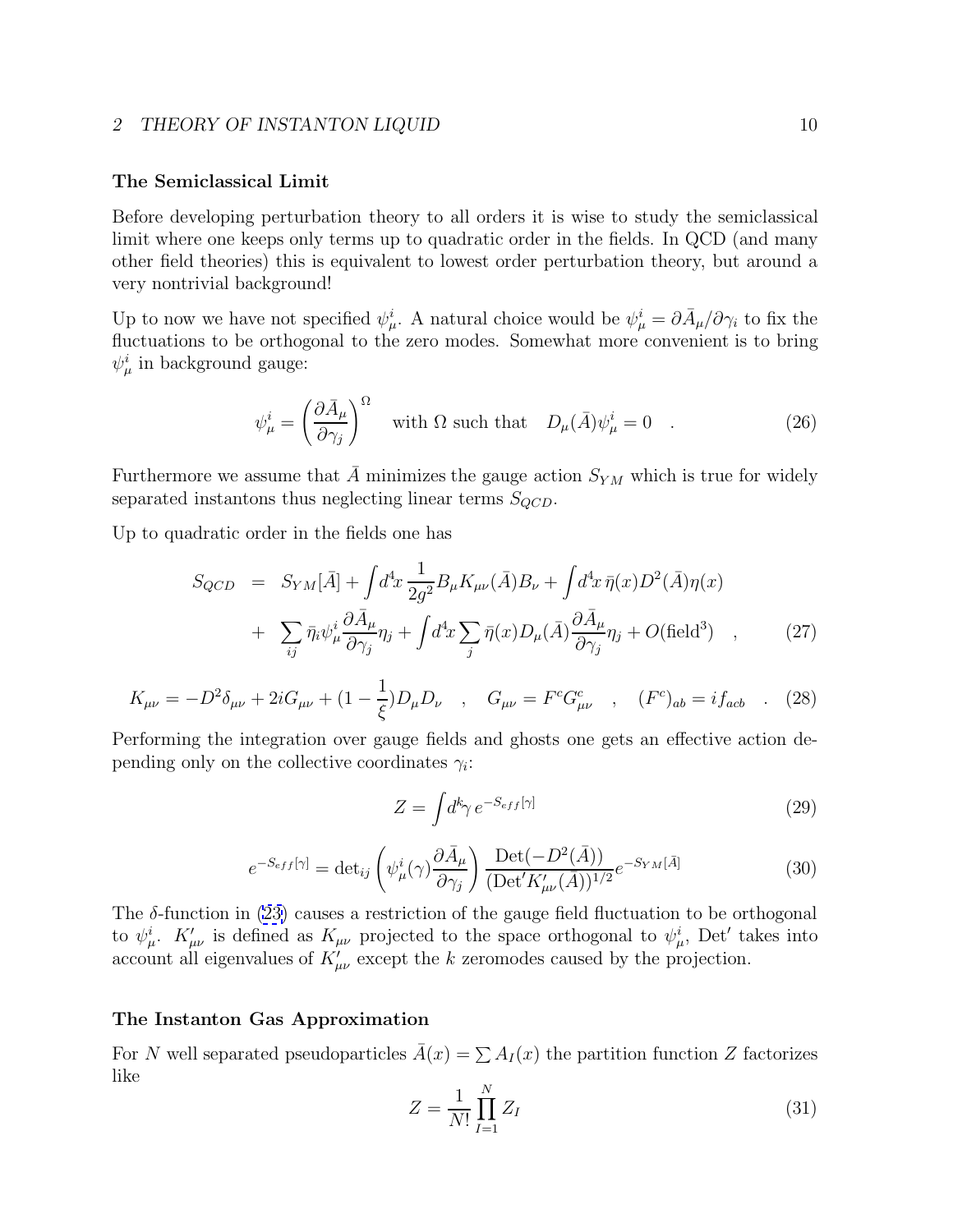## <span id="page-9-0"></span>**The Semiclassical Limit**

Before developing perturbation theory to all orders it is wise to study the semiclassical limit where one keeps only terms up to quadratic order in the fields. In QCD (and many other field theories) this is equivalent to lowest order perturbation theory, but around a very nontrivial background!

Up to now we have not specified  $\psi^i_\mu$ . A natural choice would be  $\psi^i_\mu = \partial \bar{A}_\mu / \partial \gamma_i$  to fix the fluctuations to be orthogonal to the zero modes. Somewhat more convenient is to bring  $\psi^i_\mu$  in background gauge:

$$
\psi_{\mu}^{i} = \left(\frac{\partial \bar{A}_{\mu}}{\partial \gamma_{j}}\right)^{\Omega} \quad \text{with } \Omega \text{ such that} \quad D_{\mu}(\bar{A})\psi_{\mu}^{i} = 0 \quad . \tag{26}
$$

Furthermore we assume that  $\overline{A}$  minimizes the gauge action  $S_{YM}$  which is true for widely separated instantons thus neglecting linear terms  $S_{QCD}$ .

Up to quadratic order in the fields one has

$$
S_{QCD} = S_{YM}[\bar{A}] + \int d^4x \frac{1}{2g^2} B_{\mu} K_{\mu\nu}(\bar{A}) B_{\nu} + \int d^4x \,\bar{\eta}(x) D^2(\bar{A}) \eta(x)
$$
  
+ 
$$
\sum_{ij} \bar{\eta}_i \psi_{\mu}^i \frac{\partial \bar{A}_{\mu}}{\partial \gamma_j} \eta_j + \int d^4x \sum_j \bar{\eta}(x) D_{\mu}(\bar{A}) \frac{\partial \bar{A}_{\mu}}{\partial \gamma_j} \eta_j + O(\text{field}^3) , \qquad (27)
$$

$$
K_{\mu\nu} = -D^2 \delta_{\mu\nu} + 2i G_{\mu\nu} + (1 - \frac{1}{\xi}) D_{\mu} D_{\nu} \quad , \quad G_{\mu\nu} = F^c G^c_{\mu\nu} \quad , \quad (F^c)_{ab} = i f_{acb} \quad . \tag{28}
$$

Performing the integration over gauge fields and ghosts one gets an effective action depending only on the collective coordinates  $\gamma_i$ :

$$
Z = \int d^k \gamma \, e^{-S_{eff}[\gamma]} \tag{29}
$$

$$
e^{-S_{eff}[\gamma]} = \det_{ij} \left( \psi^i_{\mu}(\gamma) \frac{\partial \bar{A}_{\mu}}{\partial \gamma_j} \right) \frac{\text{Det}(-D^2(\bar{A}))}{(\text{Det}' K'_{\mu\nu}(\bar{A}))^{1/2}} e^{-S_{YM}[\bar{A}]}
$$
(30)

The  $\delta$ -function in [\(23\)](#page-8-0) causes a restriction of the gauge field fluctuation to be orthogonal to  $\psi^i_\mu$ .  $K'_{\mu\nu}$  is defined as  $K_{\mu\nu}$  projected to the space orthogonal to  $\psi^i_\mu$ , Det' takes into account all eigenvalues of  $K'_{\mu\nu}$  except the k zeromodes caused by the projection.

### **The Instanton Gas Approximation**

For N well separated pseudoparticles  $\bar{A}(x) = \sum A_I(x)$  the partition function Z factorizes like

$$
Z = \frac{1}{N!} \prod_{I=1}^{N} Z_I
$$
 (31)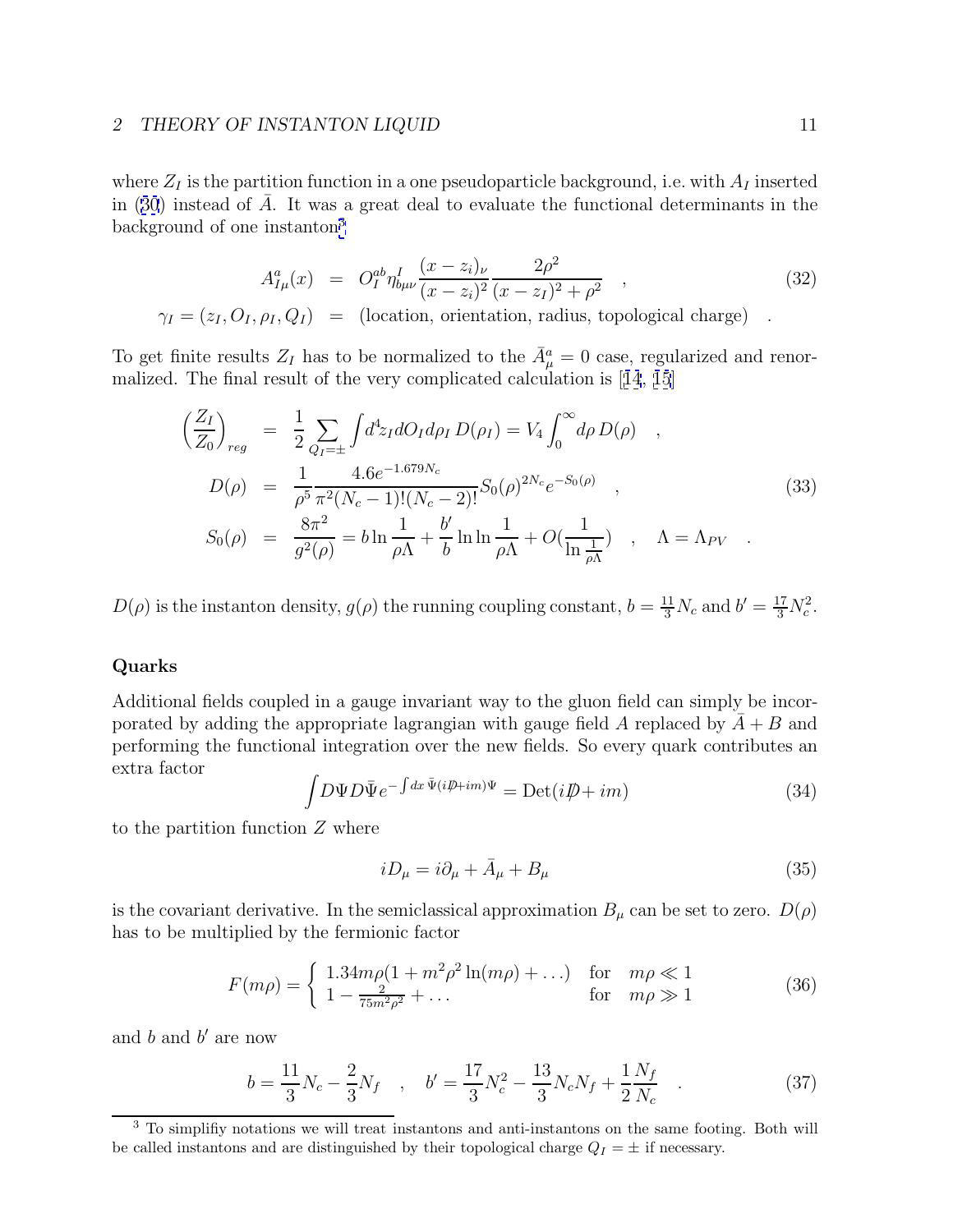<span id="page-10-0"></span>where  $Z_I$  is the partition function in a one pseudoparticle background, i.e. with  $A_I$  inserted in ([30](#page-9-0)) instead of  $\overline{A}$ . It was a great deal to evaluate the functional determinants in the background of one instanton<sup>3</sup>

$$
A_{I\mu}^a(x) = O_I^{ab} \eta_{b\mu\nu}^I \frac{(x - z_i)_{\nu}}{(x - z_i)^2} \frac{2\rho^2}{(x - z_I)^2 + \rho^2} ,
$$
\n
$$
\gamma_I = (z_I, O_I, \rho_I, Q_I) = \text{(location, orientation, radius, topological charge)} .
$$
\n(32)

To get finite results  $Z_I$  has to be normalized to the  $\bar{A}^a_\mu = 0$  case, regularized and renormalized. The final result of the very complicated calculation is [[14](#page-33-0), [15](#page-33-0)]

$$
\left(\frac{Z_I}{Z_0}\right)_{reg} = \frac{1}{2} \sum_{Q_I=\pm} \int d^4 z_I dO_I d\rho_I D(\rho_I) = V_4 \int_0^\infty d\rho D(\rho) ,
$$
  
\n
$$
D(\rho) = \frac{1}{\rho^5} \frac{4.6e^{-1.679N_c}}{\pi^2 (N_c - 1)!(N_c - 2)!} S_0(\rho)^{2N_c} e^{-S_0(\rho)} ,
$$
  
\n
$$
S_0(\rho) = \frac{8\pi^2}{g^2(\rho)} = b \ln \frac{1}{\rho \Lambda} + \frac{b'}{b} \ln \ln \frac{1}{\rho \Lambda} + O(\frac{1}{\ln \frac{1}{\rho \Lambda}}) , \quad \Lambda = \Lambda_{PV} .
$$
\n(33)

 $D(\rho)$  is the instanton density,  $g(\rho)$  the running coupling constant,  $b = \frac{11}{3}N_c$  and  $b' = \frac{17}{3}N_c^2$ .

## **Quarks**

Additional fields coupled in a gauge invariant way to the gluon field can simply be incorporated by adding the appropriate lagrangian with gauge field A replaced by  $A + B$  and performing the functional integration over the new fields. So every quark contributes an extra factor

$$
\int D\Psi D\bar{\Psi} e^{-\int dx \,\bar{\Psi}(i\rlap{/}D+i m)\Psi} = \text{Det}(i\rlap{/}D + im)
$$
\n(34)

to the partition function  $Z$  where

$$
iD_{\mu} = i\partial_{\mu} + \bar{A}_{\mu} + B_{\mu} \tag{35}
$$

is the covariant derivative. In the semiclassical approximation  $B_{\mu}$  can be set to zero.  $D(\rho)$ has to be multiplied by the fermionic factor

$$
F(m\rho) = \begin{cases} 1.34m\rho(1 + m^2\rho^2 \ln(m\rho) + ...) & \text{for } m\rho \ll 1\\ 1 - \frac{2}{75m^2\rho^2} + ... & \text{for } m\rho \gg 1 \end{cases}
$$
(36)

and  $b$  and  $b'$  are now

$$
b = \frac{11}{3}N_c - \frac{2}{3}N_f \quad , \quad b' = \frac{17}{3}N_c^2 - \frac{13}{3}N_cN_f + \frac{1}{2}\frac{N_f}{N_c} \quad . \tag{37}
$$

<sup>&</sup>lt;sup>3</sup> To simplifiy notations we will treat instantons and anti-instantons on the same footing. Both will be called instantons and are distinguished by their topological charge  $Q_I = \pm$  if necessary.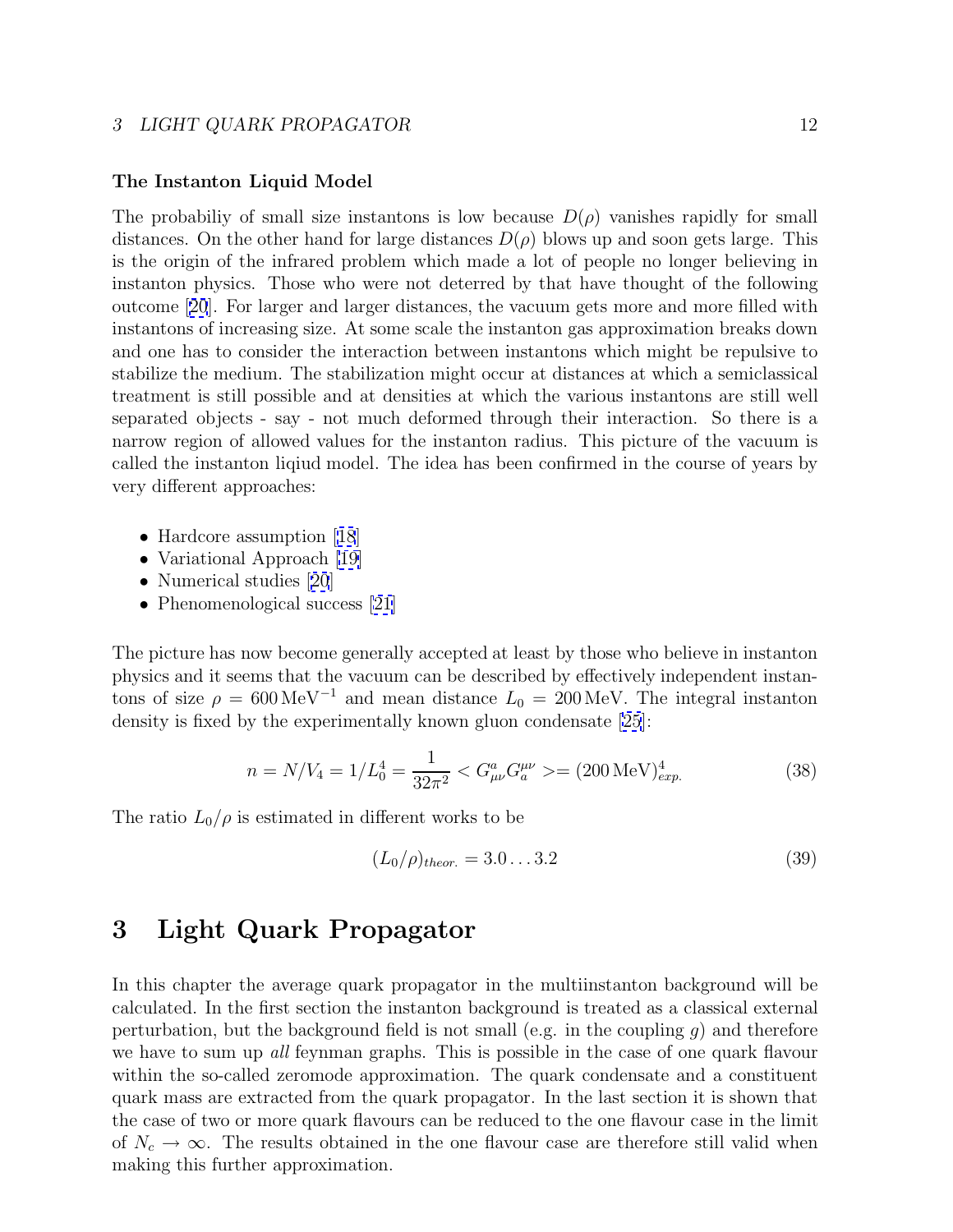## <span id="page-11-0"></span>**The Instanton Liquid Model**

The probabiliy of small size instantons is low because  $D(\rho)$  vanishes rapidly for small distances. On the other hand for large distances  $D(\rho)$  blows up and soon gets large. This is the origin of the infrared problem which made a lot of people no longer believing in instanton physics. Those who were not deterred by that have thought of the following outcome [[20](#page-34-0)]. For larger and larger distances, the vacuum gets more and more filled with instantons of increasing size. At some scale the instanton gas approximation breaks down and one has to consider the interaction between instantons which might be repulsive to stabilize the medium. The stabilization might occur at distances at which a semiclassical treatment is still possible and at densities at which the various instantons are still well separated objects - say - not much deformed through their interaction. So there is a narrow region of allowed values for the instanton radius. This picture of the vacuum is called the instanton liqiud model. The idea has been confirmed in the course of years by very different approaches:

- Hardcore assumption [[18](#page-34-0)]
- Variational Approach [\[19\]](#page-34-0)
- Numerical studies [[20](#page-34-0)]
- Phenomenological success [\[21\]](#page-34-0)

The picture has now become generally accepted at least by those who believe in instanton physics and it seems that the vacuum can be described by effectively independent instantons of size  $\rho = 600 \,\text{MeV}^{-1}$  and mean distance  $L_0 = 200 \,\text{MeV}$ . The integral instanton density is fixed by the experimentally known gluon condensate [\[25](#page-34-0)]:

$$
n = N/V_4 = 1/L_0^4 = \frac{1}{32\pi^2} < G_{\mu\nu}^a G_a^{\mu\nu} > = (200 \,\text{MeV})_{exp.}^4 \tag{38}
$$

The ratio  $L_0/\rho$  is estimated in different works to be

$$
(L_0/\rho)_{theor.} = 3.0...3.2
$$
\n(39)

## **3 Light Quark Propagator**

In this chapter the average quark propagator in the multiinstanton background will be calculated. In the first section the instanton background is treated as a classical external perturbation, but the background field is not small (e.g. in the coupling  $g$ ) and therefore we have to sum up all feynman graphs. This is possible in the case of one quark flavour within the so-called zeromode approximation. The quark condensate and a constituent quark mass are extracted from the quark propagator. In the last section it is shown that the case of two or more quark flavours can be reduced to the one flavour case in the limit of  $N_c \to \infty$ . The results obtained in the one flavour case are therefore still valid when making this further approximation.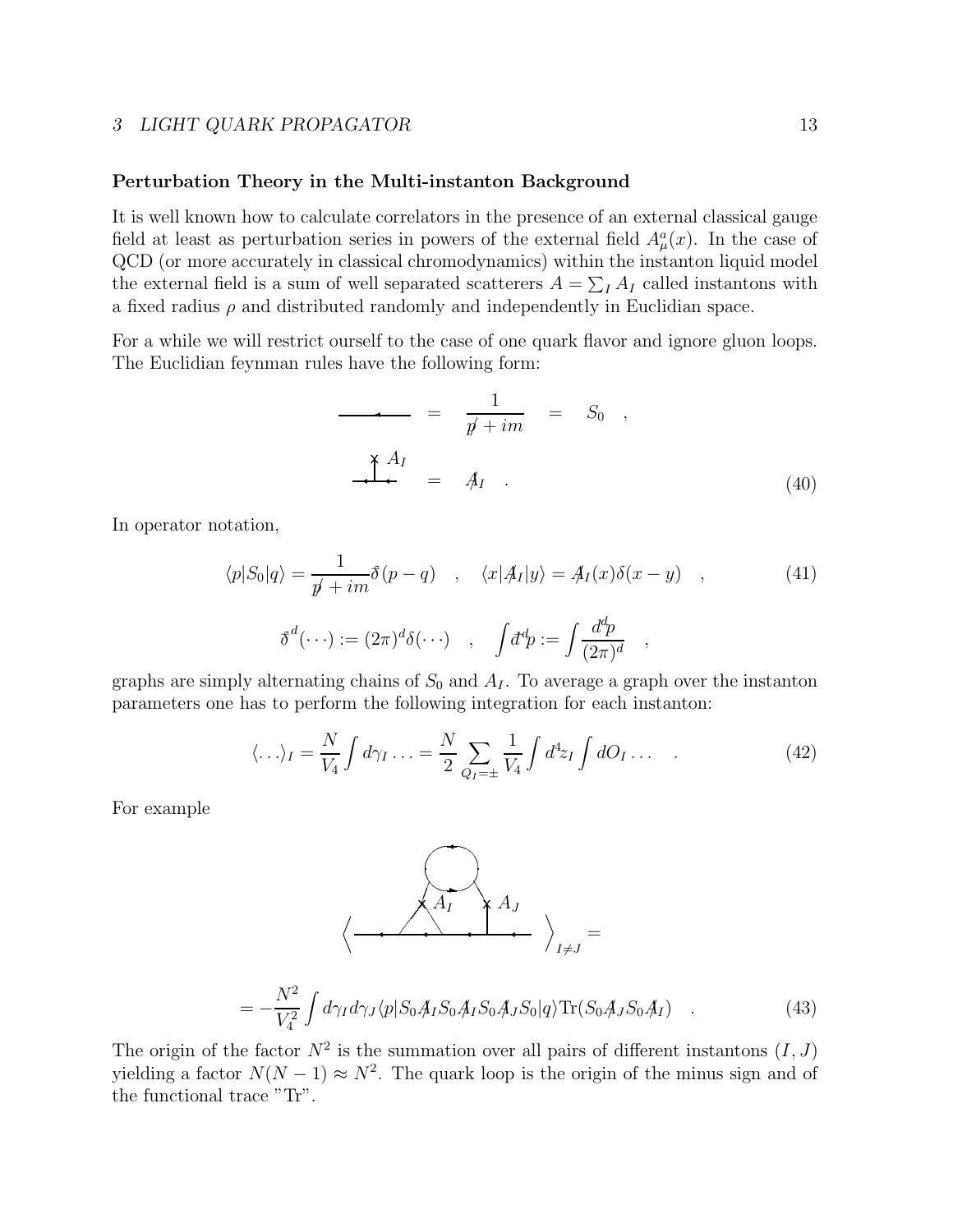### <span id="page-12-0"></span>**Perturbation Theory in the Multi-instanton Background**

It is well known how to calculate correlators in the presence of an external classical gauge field at least as perturbation series in powers of the external field  $A^a_\mu(x)$ . In the case of QCD (or more accurately in classical chromodynamics) within the instanton liquid model the external field is a sum of well separated scatterers  $A = \sum_I A_I$  called instantons with a fixed radius  $\rho$  and distributed randomly and independently in Euclidian space.

For a while we will restrict ourself to the case of one quark flavor and ignore gluon loops. The Euclidian feynman rules have the following form:

$$
\frac{1}{\cancel{p}+im} = S_0 ,
$$
\n
$$
\frac{1}{\cancel{p}+im} = S_0 ,
$$
\n
$$
\frac{1}{\cancel{p}+im} = 4I .
$$
\n(40)

In operator notation,

$$
\langle p|S_0|q\rangle = \frac{1}{p' + im} \delta(p - q) \quad , \quad \langle x|A_I|y\rangle = A_I(x)\delta(x - y) \quad , \tag{41}
$$

$$
\delta^d(\cdots) := (2\pi)^d \delta(\cdots) \quad , \quad \int d^d p := \int \frac{d^d p}{(2\pi)^d} \quad ,
$$

graphs are simply alternating chains of  $S_0$  and  $A_I$ . To average a graph over the instanton parameters one has to perform the following integration for each instanton:

$$
\langle \ldots \rangle_I = \frac{N}{V_4} \int d\gamma_I \ldots = \frac{N}{2} \sum_{Q_I = \pm} \frac{1}{V_4} \int d^4 z_I \int dO_I \ldots \tag{42}
$$

For example



$$
= -\frac{N^2}{V_4^2} \int d\gamma_I d\gamma_J \langle p| S_0 A_I S_0 A_I S_0 A_J S_0 |q\rangle \text{Tr}(S_0 A_J S_0 A_I) \quad . \tag{43}
$$

The origin of the factor  $N^2$  is the summation over all pairs of different instantons  $(I, J)$ yielding a factor  $N(N-1) \approx N^2$ . The quark loop is the origin of the minus sign and of the functional trace "Tr".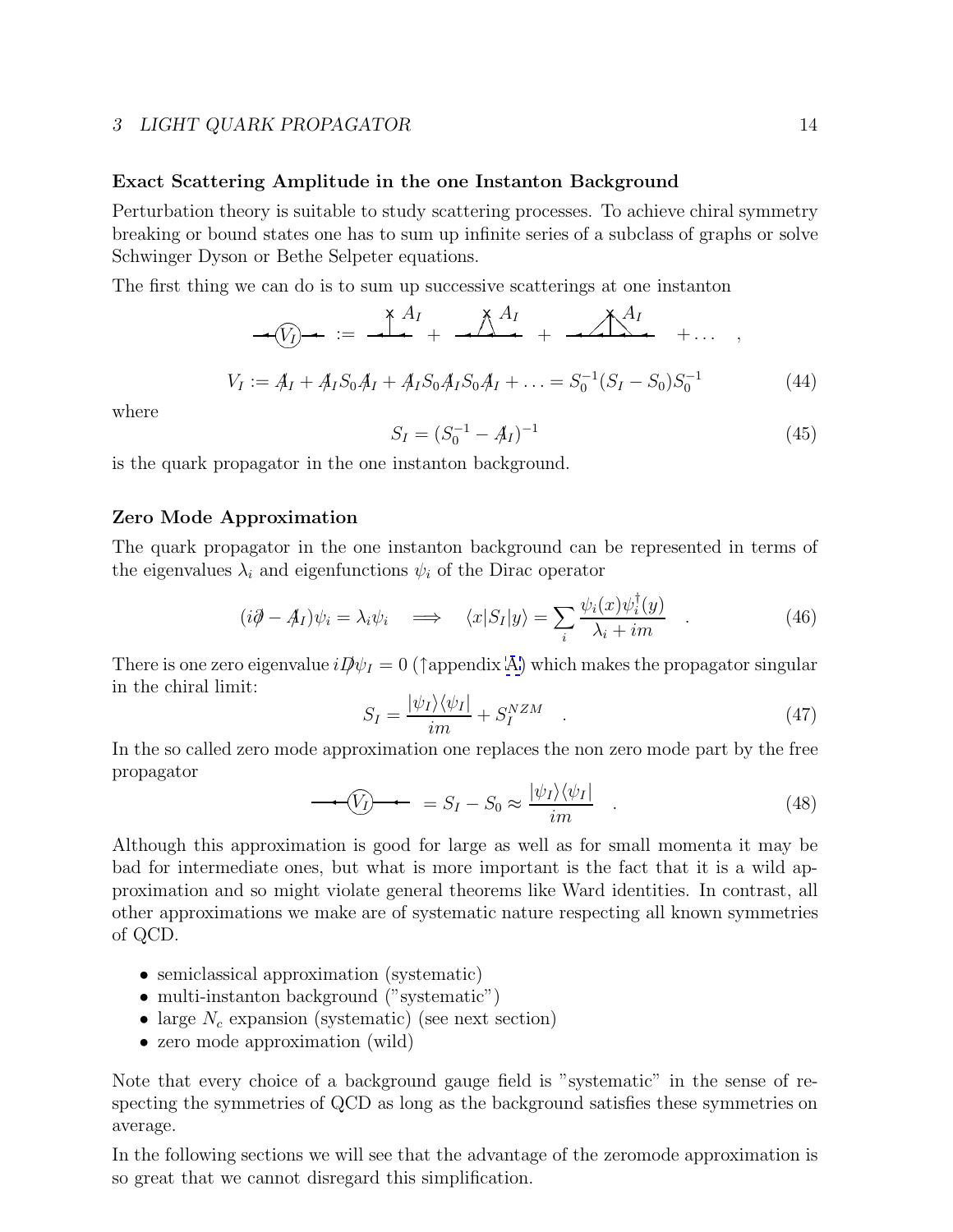## <span id="page-13-0"></span>**Exact Scattering Amplitude in the one Instanton Background**

Perturbation theory is suitable to study scattering processes. To achieve chiral symmetry breaking or bound states one has to sum up infinite series of a subclass of graphs or solve Schwinger Dyson or Bethe Selpeter equations.

The first thing we can do is to sum up successive scatterings at one instanton

$$
V_I := A_I + A_I S_0 A_I + A_I S_0 A_I S_0 A_I + \dots = S_0^{-1} (S_I - S_0) S_0^{-1}
$$
 (44)

where

$$
S_I = (S_0^{-1} - A_I)^{-1}
$$
\n(45)

is the quark propagator in the one instanton background.

## **Zero Mode Approximation**

The quark propagator in the one instanton background can be represented in terms of the eigenvalues  $\lambda_i$  and eigenfunctions  $\psi_i$  of the Dirac operator

$$
(i\partial - A_I)\psi_i = \lambda_i \psi_i \quad \Longrightarrow \quad \langle x|S_I|y\rangle = \sum_i \frac{\psi_i(x)\psi_i^{\dagger}(y)}{\lambda_i + im} \quad . \tag{46}
$$

There is one zero eigenvalue  $iD\psi_I = 0$  ( $\uparrow$ appendix [A\)](#page-29-0) which makes the propagator singular in the chiral limit:

$$
S_I = \frac{|\psi_I\rangle\langle\psi_I|}{im} + S_I^{NZM} \quad . \tag{47}
$$

In the so called zero mode approximation one replaces the non zero mode part by the free propagator

$$
\longrightarrow \boxed{V_I} \longrightarrow \quad = S_I - S_0 \approx \frac{|\psi_I\rangle\langle\psi_I|}{im} \quad . \tag{48}
$$

Although this approximation is good for large as well as for small momenta it may be bad for intermediate ones, but what is more important is the fact that it is a wild approximation and so might violate general theorems like Ward identities. In contrast, all other approximations we make are of systematic nature respecting all known symmetries of QCD.

- semiclassical approximation (systematic)
- multi-instanton background ("systematic")
- large  $N_c$  expansion (systematic) (see next section)
- zero mode approximation (wild)

Note that every choice of a background gauge field is "systematic" in the sense of respecting the symmetries of QCD as long as the background satisfies these symmetries on average.

In the following sections we will see that the advantage of the zeromode approximation is so great that we cannot disregard this simplification.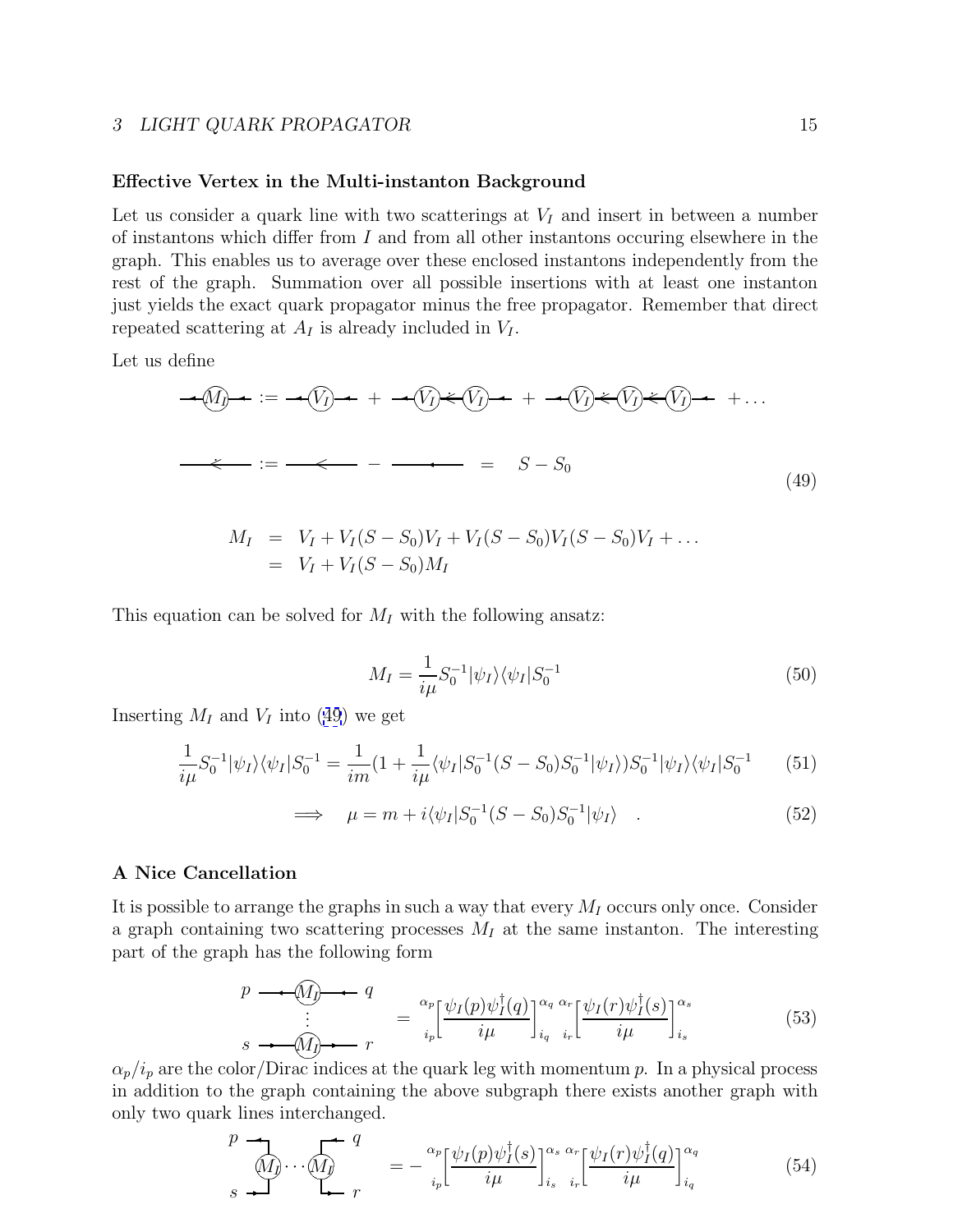### <span id="page-14-0"></span>**Effective Vertex in the Multi-instanton Background**

Let us consider a quark line with two scatterings at  $V_I$  and insert in between a number of instantons which differ from I and from all other instantons occuring elsewhere in the graph. This enables us to average over these enclosed instantons independently from the rest of the graph. Summation over all possible insertions with at least one instanton just yields the exact quark propagator minus the free propagator. Remember that direct repeated scattering at  $A_I$  is already included in  $V_I$ .

Let us define

$$
\begin{aligned}\n\mathcal{A}(q) \rightarrow \mathcal{B} &= \mathcal{A}(q) \rightarrow \mathcal{B} + \mathcal{A}(q) \rightarrow \mathcal{B}(q) \rightarrow \mathcal{B} + \mathcal{B}(q) \rightarrow \mathcal{B}(q) \rightarrow \mathcal{B}(q) \\
\mathcal{B} &= \mathcal{B} - \mathcal{B}(q) \rightarrow \mathcal{B}(q) \rightarrow \mathcal{B}(q) \\
\mathcal{B} &= \mathcal{B} - S_0\n\end{aligned}
$$
\n(49)

$$
M_I = V_I + V_I(S - S_0)V_I + V_I(S - S_0)V_I(S - S_0)V_I + \dots
$$
  
=  $V_I + V_I(S - S_0)M_I$ 

This equation can be solved for  $M_I$  with the following ansatz:

$$
M_I = \frac{1}{i\mu} S_0^{-1} |\psi_I\rangle \langle \psi_I | S_0^{-1} \tag{50}
$$

Inserting  $M_I$  and  $V_I$  into (49) we get

$$
\frac{1}{i\mu}S_0^{-1}|\psi_I\rangle\langle\psi_I|S_0^{-1} = \frac{1}{i\mu}(1 + \frac{1}{i\mu}\langle\psi_I|S_0^{-1}(S - S_0)S_0^{-1}|\psi_I\rangle)S_0^{-1}|\psi_I\rangle\langle\psi_I|S_0^{-1}
$$
(51)

$$
\implies \mu = m + i \langle \psi_I | S_0^{-1} (S - S_0) S_0^{-1} | \psi_I \rangle . \tag{52}
$$

## **A Nice Cancellation**

It is possible to arrange the graphs in such a way that every  $M_I$  occurs only once. Consider a graph containing two scattering processes  $M_I$  at the same instanton. The interesting part of the graph has the following form

$$
p \longrightarrow \underbrace{\widehat{M}_j \longrightarrow q}_{\vdots} \qquad = \frac{\alpha_p}{i_p} \left[ \frac{\psi_I(p)\psi_I^{\dagger}(q)}{i\mu} \right]_{i_q}^{\alpha_q \alpha_r} \left[ \frac{\psi_I(r)\psi_I^{\dagger}(s)}{i\mu} \right]_{i_s}^{\alpha_s} \tag{53}
$$

 $\alpha_p/i_p$  are the color/Dirac indices at the quark leg with momentum p. In a physical process in addition to the graph containing the above subgraph there exists another graph with only two quark lines interchanged.

$$
\begin{array}{ccc}\np & \longrightarrow & q \\
\hline\n\text{M}_j & \cdots & \text{M}_j\n\end{array}\n\quad = -\frac{\alpha_p}{i_p} \left[ \frac{\psi_I(p)\psi_I^{\dagger}(s)}{i\mu} \right]_{i_s}^{\alpha_s} \frac{\alpha_r}{i_r} \left[ \frac{\psi_I(r)\psi_I^{\dagger}(q)}{i\mu} \right]_{i_q}^{\alpha_q}\n\end{array} \tag{54}
$$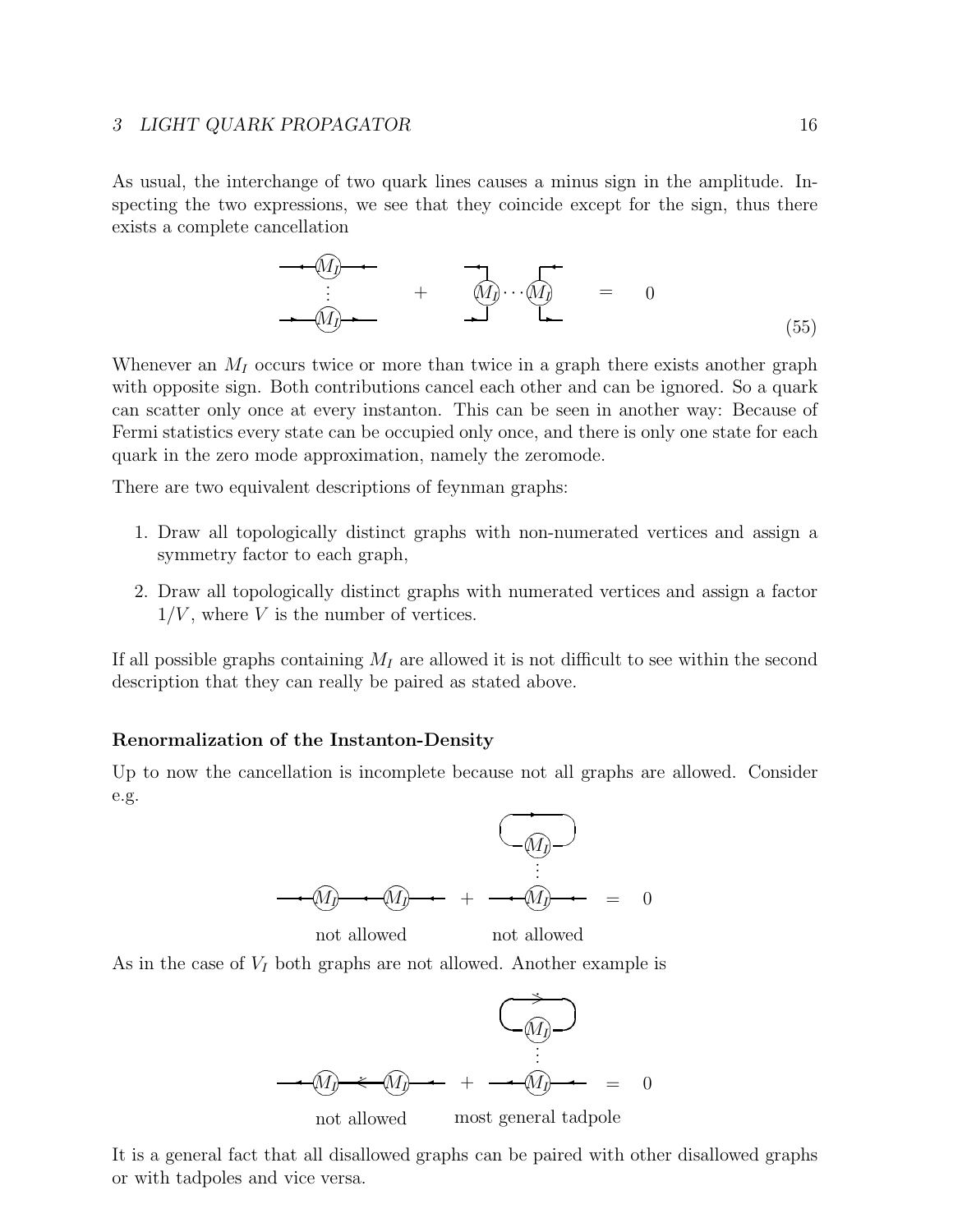<span id="page-15-0"></span>As usual, the interchange of two quark lines causes a minus sign in the amplitude. Inspecting the two expressions, we see that they coincide except for the sign, thus there exists a complete cancellation

$$
\begin{array}{ccc}\n\bullet & \xrightarrow{\mathbf{M}} & \bullet \\
\vdots & \bullet & \mathbf{M}\n\end{array}\n\qquad\n\begin{array}{ccc}\n\bullet & \bullet & \bullet \\
\hline\n\vdots & \bullet & \mathbf{M}\n\end{array}\n\qquad\n\begin{array}{ccc}\n\bullet & \bullet & \bullet \\
\hline\n\vdots & \bullet & \mathbf{M}\n\end{array}\n\qquad\n\begin{array}{ccc}\n\bullet & \bullet & \bullet \\
\hline\n\vdots & \bullet & \mathbf{M}\n\end{array}\n\end{array}\n\qquad\n\begin{array}{ccc}\n\bullet & \bullet & \bullet \\
\hline\n\vdots & \bullet & \mathbf{M}\n\end{array}\n\qquad\n\begin{array}{ccc}\n\bullet & \bullet & \bullet \\
\hline\n\vdots & \bullet & \mathbf{M}\n\end{array}\n\end{array}\n\tag{55}
$$

Whenever an  $M_I$  occurs twice or more than twice in a graph there exists another graph with opposite sign. Both contributions cancel each other and can be ignored. So a quark can scatter only once at every instanton. This can be seen in another way: Because of Fermi statistics every state can be occupied only once, and there is only one state for each quark in the zero mode approximation, namely the zeromode.

There are two equivalent descriptions of feynman graphs:

 

- 1. Draw all topologically distinct graphs with non-numerated vertices and assign a symmetry factor to each graph,
- 2. Draw all topologically distinct graphs with numerated vertices and assign a factor  $1/V$ , where V is the number of vertices.

If all possible graphs containing  $M<sub>I</sub>$  are allowed it is not difficult to see within the second description that they can really be paired as stated above.

## **Renormalization of the Instanton-Density**

Up to now the cancellation is incomplete because not all graphs are allowed. Consider e.g.



most general tadpole

not allowed

It is a general fact that all disallowed graphs can be paired with other disallowed graphs or with tadpoles and vice versa.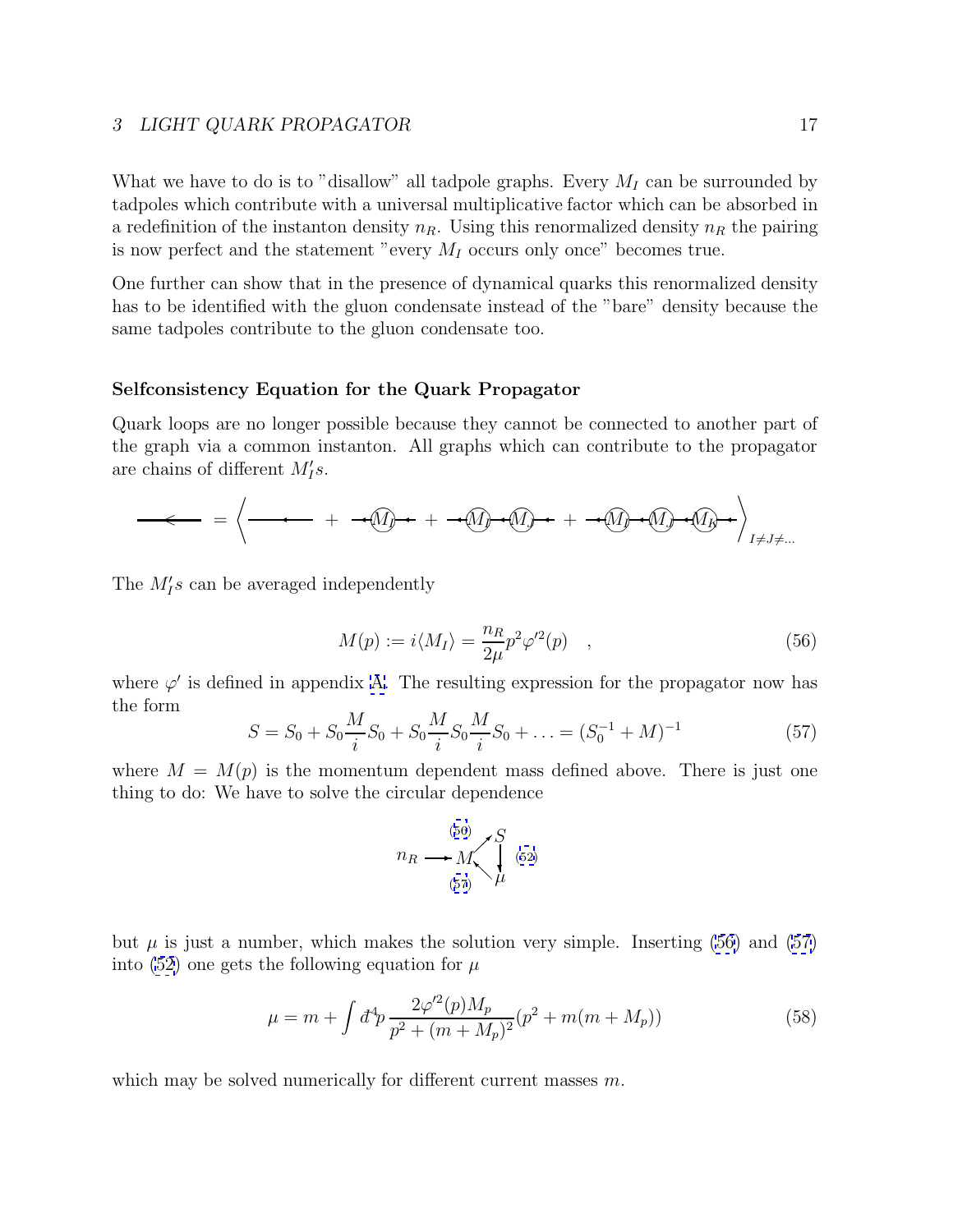<span id="page-16-0"></span>What we have to do is to "disallow" all tadpole graphs. Every  $M_I$  can be surrounded by tadpoles which contribute with a universal multiplicative factor which can be absorbed in a redefinition of the instanton density  $n_R$ . Using this renormalized density  $n_R$  the pairing is now perfect and the statement "every  $M_I$  occurs only once" becomes true.

One further can show that in the presence of dynamical quarks this renormalized density has to be identified with the gluon condensate instead of the "bare" density because the same tadpoles contribute to the gluon condensate too.

## **Selfconsistency Equation for the Quark Propagator**

Quark loops are no longer possible because they cannot be connected to another part of the graph via a common instanton. All graphs which can contribute to the propagator are chains of different  $M'_I s$ .

Mn <sup>I</sup> + Mn<sup>I</sup> Mn <sup>J</sup> + Mn<sup>I</sup> Mn<sup>J</sup> Mn K + I6=J6=... = \* < +

The  $M'_I s$  can be averaged independently

$$
M(p) := i \langle M_I \rangle = \frac{n_R}{2\mu} p^2 \varphi'^2(p) \quad , \tag{56}
$$

where  $\varphi'$  is defined in appendix [A.](#page-29-0) The resulting expression for the propagator now has the form

$$
S = S_0 + S_0 \frac{M}{i} S_0 + S_0 \frac{M}{i} S_0 \frac{M}{i} S_0 + \dots = (S_0^{-1} + M)^{-1}
$$
(57)

where  $M = M(p)$  is the momentum dependent mass defined above. There is just one thing to do: We have to solve the circular dependence

$$
n_R \longrightarrow M \begin{cases} 56 \\ 57 \end{cases} \begin{cases} S \\ \mu \end{cases} (52)
$$

but  $\mu$  is just a number, which makes the solution very simple. Inserting (56) and (57) into [\(52\)](#page-14-0) one gets the following equation for  $\mu$ 

$$
\mu = m + \int d^4p \, \frac{2\varphi'^2(p)M_p}{p^2 + (m + M_p)^2} (p^2 + m(m + M_p)) \tag{58}
$$

which may be solved numerically for different current masses m.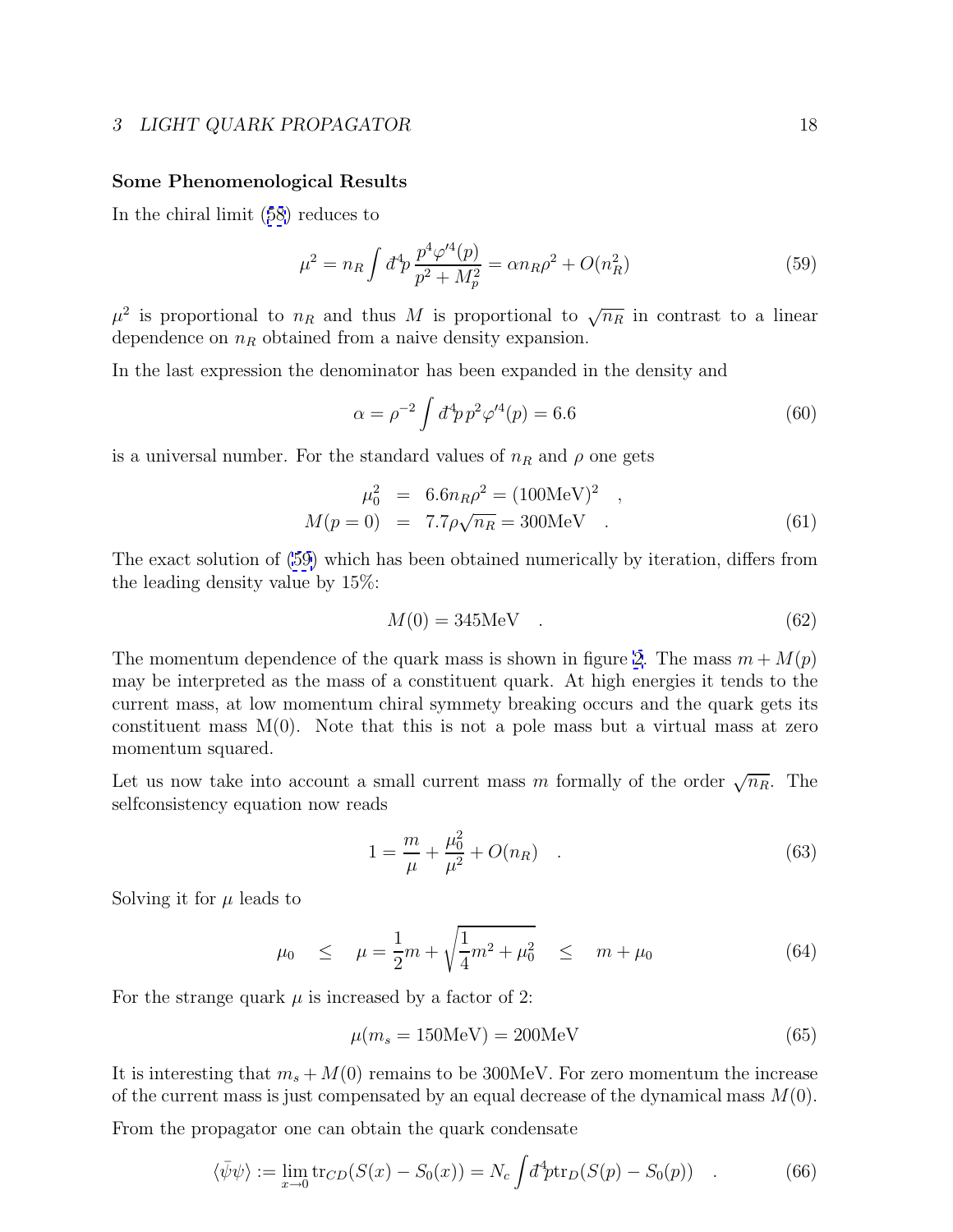### **Some Phenomenological Results**

In the chiral limit ([58](#page-16-0)) reduces to

$$
\mu^2 = n_R \int d^4 p \frac{p^4 \varphi'^4(p)}{p^2 + M_p^2} = \alpha n_R \rho^2 + O(n_R^2)
$$
\n(59)

 $\mu^2$  is proportional to  $n_R$  and thus M is proportional to  $\sqrt{n_R}$  in contrast to a linear dependence on  $n_R$  obtained from a naive density expansion.

In the last expression the denominator has been expanded in the density and

$$
\alpha = \rho^{-2} \int d^4 p \, p^2 \varphi^{\prime 4}(p) = 6.6 \tag{60}
$$

is a universal number. For the standard values of  $n_R$  and  $\rho$  one gets

$$
\mu_0^2 = 6.6 n_R \rho^2 = (100 \text{MeV})^2 ,
$$
  
\n
$$
M(p = 0) = 7.7 \rho \sqrt{n_R} = 300 \text{MeV} .
$$
 (61)

The exact solution of (59) which has been obtained numerically by iteration, differs from the leading density value by 15%:

$$
M(0) = 345 \text{MeV} \quad . \tag{62}
$$

The momentum dependence of the quark mass is shown in figure [2](#page-36-0). The mass  $m + M(p)$ may be interpreted as the mass of a constituent quark. At high energies it tends to the current mass, at low momentum chiral symmety breaking occurs and the quark gets its constituent mass  $M(0)$ . Note that this is not a pole mass but a virtual mass at zero momentum squared.

Let us now take into account a small current mass m formally of the order  $\sqrt{n_R}$ . The selfconsistency equation now reads

$$
1 = \frac{m}{\mu} + \frac{\mu_0^2}{\mu^2} + O(n_R) \quad . \tag{63}
$$

Solving it for  $\mu$  leads to

$$
\mu_0 \le \mu = \frac{1}{2}m + \sqrt{\frac{1}{4}m^2 + \mu_0^2} \le m + \mu_0 \tag{64}
$$

For the strange quark  $\mu$  is increased by a factor of 2:

$$
\mu(m_s = 150 \text{MeV}) = 200 \text{MeV} \tag{65}
$$

It is interesting that  $m_s + M(0)$  remains to be 300MeV. For zero momentum the increase of the current mass is just compensated by an equal decrease of the dynamical mass  $M(0)$ .

From the propagator one can obtain the quark condensate

$$
\langle \bar{\psi}\psi \rangle := \lim_{x \to 0} \text{tr}_{CD}(S(x) - S_0(x)) = N_c \int d^4p \text{tr}_D(S(p) - S_0(p)) \quad . \tag{66}
$$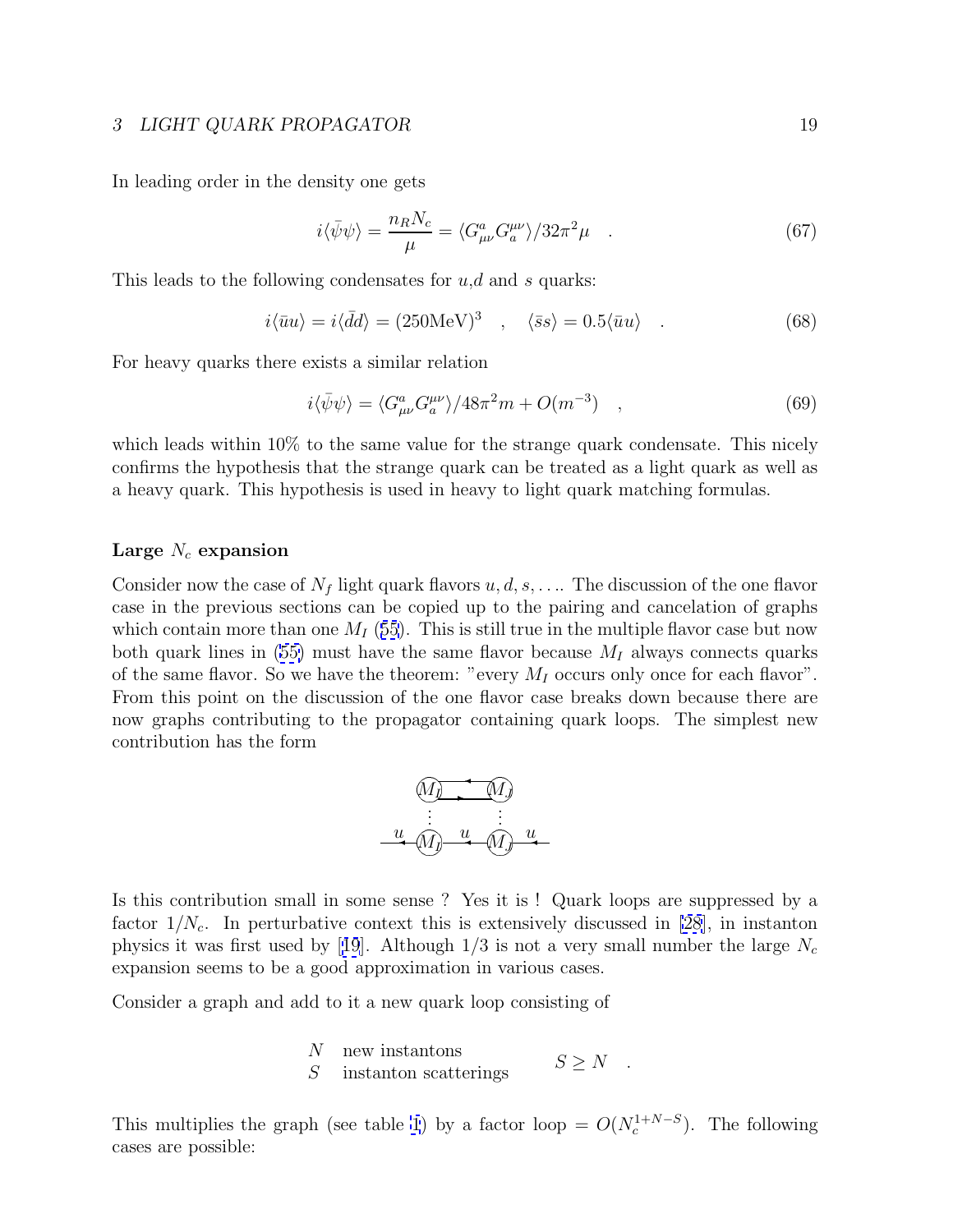<span id="page-18-0"></span>In leading order in the density one gets

$$
i\langle \bar{\psi}\psi \rangle = \frac{n_R N_c}{\mu} = \langle G_{\mu\nu}^a G_a^{\mu\nu} \rangle / 32\pi^2 \mu \quad . \tag{67}
$$

This leads to the following condensates for  $u, d$  and s quarks:

$$
i\langle \bar{u}u \rangle = i\langle \bar{d}d \rangle = (250 \text{MeV})^3 \quad , \quad \langle \bar{s}s \rangle = 0.5 \langle \bar{u}u \rangle \quad . \tag{68}
$$

For heavy quarks there exists a similar relation

$$
i\langle \bar{\psi}\psi \rangle = \langle G_{\mu\nu}^a G_a^{\mu\nu} \rangle / 48\pi^2 m + O(m^{-3}) \quad , \tag{69}
$$

which leads within  $10\%$  to the same value for the strange quark condensate. This nicely confirms the hypothesis that the strange quark can be treated as a light quark as well as a heavy quark. This hypothesis is used in heavy to light quark matching formulas.

## Large  $N_c$  expansion

Consider now the case of  $N_f$  light quark flavors  $u, d, s, \ldots$ . The discussion of the one flavor case in the previous sections can be copied up to the pairing and cancelation of graphs which contain more than one  $M_I$  ([55](#page-15-0)). This is still true in the multiple flavor case but now both quark lines in [\(55\)](#page-15-0) must have the same flavor because  $M_I$  always connects quarks of the same flavor. So we have the theorem: "every  $M_I$  occurs only once for each flavor". From this point on the discussion of the one flavor case breaks down because there are now graphs contributing to the propagator containing quark loops. The simplest new contribution has the form

$$
\underbrace{M_{j} \qquad M}_{\vdots \qquad \vdots \qquad \vdots \qquad \vdots
$$
\n
$$
\underbrace{u \quad M_{j} \quad u \quad M_{j} \quad u}_{\text{}} \qquad \qquad \ldots \qquad \ldots
$$

Is this contribution small in some sense ? Yes it is ! Quark loops are suppressed by a factor  $1/N_c$ . In perturbative context this is extensively discussed in [\[28](#page-34-0)], in instanton physics it was first used by [[19](#page-34-0)]. Although  $1/3$  is not a very small number the large  $N_c$ expansion seems to be a good approximation in various cases.

Consider a graph and add to it a new quark loop consisting of

$$
N
$$
 new instantons  
\n
$$
S \geq N.
$$

This multiplies the graph (see table [1](#page-19-0)) by a factor loop =  $O(N_c^{1+N-S})$ . The following cases are possible: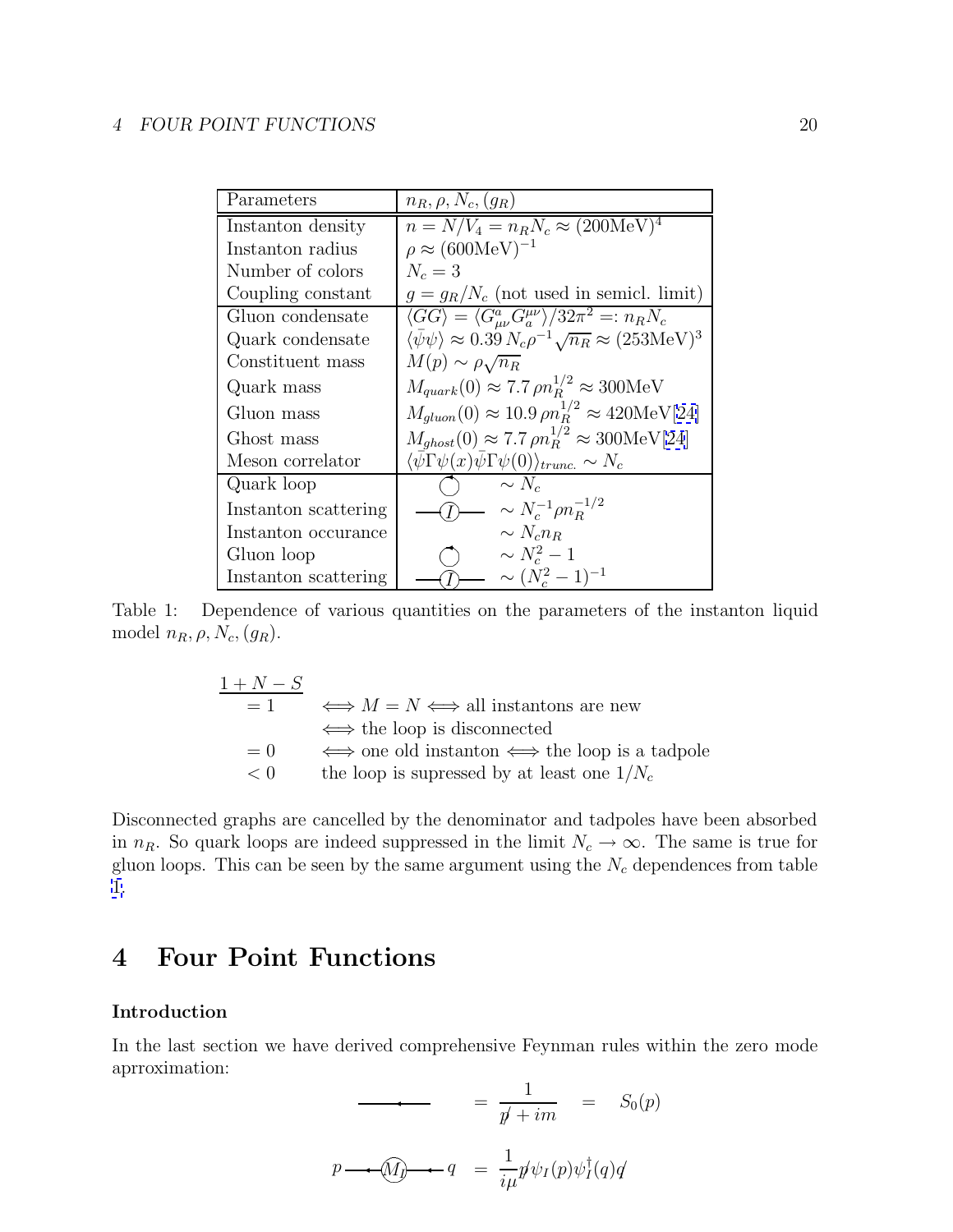<span id="page-19-0"></span>

| Parameters           | $n_R, \rho, N_c, (q_R)$                                                                           |
|----------------------|---------------------------------------------------------------------------------------------------|
| Instanton density    | $n = N/V_4 = n_R N_c \approx (200 \text{MeV})^4$                                                  |
| Instanton radius     | $\rho \approx (600 \text{MeV})^{-1}$                                                              |
| Number of colors     | $N_c=3$                                                                                           |
| Coupling constant    | $g = g_R/N_c$ (not used in semicl. limit)                                                         |
| Gluon condensate     | $\langle GG \rangle = \langle G^a_{\mu\nu} G_a^{\mu\nu} \rangle / 32\pi^2 =: n_R N_c$             |
| Quark condensate     | $\langle \bar{\psi}\psi \rangle \approx 0.39 N_c \rho^{-1} \sqrt{n_R} \approx (253 \text{MeV})^3$ |
| Constituent mass     | $M(p) \sim \rho \sqrt{n_R}$                                                                       |
| Quark mass           | $M_{quark}(0) \approx 7.7 \rho n_B^{1/2} \approx 300 \text{MeV}$                                  |
| Gluon mass           | $M_{gluon}(0) \approx 10.9 \,\rho n_B^{1/2} \approx 420 \text{MeV}[24]$                           |
| Ghost mass           | $M_{ghost}(0) \approx 7.7 \rho n_B^{1/2} \approx 300 \text{MeV}[24]$                              |
| Meson correlator     | $\langle \bar{\psi} \Gamma \psi(x) \bar{\psi} \Gamma \psi(0) \rangle_{trunc.} \sim N_c$           |
| Quark loop           | $\sim N_c$                                                                                        |
| Instanton scattering | $\sim N_c^{-1} \rho n_R^{-1/2}$                                                                   |
| Instanton occurance  | $\sim N_c n_B$                                                                                    |
| Gluon loop           | $\sim N_c^2-1$                                                                                    |
| Instanton scattering | $\sim (N_c^2-1)^{-1}$                                                                             |

Table 1: Dependence of various quantities on the parameters of the instanton liquid model  $n_R, \rho, N_c, (g_R)$ .

$$
\begin{array}{rcl}\n1 + N - S \\
= 1 & \Longleftrightarrow M = N \Longleftrightarrow \text{all instantons are new} \\
\Longleftrightarrow \text{the loop is disconnected} \\
= 0 & \Longleftrightarrow \text{one old instanton} \Longleftrightarrow \text{the loop is a tadpole} \\
< 0 & \text{the loop is supressed by at least one } 1/N_c\n\end{array}
$$

Disconnected graphs are cancelled by the denominator and tadpoles have been absorbed in  $n_R$ . So quark loops are indeed suppressed in the limit  $N_c \to \infty$ . The same is true for gluon loops. This can be seen by the same argument using the  $N_c$  dependences from table 1.

## **4 Four Point Functions**

## **Introduction**

In the last section we have derived comprehensive Feynman rules within the zero mode aprroximation:

$$
= \frac{1}{p' + im} = S_0(p)
$$
  

$$
p \longrightarrow \widehat{M} \longrightarrow q = \frac{1}{i\mu} p' \psi_I(p) \psi_I^{\dagger}(q) q'
$$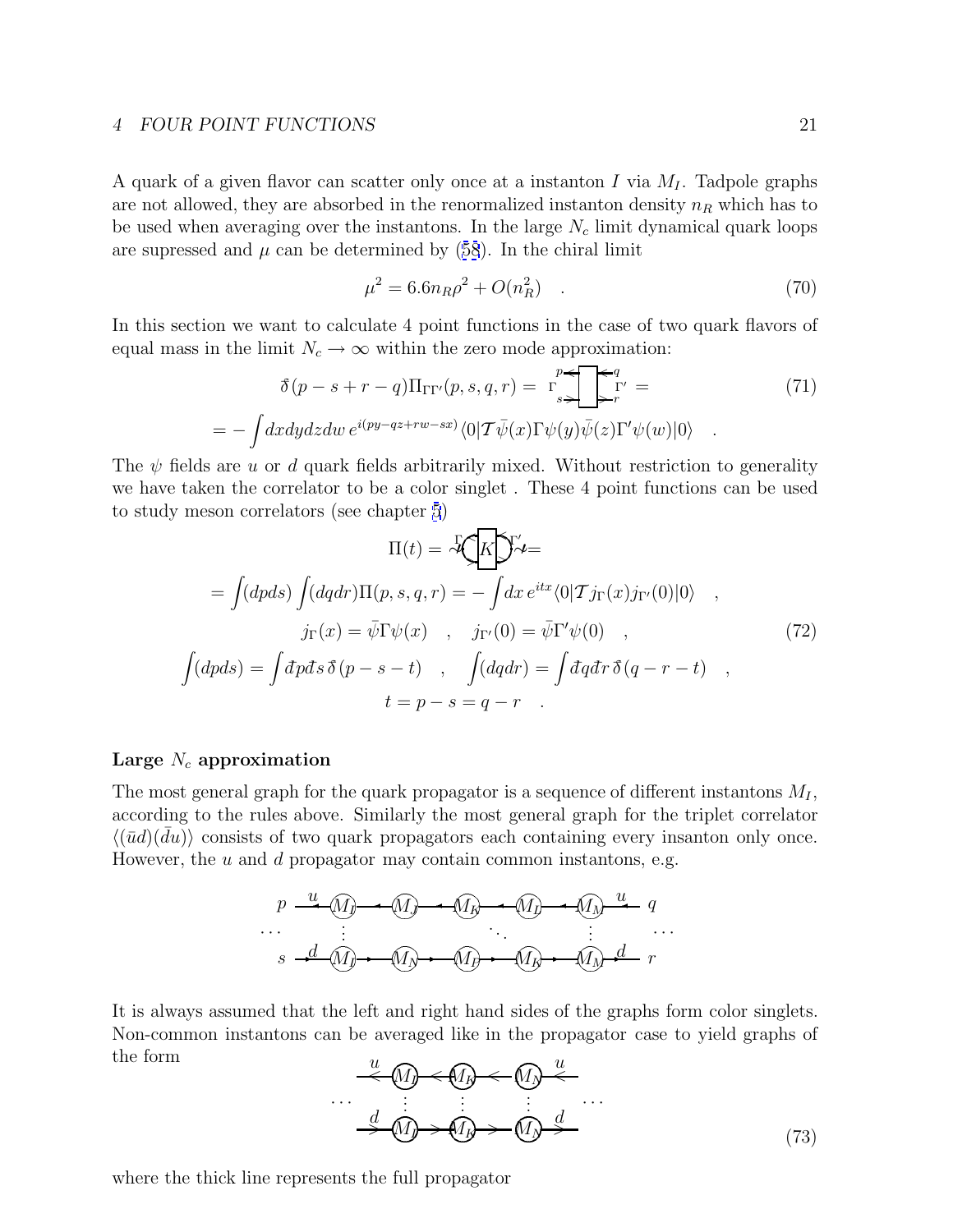<span id="page-20-0"></span>A quark of a given flavor can scatter only once at a instanton I via  $M_I$ . Tadpole graphs are not allowed, they are absorbed in the renormalized instanton density  $n_R$  which has to be used when averaging over the instantons. In the large  $N_c$  limit dynamical quark loops are supressed and  $\mu$  can be determined by ([58](#page-16-0)). In the chiral limit

$$
\mu^2 = 6.6n_R\rho^2 + O(n_R^2) \quad . \tag{70}
$$

In this section we want to calculate 4 point functions in the case of two quark flavors of equal mass in the limit  $N_c \to \infty$  within the zero mode approximation:

$$
\delta(p - s + r - q) \Pi_{\Gamma \Gamma'}(p, s, q, r) = \Gamma \sum_{s}^{p} \Gamma'_{r} =
$$
\n
$$
- \int dx dy dz dw \, e^{i(py - qz + rw - sx)} \langle 0 | T \bar{\psi}(x) \Gamma \psi(y) \bar{\psi}(z) \Gamma' \psi(w) | 0 \rangle .
$$
\n(71)

The  $\psi$  fields are u or d quark fields arbitrarily mixed. Without restriction to generality we have taken the correlator to be a color singlet . These 4 point functions can be used to study meson correlators (see chapter [5](#page-25-0))

$$
\Pi(t) = \sqrt[12]{K} \mathcal{Y}' \mathcal{L} =
$$
\n
$$
= \int (dpds) \int (dqdr) \Pi(p, s, q, r) = - \int dx e^{itx} \langle 0|\mathcal{T}j_{\Gamma}(x)j_{\Gamma'}(0)|0\rangle ,
$$
\n
$$
j_{\Gamma}(x) = \bar{\psi} \Gamma \psi(x) , \quad j_{\Gamma'}(0) = \bar{\psi} \Gamma' \psi(0) ,
$$
\n
$$
\int (dpds) = \int dpds \, \delta(p - s - t) , \quad \int (dqdr) = \int dqdr \, \delta(q - r - t) ,
$$
\n
$$
t = p - s = q - r .
$$
\n(72)

## Large  $N_c$  approximation

= −

The most general graph for the quark propagator is a sequence of different instantons  $M_I$ , according to the rules above. Similarly the most general graph for the triplet correlator  $\langle (u\bar{u}) (\bar{d}u) \rangle$  consists of two quark propagators each containing every insanton only once. However, the  $u$  and  $d$  propagator may contain common instantons, e.g.

$$
p \stackrel{u}{\longrightarrow} \underbrace{(M)} \longrightarrow \underbrace{(M)} \longrightarrow \underbrace{(M)} \longrightarrow \underbrace{(M)} \longrightarrow \underbrace{(M)} \longrightarrow \underbrace{(M)} \stackrel{u}{\longrightarrow} q
$$
\n...  
\n
$$
s \stackrel{d}{\longrightarrow} \underbrace{(M)} \longrightarrow \underbrace{(M)} \longrightarrow \underbrace{(M)} \longrightarrow \underbrace{(M)} \longrightarrow \underbrace{(M)} \stackrel{u}{\longrightarrow} r
$$

It is always assumed that the left and right hand sides of the graphs form color singlets. Non-common instantons can be averaged like in the propagator case to yield graphs of the form u u

$$
\begin{array}{c}\n\downarrow u \\
\hline\n\downarrow u \\
\hline\n\downarrow u \\
\hline\n\downarrow u \\
\hline\n\downarrow u \\
\hline\n\downarrow u \\
\hline\n\downarrow u \\
\hline\n\downarrow u \\
\hline\n\downarrow u \\
\hline\n\downarrow u \\
\hline\n\downarrow u \\
\hline\n\downarrow u \\
\hline\n\downarrow u \\
\hline\n\downarrow u \\
\hline\n\downarrow u \\
\hline\n\downarrow u \\
\hline\n\downarrow u \\
\hline\n\downarrow u \\
\hline\n\downarrow u \\
\hline\n\downarrow u \\
\hline\n\downarrow u \\
\hline\n\downarrow u \\
\hline\n\downarrow u \\
\hline\n\downarrow u \\
\hline\n\downarrow u \\
\hline\n\downarrow u \\
\hline\n\downarrow u \\
\hline\n\downarrow u \\
\hline\n\downarrow u \\
\hline\n\downarrow u \\
\hline\n\downarrow u \\
\hline\n\downarrow u \\
\hline\n\downarrow u \\
\hline\n\downarrow u \\
\hline\n\downarrow u \\
\hline\n\downarrow u \\
\hline\n\downarrow u \\
\hline\n\downarrow u \\
\hline\n\downarrow u \\
\hline\n\downarrow u \\
\hline\n\downarrow u \\
\hline\n\downarrow u \\
\hline\n\downarrow u \\
\hline\n\downarrow u \\
\hline\n\downarrow u \\
\hline\n\downarrow u \\
\hline\n\downarrow u \\
\hline\n\downarrow u \\
\hline\n\downarrow u \\
\hline\n\downarrow u \\
\hline\n\downarrow u \\
\hline\n\downarrow u \\
\hline\n\downarrow u \\
\hline\n\downarrow u \\
\hline\n\downarrow u \\
\hline\n\downarrow u \\
\hline\n\downarrow u \\
\hline\n\downarrow u \\
\hline\n\downarrow u \\
\hline\n\downarrow u \\
\hline\n\downarrow u \\
\hline\n\downarrow u \\
\hline\n\downarrow u \\
\hline\n\downarrow u \\
\hline\n\downarrow u \\
\hline\n\downarrow u \\
\hline\n\downarrow u \\
\hline\n\downarrow u \\
\hline\n\downarrow u \\
\hline\n\downarrow u \\
\hline\n\downarrow u \\
\hline\n\downarrow u \\
\hline\n\downarrow u \\
\hline\n\downarrow u \\
\hline\n\downarrow u \\
\hline\n\downarrow u \\
\hline\n\downarrow u \\
\hline\n\downarrow u \\
\hline\n\downarrow u \\
\hline\n\downarrow u \\
\hline\n\downarrow u \\
\hline\n\downarrow u \\
\hline\n\downarrow u \\
\hline\n\downarrow u \\
$$

where the thick line represents the full propagator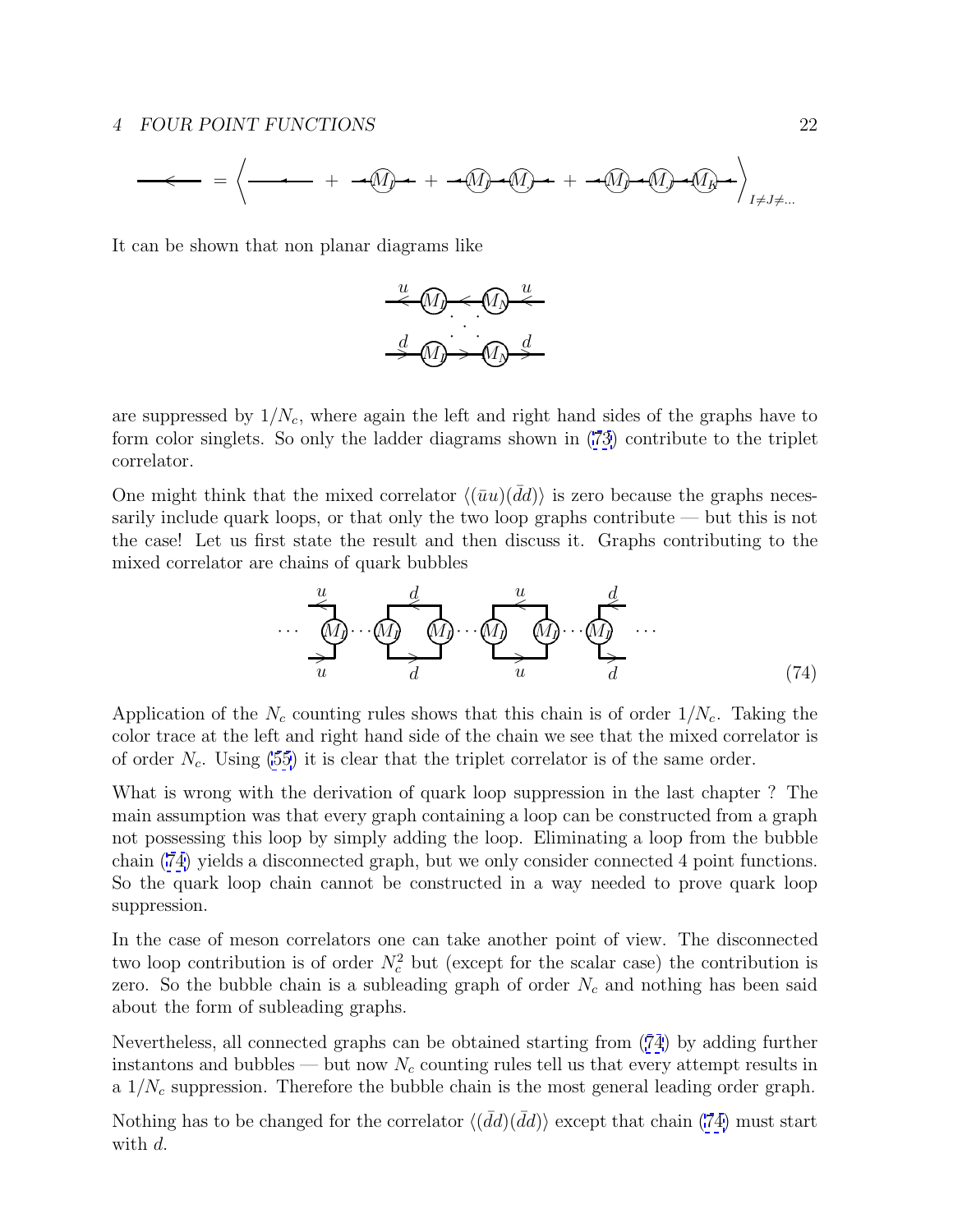Mn<sup>I</sup> + Mn<sup>I</sup> Mn<sup>J</sup> + Mn<sup>I</sup> Mn<sup>J</sup> Mn<sup>K</sup> + I6=J6=... = \* < +

It can be shown that non planar diagrams like



are suppressed by  $1/N_c$ , where again the left and right hand sides of the graphs have to form color singlets. So only the ladder diagrams shown in [\(73\)](#page-20-0) contribute to the triplet correlator.

One might think that the mixed correlator  $\langle (\bar{u}u)(\bar{d}d) \rangle$  is zero because the graphs necessarily include quark loops, or that only the two loop graphs contribute — but this is not the case! Let us first state the result and then discuss it. Graphs contributing to the mixed correlator are chains of quark bubbles

$$
\begin{array}{c}\n\underbrace{u}_{\text{M}} & d \\
\hline\n\underbrace{u}_{\text{M}} & \text{M}_{\text{J}} \\
\hline\n\underbrace{u}_{\text{J}} & \text{M}_{\text{J}} \\
\hline\n\underbrace{u}_{\text{J}} & \text{M}_{\text{J}} \\
\hline\n\end{array}\n\qquad\n\begin{array}{c}\n\underbrace{u}_{\text{M}} & d \\
\hline\n\underbrace{u}_{\text{J}} & \text{M}_{\text{J}} \\
\hline\n\underbrace{u}_{\text{J}} & \text{M}_{\text{J}} \\
\hline\n\end{array}\n\qquad (74)
$$

Application of the  $N_c$  counting rules shows that this chain is of order  $1/N_c$ . Taking the color trace at the left and right hand side of the chain we see that the mixed correlator is of order  $N_c$ . Using [\(55](#page-15-0)) it is clear that the triplet correlator is of the same order.

What is wrong with the derivation of quark loop suppression in the last chapter ? The main assumption was that every graph containing a loop can be constructed from a graph not possessing this loop by simply adding the loop. Eliminating a loop from the bubble chain (74) yields a disconnected graph, but we only consider connected 4 point functions. So the quark loop chain cannot be constructed in a way needed to prove quark loop suppression.

In the case of meson correlators one can take another point of view. The disconnected two loop contribution is of order  $N_c^2$  but (except for the scalar case) the contribution is zero. So the bubble chain is a subleading graph of order  $N_c$  and nothing has been said about the form of subleading graphs.

Nevertheless, all connected graphs can be obtained starting from (74) by adding further instantons and bubbles — but now  $N_c$  counting rules tell us that every attempt results in a  $1/N_c$  suppression. Therefore the bubble chain is the most general leading order graph.

Nothing has to be changed for the correlator  $\langle (d\bar{d}d)(\bar{d}d)\rangle$  except that chain (74) must start with d.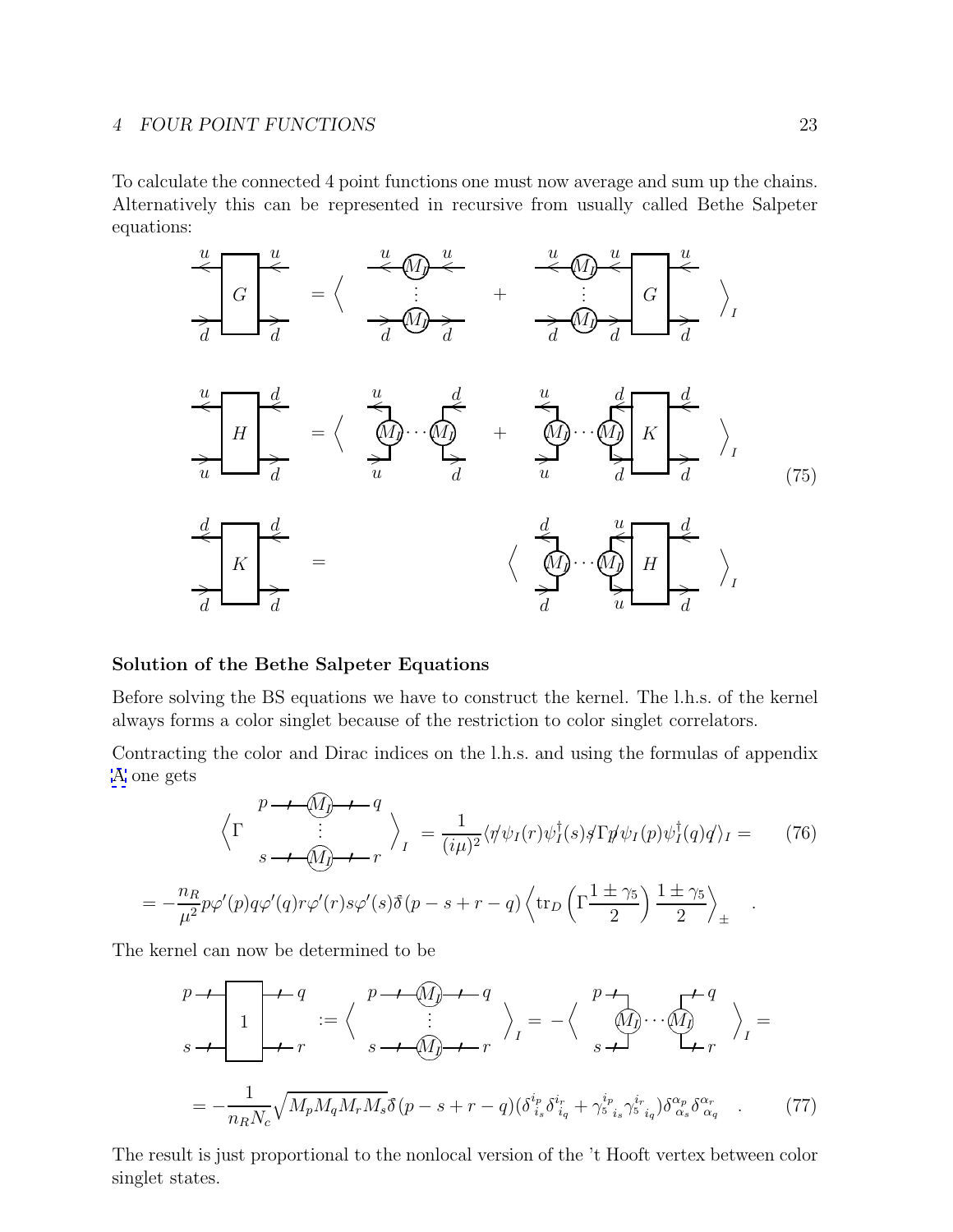<span id="page-22-0"></span>To calculate the connected 4 point functions one must now average and sum up the chains. Alternatively this can be represented in recursive from usually called Bethe Salpeter equations:



## **Solution of the Bethe Salpeter Equations**

Before solving the BS equations we have to construct the kernel. The l.h.s. of the kernel always forms a color singlet because of the restriction to color singlet correlators.

Contracting the color and Dirac indices on the l.h.s. and using the formulas of appendix [A](#page-29-0) one gets

$$
\left\langle \Gamma \right\rangle_{s} \xrightarrow{p \to \mathcal{M}} \left\langle \Gamma \right\rangle_{s} \xrightarrow{1} \left\langle \mathcal{M}_{\mathcal{J}} \right\rangle_{\mathcal{M}} = \frac{1}{(i\mu)^{2}} \langle \psi \psi_{I}(r) \psi_{I}^{\dagger}(s) \xi \Gamma \psi \psi_{I}(p) \psi_{I}^{\dagger}(q) q \rangle_{I} = \qquad (76)
$$
\n
$$
= -\frac{n_{R}}{\mu^{2}} p \varphi'(p) q \varphi'(q) r \varphi'(r) s \varphi'(s) \delta(p - s + r - q) \left\langle \text{tr}_{D} \left( \Gamma \frac{1 \pm \gamma_{5}}{2} \right) \frac{1 \pm \gamma_{5}}{2} \right\rangle_{\pm}.
$$

The kernel can now be determined to be

$$
p \rightarrow \begin{bmatrix} 1 & p \rightarrow q \\ 1 & p \rightarrow q \\ 1 & r \end{bmatrix} := \left\langle \begin{array}{c} p \rightarrow q \\ \vdots \\ s \rightarrow q \end{array} \right\rangle_{I} = - \left\langle \begin{array}{c} p \rightarrow q \\ \vdots \\ s \rightarrow q \end{array} \right\rangle_{I} = - \frac{1}{n_{R}N_{c}} \sqrt{M_{p}M_{q}M_{r}M_{s}} \delta(p - s + r - q) \left(\delta_{i_{s}}^{i_{p}} \delta_{i_{q}}^{i_{r}} + \gamma_{s}^{i_{p}} \gamma_{s}^{i_{r}} \delta_{i_{q}}^{i_{r}}\right) \delta_{\alpha_{s}}^{\alpha_{p}} \delta_{\alpha_{q}}^{\alpha_{r}} \end{array} \right. \tag{77}
$$

The result is just proportional to the nonlocal version of the 't Hooft vertex between color singlet states.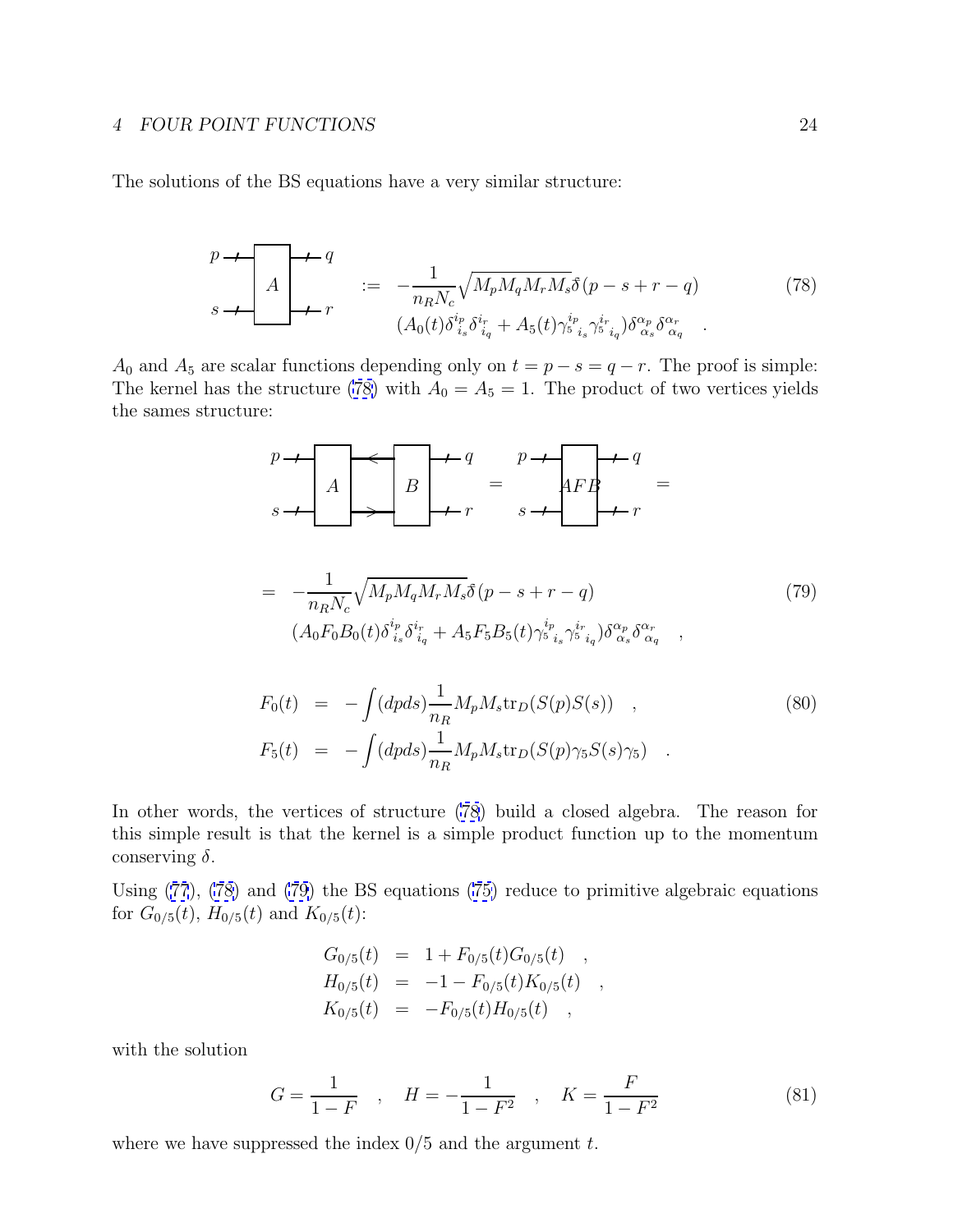<span id="page-23-0"></span>The solutions of the BS equations have a very similar structure:

$$
\begin{array}{ccc}\np \to & A \\
A & \to & r\n\end{array} = -\frac{1}{n_R N_c} \sqrt{M_p M_q M_r M_s} \delta(p - s + r - q) \tag{78}
$$
\n
$$
(A_0(t) \delta_{i_s}^{i_p} \delta_{i_q}^{i_r} + A_5(t) \gamma_{i_s}^{i_p} \gamma_{i_q}^{i_r}) \delta_{\alpha_s}^{\alpha_p} \delta_{\alpha_q}^{\alpha_r} \quad .
$$

A<sub>0</sub> and A<sub>5</sub> are scalar functions depending only on  $t = p - s = q - r$ . The proof is simple: The kernel has the structure (78) with  $A_0 = A_5 = 1$ . The product of two vertices yields the sames structure:

$$
\begin{array}{ccc}\np & \rightarrow & A \\
\hline\n & A & B & \rightarrow & \\
 & \rightarrow & r & \\
 & \rightarrow & r & \\
 & \rightarrow & r & \\
 & \rightarrow & r & \\
 & \rightarrow & r & \\
 & \rightarrow & r & \\
 & \rightarrow & r & \\
 & \rightarrow & r & \\
 & \rightarrow & r & \\
 & \rightarrow & r & \\
 & \rightarrow & r & \\
 & \rightarrow & r & \\
 & \rightarrow & r & \\
 & \rightarrow & r & \\
 & \rightarrow & r & \\
 & \rightarrow & r & \\
 & \rightarrow & r & \\
 & \rightarrow & r & \\
 & \rightarrow & r & \\
 & \rightarrow & r & \\
 & \rightarrow & r & \\
 & \rightarrow & r & \\
 & \rightarrow & r & \\
 & \rightarrow & r & \\
 & \rightarrow & r & \\
 & \rightarrow & r & \\
 & \rightarrow & r & \\
 & \rightarrow & r & \\
 & \rightarrow & r & \\
 & \rightarrow & r & \\
 & \rightarrow & r & \\
 & \rightarrow & r & \\
 & \rightarrow & r & \\
 & \rightarrow & r & \\
 & \rightarrow & r & \\
 & \rightarrow & r & \\
 & \rightarrow & r & \\
 & \rightarrow & r & \\
 & \rightarrow & r & \\
 & \rightarrow & r & \\
 & \rightarrow & r & \\
 & \rightarrow & r & \\
 & \rightarrow & r & \\
 & \rightarrow & r & \\
 & \rightarrow & r & \\
 & \rightarrow & r & \\
 & \rightarrow & r & \\
 & \rightarrow & r & \\
 & \rightarrow & r & \\
 & \rightarrow & r & \\
 & \rightarrow & r & \\
 & \rightarrow & r & \\
 & \rightarrow & r & \\
 & \rightarrow & r & \\
 & \rightarrow & r & \\
 & \rightarrow &
$$

$$
= -\frac{1}{n_R N_c} \sqrt{M_p M_q M_r M_s} \delta(p - s + r - q)
$$
(79)  

$$
(A_0 F_0 B_0(t) \delta^{i_p}_{i_s} \delta^{i_r}_{i_q} + A_5 F_5 B_5(t) \gamma^{i_p}_{s} \delta^{i_r}_{i_q}) \delta^{\alpha_p}_{\alpha_s} \delta^{\alpha_r}_{\alpha_q} ,
$$

$$
F_0(t) = -\int (dpds) \frac{1}{n_R} M_p M_s \text{tr}_D(S(p)S(s)) ,
$$
  
\n
$$
F_5(t) = -\int (dpds) \frac{1}{n_R} M_p M_s \text{tr}_D(S(p) \gamma_5 S(s) \gamma_5) .
$$
 (80)

In other words, the vertices of structure (78) build a closed algebra. The reason for this simple result is that the kernel is a simple product function up to the momentum conserving  $\delta$ .

Using ([77](#page-22-0)), (78) and (79) the BS equations [\(75\)](#page-22-0) reduce to primitive algebraic equations for  $G_{0/5}(t)$ ,  $H_{0/5}(t)$  and  $K_{0/5}(t)$ :

$$
G_{0/5}(t) = 1 + F_{0/5}(t)G_{0/5}(t) ,
$$
  
\n
$$
H_{0/5}(t) = -1 - F_{0/5}(t)K_{0/5}(t) ,
$$
  
\n
$$
K_{0/5}(t) = -F_{0/5}(t)H_{0/5}(t) ,
$$

with the solution

$$
G = \frac{1}{1 - F} \quad , \quad H = -\frac{1}{1 - F^2} \quad , \quad K = \frac{F}{1 - F^2} \tag{81}
$$

where we have suppressed the index  $0/5$  and the argument  $t$ .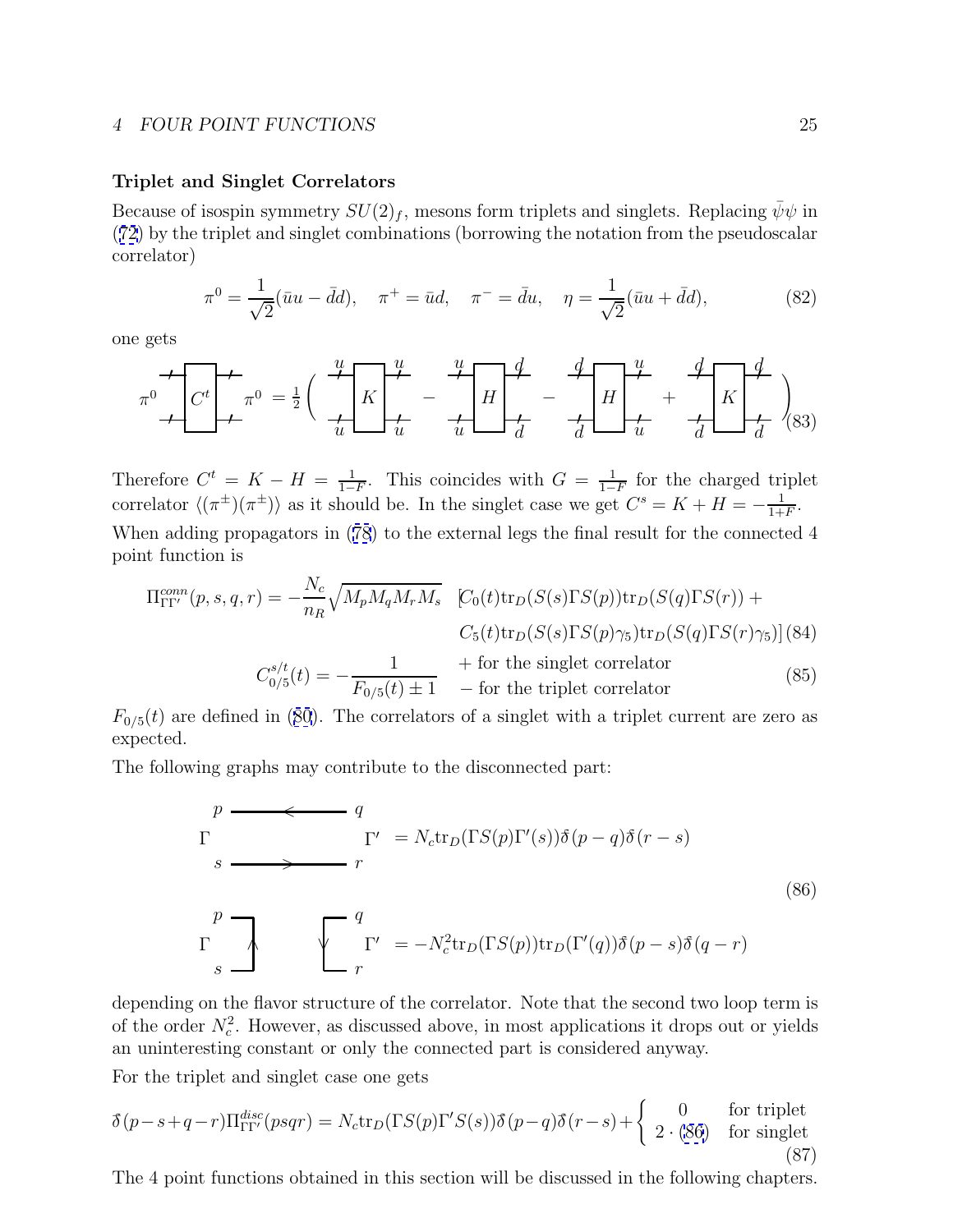## **Triplet and Singlet Correlators**

Because of isospin symmetry  $SU(2)_f$ , mesons form triplets and singlets. Replacing  $\bar{\psi}\psi$  in ([72](#page-20-0)) by the triplet and singlet combinations (borrowing the notation from the pseudoscalar correlator)

$$
\pi^0 = \frac{1}{\sqrt{2}} (\bar{u}u - \bar{d}d), \quad \pi^+ = \bar{u}d, \quad \pi^- = \bar{d}u, \quad \eta = \frac{1}{\sqrt{2}} (\bar{u}u + \bar{d}d), \tag{82}
$$

one gets

$$
\pi^{0} \left( C^{t} \right) \leftarrow \pi^{0} = \frac{1}{2} \left( \frac{u}{u} K \right) \left( \frac{u}{u} - \frac{u}{u} \right) \left( \frac{d}{d} \right) \left( \frac{d}{d} \right) \left( \frac{u}{u} + \frac{d}{d} \right) \left( \frac{d}{d} \right)
$$
\n(83)

Therefore  $C^t = K - H = \frac{1}{1-F}$ . This coincides with  $G = \frac{1}{1-F}$  for the charged triplet correlator  $\langle (\pi^{\pm})(\pi^{\pm})\rangle$  as it should be. In the singlet case we get  $C^s = K + H = -\frac{1}{1+F}$ . When adding propagators in ([78](#page-23-0)) to the external legs the final result for the connected 4 point function is

$$
\Pi_{\Gamma\Gamma'}^{conn}(p, s, q, r) = -\frac{N_c}{n_R} \sqrt{M_p M_q M_r M_s} \quad [C_0(t) \text{tr}_D(S(s) \Gamma S(p)) \text{tr}_D(S(q) \Gamma S(r)) +
$$
  
\n
$$
C_5(t) \text{tr}_D(S(s) \Gamma S(p) \gamma_5) \text{tr}_D(S(q) \Gamma S(r) \gamma_5)] (84)
$$
  
\n
$$
C_{0/5}^{s/t}(t) = -\frac{1}{F_{0/5}(t) \pm 1} \quad + \text{for the singlet correlator}
$$
  
\n
$$
(85)
$$

 $F_{0/5}(t)$  are defined in ([80](#page-23-0)). The correlators of a singlet with a triplet current are zero as expected.

The following graphs may contribute to the disconnected part:

$$
p \longrightarrow q
$$
  
\n
$$
\Gamma \longrightarrow r
$$
  
\n
$$
s \longrightarrow r
$$
  
\n
$$
\Gamma \longrightarrow r
$$
  
\n
$$
\Gamma \longrightarrow r
$$
  
\n
$$
\Gamma \longrightarrow r
$$
  
\n
$$
\Gamma \longrightarrow r
$$
  
\n
$$
\Gamma \longrightarrow r
$$
  
\n
$$
\Gamma \longrightarrow r
$$
  
\n
$$
\Gamma \longrightarrow r
$$
  
\n
$$
\Gamma \longrightarrow r
$$
  
\n
$$
\Gamma \longrightarrow r
$$
  
\n
$$
\Gamma \longrightarrow r
$$
  
\n
$$
\Gamma \longrightarrow r
$$
  
\n
$$
\Gamma \longrightarrow r
$$
  
\n
$$
\Gamma \longrightarrow r
$$
  
\n
$$
\Gamma \longrightarrow r
$$
  
\n
$$
\Gamma \longrightarrow r
$$
  
\n
$$
\Gamma \longrightarrow r
$$
  
\n
$$
\Gamma \longrightarrow r
$$
  
\n
$$
\Gamma \longrightarrow r
$$
  
\n
$$
\Gamma \longrightarrow r
$$
  
\n
$$
\Gamma \longrightarrow r
$$
  
\n
$$
\Gamma \longrightarrow r
$$
  
\n
$$
\Gamma \longrightarrow r
$$
  
\n
$$
\Gamma \longrightarrow r
$$
  
\n
$$
\Gamma \longrightarrow r
$$
  
\n
$$
\Gamma \longrightarrow r
$$
  
\n
$$
\Gamma \longrightarrow r
$$
  
\n
$$
\Gamma \longrightarrow r
$$
  
\n
$$
\Gamma \longrightarrow r
$$
  
\n
$$
\Gamma \longrightarrow r
$$
  
\n
$$
\Gamma \longrightarrow r
$$
  
\n
$$
\Gamma \longrightarrow r
$$
  
\n
$$
\Gamma \longrightarrow r
$$
  
\n
$$
\Gamma \longrightarrow r
$$
  
\n
$$
\Gamma \longrightarrow r
$$
  
\n
$$
\Gamma \longrightarrow r
$$
  
\n
$$
\Gamma \longrightarrow r
$$
  
\n
$$
\Gamma \longrightarrow r
$$
  
\n
$$
\Gamma \longrightarrow r
$$
  
\n
$$
\Gamma \longrightarrow r
$$
  
\n
$$
\Gamma \longrightarrow r
$$
  
\n
$$
\Gamma \longrightarrow r
$$
  
\n
$$
\Gamma \longrightarrow r
$$
  
\n
$$
\Gamma \longrightarrow r
$$
  
\n
$$
\Gamma \longrightarrow r
$$
  
\n
$$
\Gamma \longrightarrow r
$$
<

depending on the flavor structure of the correlator. Note that the second two loop term is of the order  $N_c^2$ . However, as discussed above, in most applications it drops out or yields an uninteresting constant or only the connected part is considered anyway.

For the triplet and singlet case one gets

$$
\delta(p-s+q-r)\Pi_{\Gamma\Gamma'}^{disc}(psqr) = N_c \text{tr}_D(\Gamma S(p)\Gamma'S(s))\delta(p-q)\delta(r-s) + \begin{cases} 0 & \text{for triplet} \\ 2 \cdot (86) & \text{for singlet} \end{cases} \tag{87}
$$

The 4 point functions obtained in this section will be discussed in the following chapters.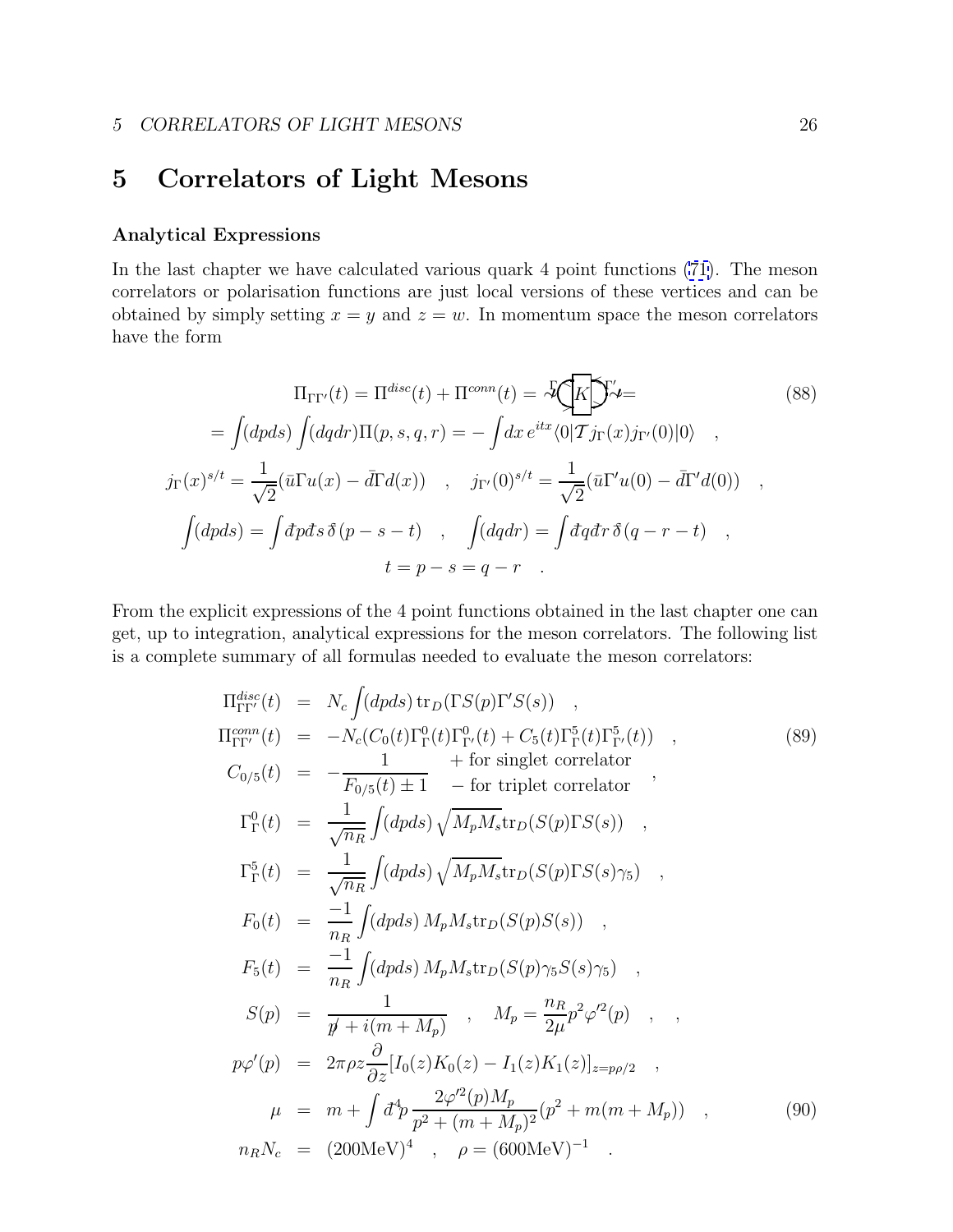## <span id="page-25-0"></span>**5 Correlators of Light Mesons**

## **Analytical Expressions**

In the last chapter we have calculated various quark 4 point functions [\(71\)](#page-20-0). The meson correlators or polarisation functions are just local versions of these vertices and can be obtained by simply setting  $x = y$  and  $z = w$ . In momentum space the meson correlators have the form

$$
\Pi_{\Gamma\Gamma'}(t) = \Pi^{disc}(t) + \Pi^{conn}(t) = \mathcal{F}\left(K\right)\mathcal{F}' =
$$
\n
$$
= \int (dpds) \int (dqdr) \Pi(p, s, q, r) = -\int dx e^{itx} \langle 0|\mathcal{T}j_{\Gamma}(x)j_{\Gamma'}(0)|0\rangle ,
$$
\n
$$
j_{\Gamma}(x)^{s/t} = \frac{1}{\sqrt{2}} (\bar{u}\Gamma u(x) - \bar{d}\Gamma d(x)) , \quad j_{\Gamma'}(0)^{s/t} = \frac{1}{\sqrt{2}} (\bar{u}\Gamma' u(0) - \bar{d}\Gamma' d(0)) ,
$$
\n
$$
\int (dpds) = \int d\mathbf{r} d\mathbf{s} \,\delta(p - s - t) , \quad \int (dqdr) = \int d\mathbf{r} d\mathbf{r} \,\delta(q - r - t) ,
$$
\n
$$
t = p - s = q - r .
$$
\n(88)

From the explicit expressions of the 4 point functions obtained in the last chapter one can get, up to integration, analytical expressions for the meson correlators. The following list is a complete summary of all formulas needed to evaluate the meson correlators:

$$
\Pi_{\Gamma\Gamma'}^{disc}(t) = N_c \int (dpds) \operatorname{tr}_D(\Gamma S(p)\Gamma'S(s)) ,
$$
  
\n
$$
\Pi_{\Gamma\Gamma'}^{conn}(t) = -N_c(C_0(t)\Gamma_1^0(t)\Gamma_{\Gamma'}^0(t) + C_5(t)\Gamma_{\Gamma'}^5(t)\Gamma_{\Gamma'}^5(t)) ,
$$
  
\n
$$
C_{0/5}(t) = -\frac{1}{F_{0/5}(t) \pm 1} - \text{for triplet correlator } ,
$$
  
\n
$$
\Gamma_{\Gamma}^5(t) = \frac{1}{\sqrt{n_R}} \int (dpds) \sqrt{M_p M_s} \operatorname{tr}_D(S(p)\Gamma S(s)) ,
$$
  
\n
$$
\Gamma_{\Gamma}^5(t) = \frac{1}{\sqrt{n_R}} \int (dpds) \sqrt{M_p M_s} \operatorname{tr}_D(S(p)\Gamma S(s)\gamma_5) ,
$$
  
\n
$$
F_0(t) = \frac{-1}{n_R} \int (dpds) M_p M_s \operatorname{tr}_D(S(p)S(s)) ,
$$
  
\n
$$
F_5(t) = \frac{-1}{n_R} \int (dpds) M_p M_s \operatorname{tr}_D(S(p)\gamma_5 S(s)\gamma_5) ,
$$
  
\n
$$
S(p) = \frac{1}{p' + i(m + M_p)} , M_p = \frac{n_R}{2\mu} p^2 \varphi'^2(p) ,
$$
  
\n
$$
p\varphi'(p) = 2\pi \rho z \frac{\partial}{\partial z} [I_0(z)K_0(z) - I_1(z)K_1(z)]_{z=p\rho/2} ,
$$
  
\n
$$
\mu = m + \int d^4 p \frac{2\varphi'^2(p)M_p}{p^2 + (m + M_p)^2} (p^2 + m(m + M_p)) ,
$$
  
\n
$$
n_R N_c = (200 \text{MeV})^4 , \rho = (600 \text{MeV})^{-1} .
$$
  
\n(90)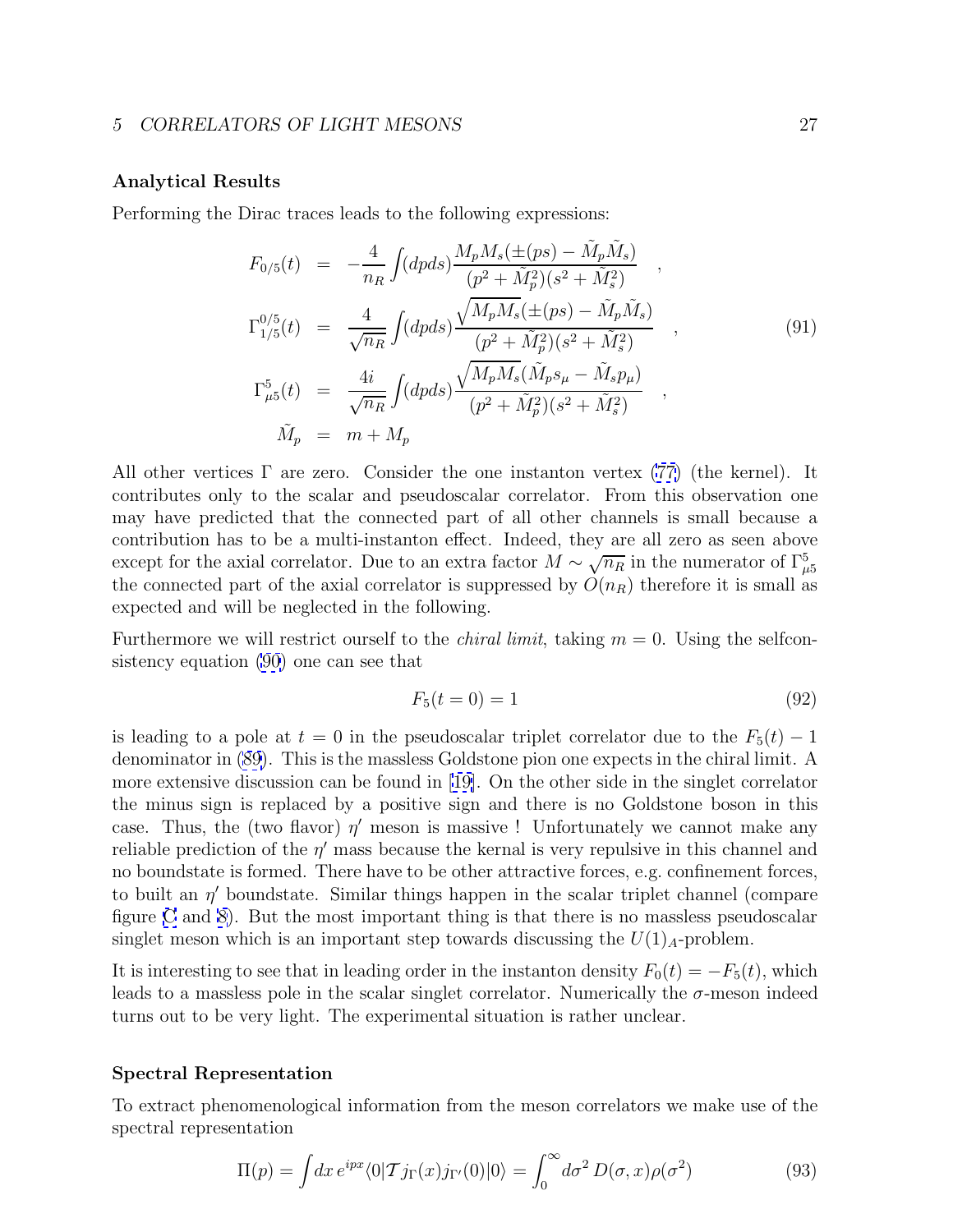## <span id="page-26-0"></span>**Analytical Results**

Performing the Dirac traces leads to the following expressions:

$$
F_{0/5}(t) = -\frac{4}{n_R} \int (dpds) \frac{M_p M_s(\pm(ps) - \tilde{M}_p \tilde{M}_s)}{(p^2 + \tilde{M}_p^2)(s^2 + \tilde{M}_s^2)},
$$
  
\n
$$
\Gamma_{1/5}^{0/5}(t) = \frac{4}{\sqrt{n_R}} \int (dpds) \frac{\sqrt{M_p M_s(\pm(ps) - \tilde{M}_p \tilde{M}_s)}}{(p^2 + \tilde{M}_p^2)(s^2 + \tilde{M}_s^2)},
$$
  
\n
$$
\Gamma_{\mu 5}^5(t) = \frac{4i}{\sqrt{n_R}} \int (dpds) \frac{\sqrt{M_p M_s}(\tilde{M}_p s_\mu - \tilde{M}_s p_\mu)}{(p^2 + \tilde{M}_p^2)(s^2 + \tilde{M}_s^2)},
$$
  
\n
$$
\tilde{M}_p = m + M_p
$$
  
\n(91)

All other vertices  $\Gamma$  are zero. Consider the one instanton vertex [\(77\)](#page-22-0) (the kernel). It contributes only to the scalar and pseudoscalar correlator. From this observation one may have predicted that the connected part of all other channels is small because a contribution has to be a multi-instanton effect. Indeed, they are all zero as seen above except for the axial correlator. Due to an extra factor  $M \sim \sqrt{n_R}$  in the numerator of  $\Gamma_{\mu 5}^5$ the connected part of the axial correlator is suppressed by  $O(n_R)$  therefore it is small as expected and will be neglected in the following.

Furthermore we will restrict ourself to the *chiral limit*, taking  $m = 0$ . Using the selfconsistency equation [\(90](#page-25-0)) one can see that

$$
F_5(t=0) = 1 \tag{92}
$$

is leading to a pole at  $t = 0$  in the pseudoscalar triplet correlator due to the  $F_5(t) - 1$ denominator in [\(89\)](#page-25-0). This is the massless Goldstone pion one expects in the chiral limit. A more extensive discussion can be found in [\[19\]](#page-34-0). On the other side in the singlet correlator the minus sign is replaced by a positive sign and there is no Goldstone boson in this case. Thus, the (two flavor)  $\eta'$  meson is massive ! Unfortunately we cannot make any reliable prediction of the  $\eta'$  mass because the kernal is very repulsive in this channel and no boundstate is formed. There have to be other attractive forces, e.g. confinement forces, to built an  $\eta'$  boundstate. Similar things happen in the scalar triplet channel (compare figure [C](#page-38-0) and [8\)](#page-42-0). But the most important thing is that there is no massless pseudoscalar singlet meson which is an important step towards discussing the  $U(1)<sub>A</sub>$ -problem.

It is interesting to see that in leading order in the instanton density  $F_0(t) = -F_5(t)$ , which leads to a massless pole in the scalar singlet correlator. Numerically the  $\sigma$ -meson indeed turns out to be very light. The experimental situation is rather unclear.

## **Spectral Representation**

To extract phenomenological information from the meson correlators we make use of the spectral representation

$$
\Pi(p) = \int dx \, e^{ipx} \langle 0| \mathcal{T} j_{\Gamma}(x) j_{\Gamma'}(0) |0 \rangle = \int_0^\infty d\sigma^2 \, D(\sigma, x) \rho(\sigma^2) \tag{93}
$$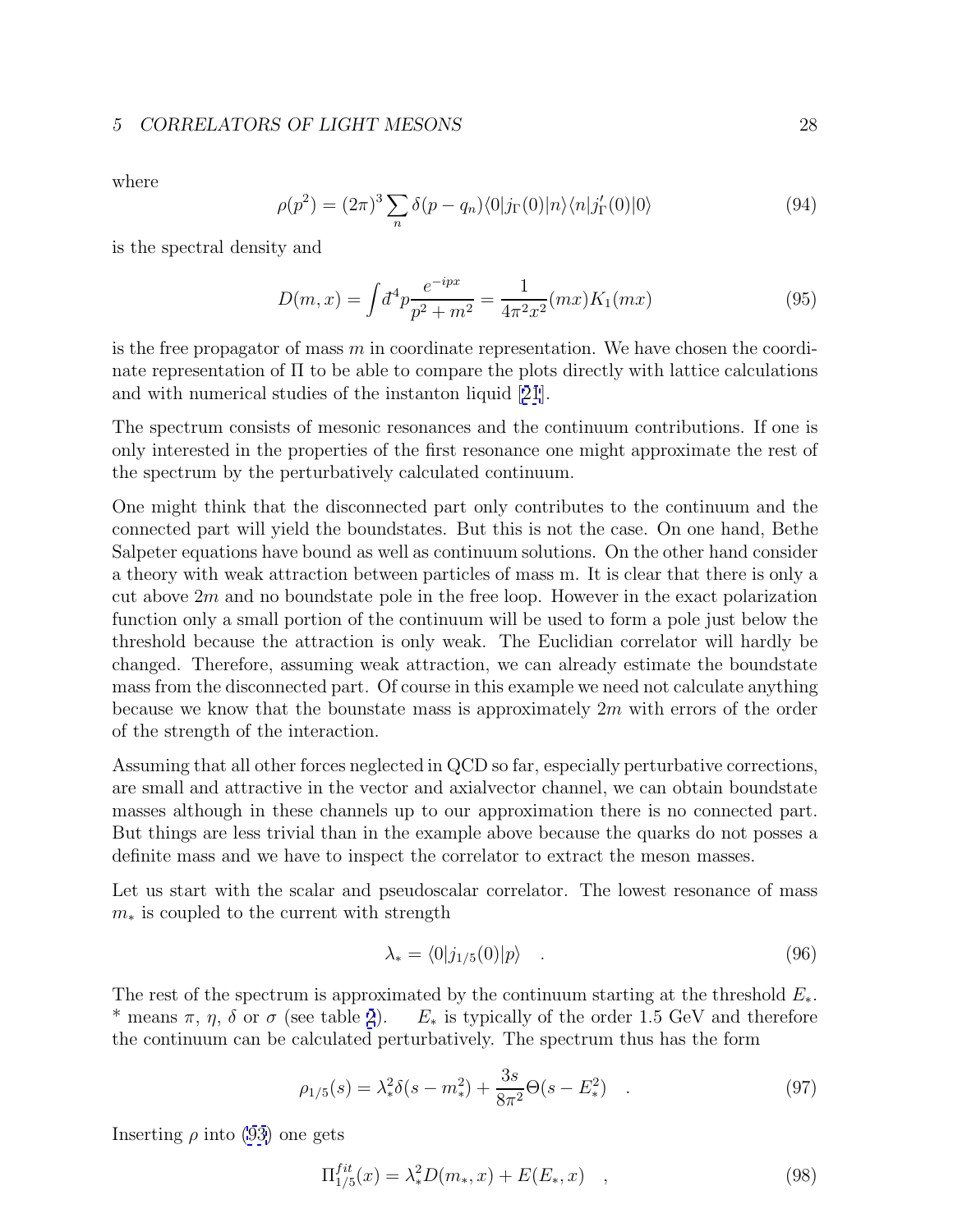## *5 CORRELATORS OF LIGHT MESONS* 28

where

$$
\rho(p^2) = (2\pi)^3 \sum_n \delta(p - q_n) \langle 0 | j_\Gamma(0) | n \rangle \langle n | j'_\Gamma(0) | 0 \rangle \tag{94}
$$

is the spectral density and

$$
D(m,x) = \int d^4p \frac{e^{-ipx}}{p^2 + m^2} = \frac{1}{4\pi^2 x^2} (mx) K_1(mx)
$$
\n(95)

is the free propagator of mass  $m$  in coordinate representation. We have chosen the coordinate representation of Π to be able to compare the plots directly with lattice calculations and with numerical studies of the instanton liquid [[21](#page-34-0)].

The spectrum consists of mesonic resonances and the continuum contributions. If one is only interested in the properties of the first resonance one might approximate the rest of the spectrum by the perturbatively calculated continuum.

One might think that the disconnected part only contributes to the continuum and the connected part will yield the boundstates. But this is not the case. On one hand, Bethe Salpeter equations have bound as well as continuum solutions. On the other hand consider a theory with weak attraction between particles of mass m. It is clear that there is only a cut above  $2m$  and no boundstate pole in the free loop. However in the exact polarization function only a small portion of the continuum will be used to form a pole just below the threshold because the attraction is only weak. The Euclidian correlator will hardly be changed. Therefore, assuming weak attraction, we can already estimate the boundstate mass from the disconnected part. Of course in this example we need not calculate anything because we know that the bounstate mass is approximately  $2m$  with errors of the order of the strength of the interaction.

Assuming that all other forces neglected in QCD so far, especially perturbative corrections, are small and attractive in the vector and axialvector channel, we can obtain boundstate masses although in these channels up to our approximation there is no connected part. But things are less trivial than in the example above because the quarks do not posses a definite mass and we have to inspect the correlator to extract the meson masses.

Let us start with the scalar and pseudoscalar correlator. The lowest resonance of mass  $m<sub>*</sub>$  is coupled to the current with strength

$$
\lambda_* = \langle 0 | j_{1/5}(0) | p \rangle \tag{96}
$$

The rest of the spectrum is approximated by the continuum starting at the threshold  $E_*$ . \* means  $\pi$ ,  $\eta$ ,  $\delta$  or  $\sigma$  (see table [2](#page-28-0)).  $E_*$  is typically of the order 1.5 GeV and therefore the continuum can be calculated perturbatively. The spectrum thus has the form

$$
\rho_{1/5}(s) = \lambda_*^2 \delta(s - m_*^2) + \frac{3s}{8\pi^2} \Theta(s - E_*^2) \quad . \tag{97}
$$

Inserting  $\rho$  into [\(93\)](#page-26-0) one gets

$$
\Pi_{1/5}^{fit}(x) = \lambda_*^2 D(m_*, x) + E(E_*, x) \quad , \tag{98}
$$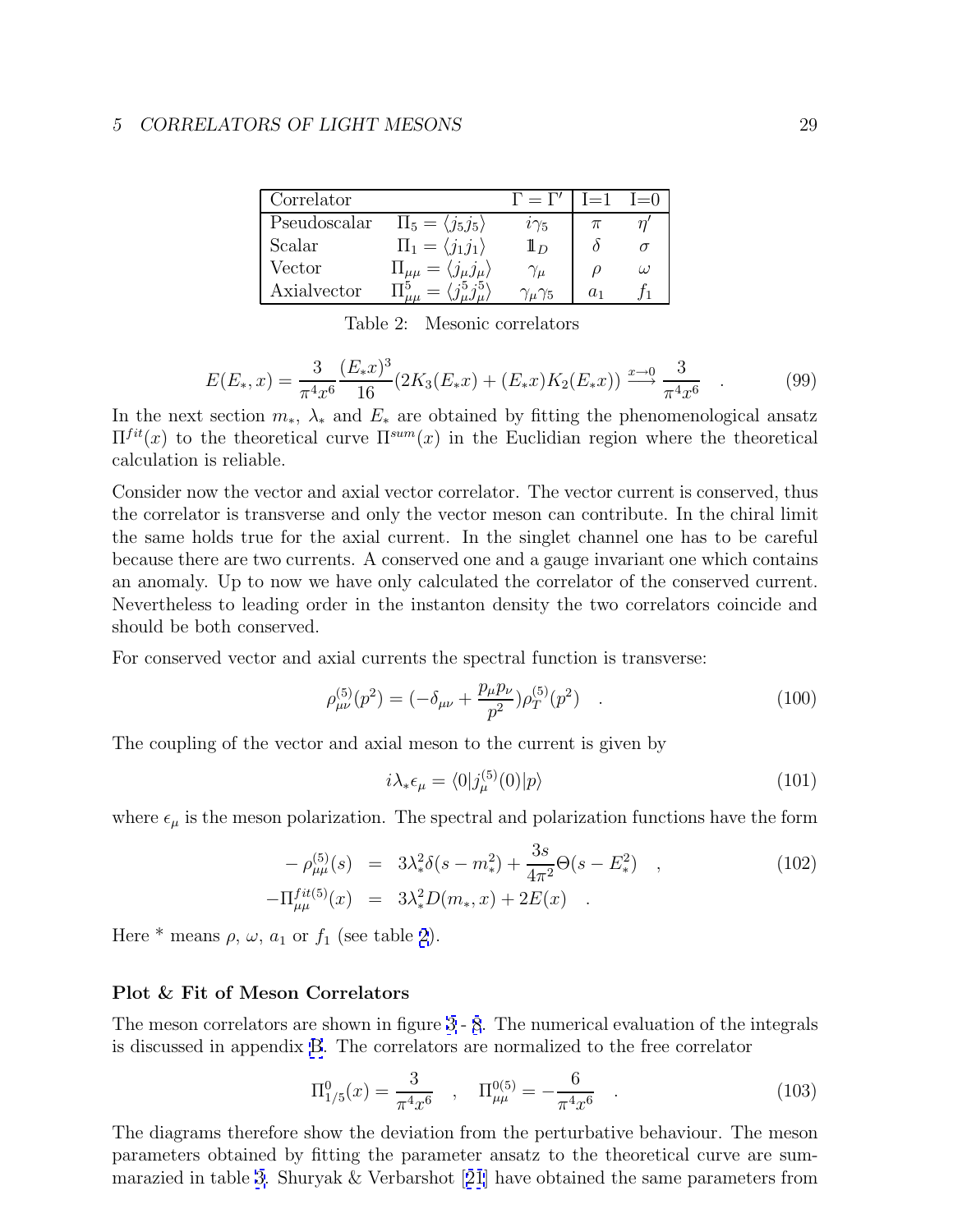<span id="page-28-0"></span>

| Correlator   |                                                  | $\Gamma = \Gamma'$ | $I = 1$ | $I=0$ |
|--------------|--------------------------------------------------|--------------------|---------|-------|
| Pseudoscalar | $\Pi_5 = \langle j_5 j_5 \rangle$                | $i\gamma_5$        |         |       |
| Scalar       | $\Pi_1 = \langle j_1 j_1 \rangle$                | $\mathbf{I}_D$     |         |       |
| Vector       | $\Pi_{\mu\mu} = \langle j_{\mu} j_{\mu} \rangle$ | $\gamma_\mu$       |         | ω     |
| Axialvector  |                                                  | $\mu$ /5           | $a_1$   |       |

Table 2: Mesonic correlators

$$
E(E_*,x) = \frac{3}{\pi^4 x^6} \frac{(E_*x)^3}{16} (2K_3(E_*x) + (E_*x)K_2(E_*x)) \xrightarrow{x \to 0} \frac{3}{\pi^4 x^6} \quad . \tag{99}
$$

In the next section  $m_*$ ,  $\lambda_*$  and  $E_*$  are obtained by fitting the phenomenological ansatz  $\Pi^{fit}(x)$  to the theoretical curve  $\Pi^{sum}(x)$  in the Euclidian region where the theoretical calculation is reliable.

Consider now the vector and axial vector correlator. The vector current is conserved, thus the correlator is transverse and only the vector meson can contribute. In the chiral limit the same holds true for the axial current. In the singlet channel one has to be careful because there are two currents. A conserved one and a gauge invariant one which contains an anomaly. Up to now we have only calculated the correlator of the conserved current. Nevertheless to leading order in the instanton density the two correlators coincide and should be both conserved.

For conserved vector and axial currents the spectral function is transverse:

$$
\rho_{\mu\nu}^{(5)}(p^2) = (-\delta_{\mu\nu} + \frac{p_{\mu}p_{\nu}}{p^2})\rho_T^{(5)}(p^2) \quad . \tag{100}
$$

The coupling of the vector and axial meson to the current is given by

$$
i\lambda_* \epsilon_\mu = \langle 0 | j_\mu^{(5)}(0) | p \rangle \tag{101}
$$

where  $\epsilon_{\mu}$  is the meson polarization. The spectral and polarization functions have the form

$$
-\rho_{\mu\mu}^{(5)}(s) = 3\lambda_*^2 \delta(s - m_*) + \frac{3s}{4\pi^2} \Theta(s - E_*) ,
$$
  
\n
$$
-\Pi_{\mu\mu}^{fit(5)}(x) = 3\lambda_*^2 D(m_*, x) + 2E(x) .
$$
\n(102)

Here  $*$  means  $\rho$ ,  $\omega$ ,  $a_1$  or  $f_1$  (see table 2).

## **Plot & Fit of Meson Correlators**

The meson correlators are shown in figure [3](#page-37-0) - [8](#page-42-0). The numerical evaluation of the integrals is discussed in appendix [B](#page-31-0). The correlators are normalized to the free correlator

$$
\Pi_{1/5}^0(x) = \frac{3}{\pi^4 x^6} , \quad \Pi_{\mu\mu}^{0(5)} = -\frac{6}{\pi^4 x^6} . \tag{103}
$$

The diagrams therefore show the deviation from the perturbative behaviour. The meson parameters obtained by fitting the parameter ansatz to the theoretical curve are summarazied in table [3.](#page-30-0) Shuryak & Verbarshot [[21](#page-34-0)] have obtained the same parameters from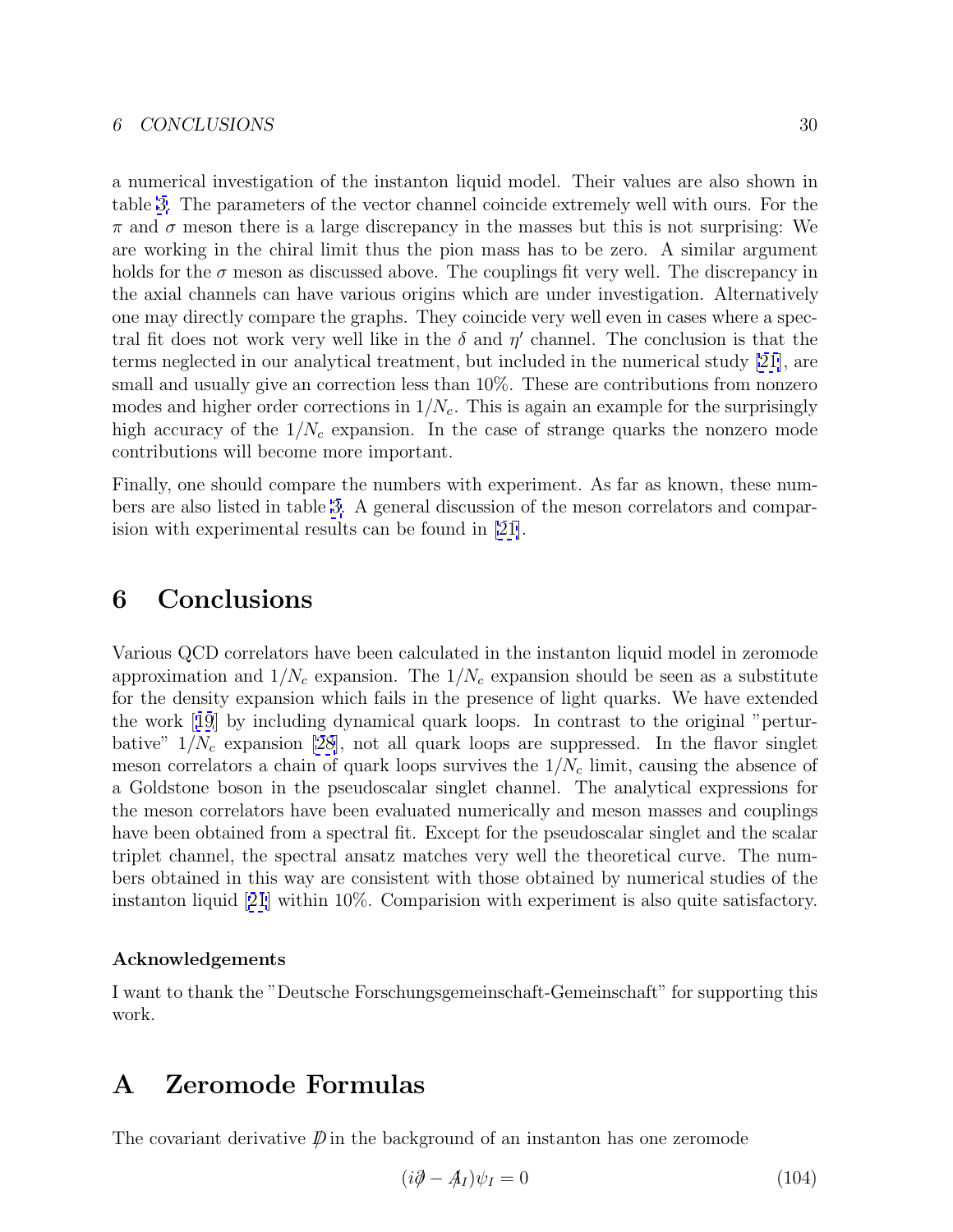<span id="page-29-0"></span>a numerical investigation of the instanton liquid model. Their values are also shown in table [3.](#page-30-0) The parameters of the vector channel coincide extremely well with ours. For the  $\pi$  and  $\sigma$  meson there is a large discrepancy in the masses but this is not surprising: We are working in the chiral limit thus the pion mass has to be zero. A similar argument holds for the  $\sigma$  meson as discussed above. The couplings fit very well. The discrepancy in the axial channels can have various origins which are under investigation. Alternatively one may directly compare the graphs. They coincide very well even in cases where a spectral fit does not work very well like in the  $\delta$  and  $\eta'$  channel. The conclusion is that the terms neglected in our analytical treatment, but included in the numerical study [\[21](#page-34-0)], are small and usually give an correction less than  $10\%$ . These are contributions from nonzero modes and higher order corrections in  $1/N_c$ . This is again an example for the surprisingly high accuracy of the  $1/N_c$  expansion. In the case of strange quarks the nonzero mode contributions will become more important.

Finally, one should compare the numbers with experiment. As far as known, these numbers are also listed in table [3.](#page-30-0) A general discussion of the meson correlators and comparision with experimental results can be found in [\[21\]](#page-34-0).

## **6 Conclusions**

Various QCD correlators have been calculated in the instanton liquid model in zeromode approximation and  $1/N_c$  expansion. The  $1/N_c$  expansion should be seen as a substitute for the density expansion which fails in the presence of light quarks. We have extended the work [[19](#page-34-0)] by including dynamical quark loops. In contrast to the original "perturbative"  $1/N_c$  expansion [\[28\]](#page-34-0), not all quark loops are suppressed. In the flavor singlet meson correlators a chain of quark loops survives the  $1/N_c$  limit, causing the absence of a Goldstone boson in the pseudoscalar singlet channel. The analytical expressions for the meson correlators have been evaluated numerically and meson masses and couplings have been obtained from a spectral fit. Except for the pseudoscalar singlet and the scalar triplet channel, the spectral ansatz matches very well the theoretical curve. The numbers obtained in this way are consistent with those obtained by numerical studies of the instanton liquid [[21](#page-34-0)] within 10%. Comparision with experiment is also quite satisfactory.

## **Acknowledgements**

I want to thank the "Deutsche Forschungsgemeinschaft-Gemeinschaft" for supporting this work.

## **A Zeromode Formulas**

The covariant derivative  $\mathcal{D}$  in the background of an instanton has one zeromode

$$
(i\partial \hspace{-.54cm}/ -A_I)\psi_I = 0 \tag{104}
$$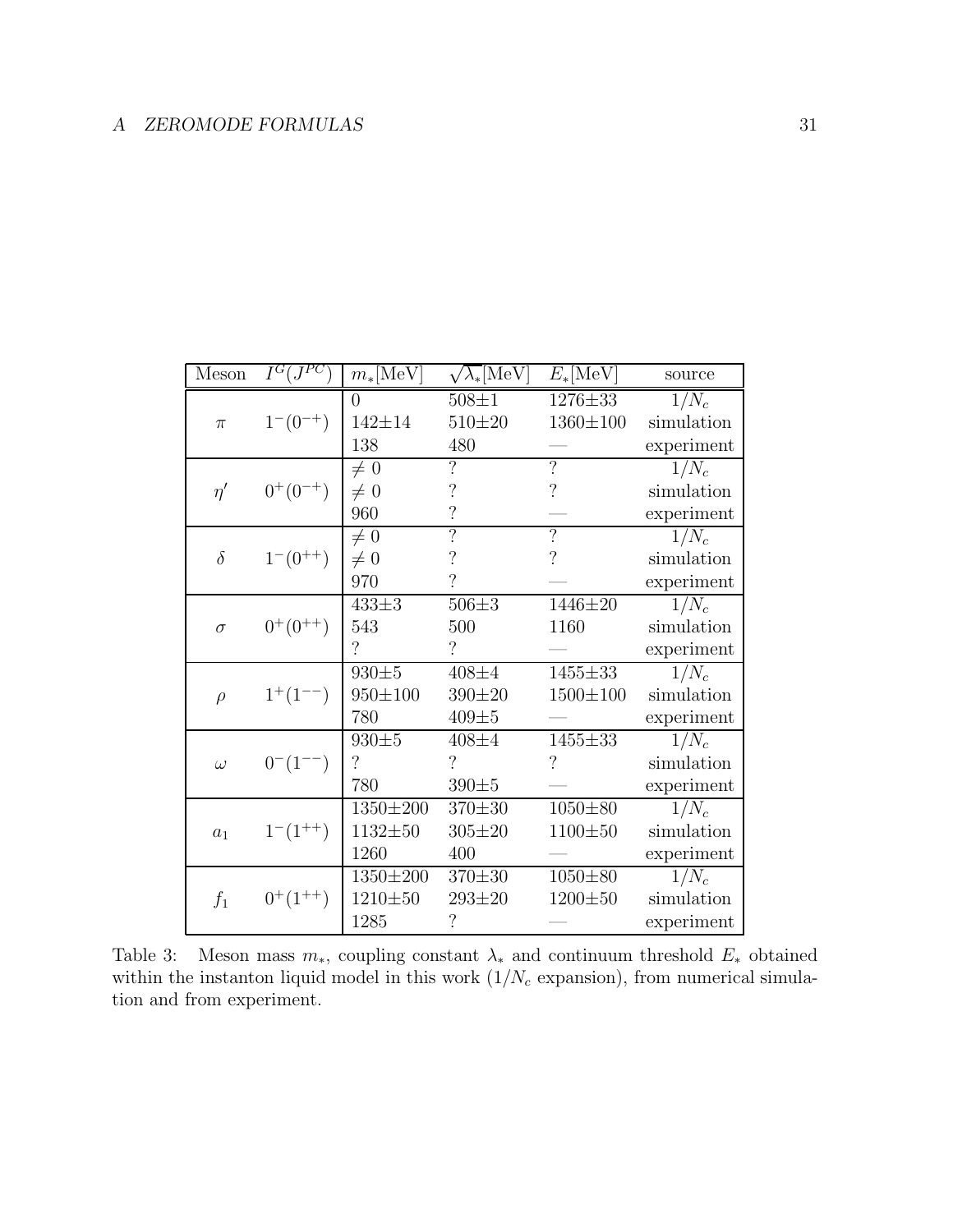<span id="page-30-0"></span>

| Meson    | $I^G(J^{PC})$   | $m_*[\mathrm{MeV}]$      | $\sqrt{\lambda_*}[\mathrm{MeV}]$ | $E_*[\text{MeV}]$        | source             |
|----------|-----------------|--------------------------|----------------------------------|--------------------------|--------------------|
|          |                 | $\theta$                 | $508 \pm 1$                      | 1276±33                  | $1/N_c$            |
| $\pi$    | $1^-(0^{-+})$   | $142 + 14$               | $510 + 20$                       | 1360±100                 | simulation         |
|          |                 | 138                      | 480                              |                          | experiment         |
|          |                 | $\neq 0$                 | $\overline{?}$                   | $\overline{?}$           | $1/N_c$            |
| $\eta'$  | $0^{+}(0^{-+})$ | $\neq 0$                 | $\ddot{?}$                       | $\overline{\mathcal{L}}$ | simulation         |
|          |                 | 960                      | $\overline{\mathcal{C}}$         |                          | experiment         |
|          |                 | $\neq 0$                 | $\overline{?}$                   | $\overline{?}$           | $\overline{1/N_c}$ |
| $\delta$ | $1^-(0^{++})$   | $\neq 0$                 | $\ddot{?}$                       | $\overline{\mathcal{L}}$ | simulation         |
|          |                 | 970                      | $\overline{\mathcal{L}}$         |                          | experiment         |
|          |                 | $433 \pm 3$              | $506 + 3$                        | 1446±20                  | $1/N_c$            |
| $\sigma$ | $0^{+}(0^{++})$ | 543                      | 500                              | 1160                     | simulation         |
|          |                 | $\overline{\mathcal{C}}$ | $\gamma$                         |                          | experiment         |
|          |                 | $930 + 5$                | $408 + 4$                        | 1455±33                  | $1/N_c$            |
| $\rho$   | $1^+(1^{--})$   | $950 \pm 100$            | $390 + 20$                       | $1500 \pm 100$           | simulation         |
|          |                 | 780                      | $409 + 5$                        |                          | experiment         |
|          |                 | $930 + 5$                | $408 + 4$                        | $1455 \pm 33$            | $1/N_c$            |
| $\omega$ | $0^{-}(1^{--})$ | $\overline{\mathcal{L}}$ | $\gamma$                         | $\overline{\cdot}$       | simulation         |
|          |                 | 780                      | $390 + 5$                        |                          | experiment         |
|          |                 | 1350±200                 | $370 + 30$                       | $1050 + 80$              | $1/N_c$            |
| $a_1$    | $1^-(1^{++})$   | $1132 + 50$              | $305 \pm 20$                     | 1100±50                  | simulation         |
|          |                 | 1260                     | 400                              |                          | experiment         |
|          |                 | $1350 \pm 200$           | $370 \pm 30$                     | $1050 + 80$              | $1/N_c$            |
| $f_1$    | $0^+(1^{++})$   | $1210 + 50$              | $293 \pm 20$                     | $1200 + 50$              | simulation         |
|          |                 | 1285                     | $\overline{\cdot}$               |                          | experiment         |

Table 3: Meson mass  $m_*$ , coupling constant  $\lambda_*$  and continuum threshold  $E_*$  obtained within the instanton liquid model in this work  $(1/N_c \text{ expansion})$ , from numerical simulation and from experiment.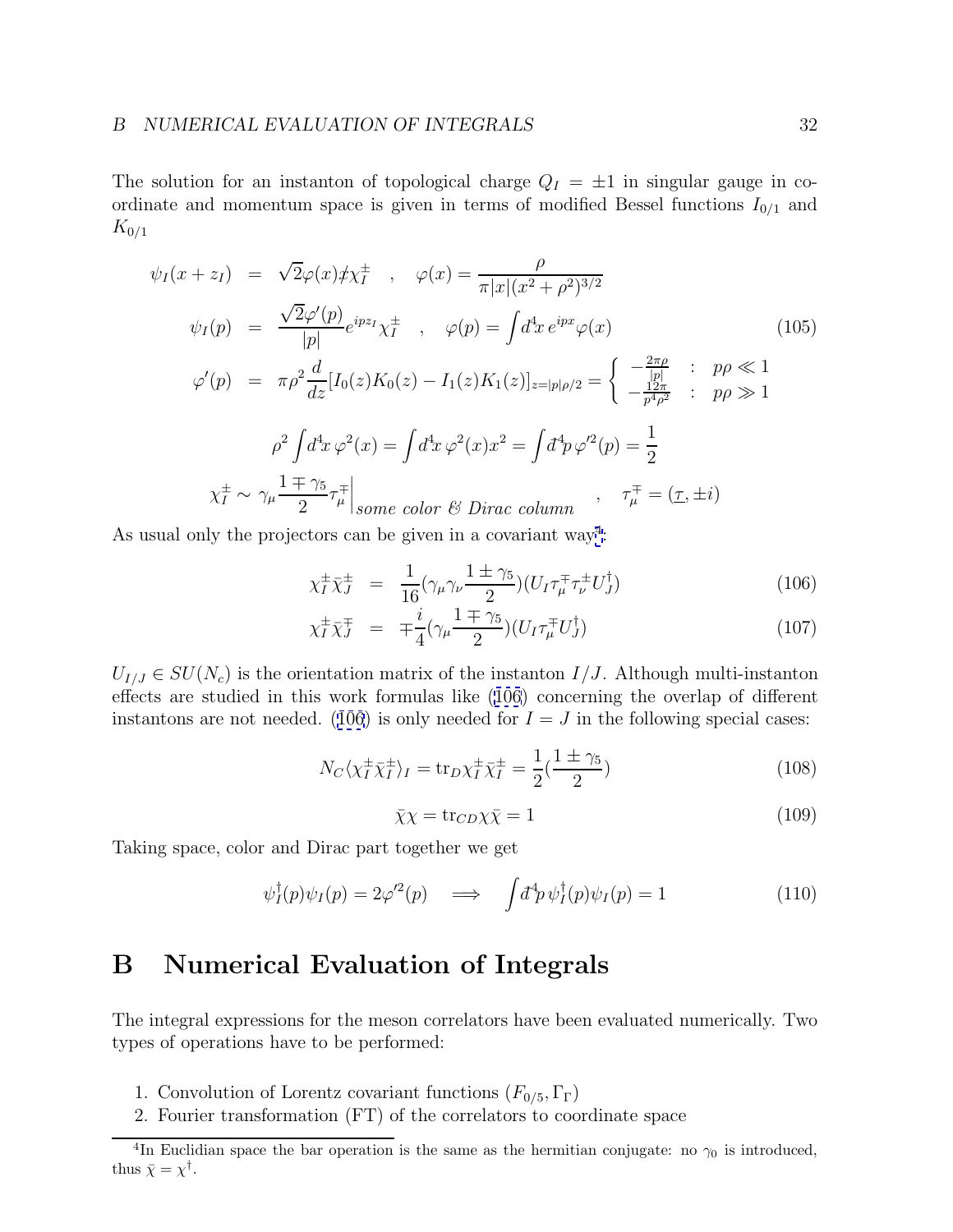<span id="page-31-0"></span>The solution for an instanton of topological charge  $Q_I = \pm 1$  in singular gauge in coordinate and momentum space is given in terms of modified Bessel functions  $I_{0/1}$  and  $K_{0/1}$ 

$$
\psi_{I}(x+z_{I}) = \sqrt{2}\varphi(x)\n\psi_{I}^{+}, \quad \varphi(x) = \frac{\rho}{\pi|x|(x^{2}+\rho^{2})^{3/2}}
$$
\n
$$
\psi_{I}(p) = \frac{\sqrt{2}\varphi'(p)}{|p|}e^{ipz_{I}}\chi_{I}^{+}, \quad \varphi(p) = \int d^{4}x \, e^{ipx}\varphi(x) \tag{105}
$$
\n
$$
\varphi'(p) = \pi\rho^{2}\frac{d}{dz}[I_{0}(z)K_{0}(z) - I_{1}(z)K_{1}(z)]_{z=|p|\rho/2} = \begin{cases}\n-\frac{2\pi\rho}{|p|} & ; p\rho \ll 1 \\
-\frac{12\pi}{p^{4}\rho^{2}} & ; p\rho \gg 1\n\end{cases}
$$
\n
$$
\rho^{2}\int d^{4}x \, \varphi^{2}(x) = \int d^{4}x \, \varphi^{2}(x)x^{2} = \int d^{4}p \, \varphi'^{2}(p) = \frac{1}{2}
$$
\n
$$
\chi_{I}^{\pm} \sim \gamma_{\mu} \frac{1 \mp \gamma_{5}}{2} \tau_{\mu}^{\mp}\Big|_{some\ color\ \ell\ell\ Dirac\ column}, \quad \tau_{\mu}^{\mp} = (\underline{\tau}, \pm i)
$$

As usual only the projectors can be given in a covariant way<sup>4</sup>:

$$
\chi_I^{\pm} \bar{\chi}_J^{\pm} = \frac{1}{16} (\gamma_\mu \gamma_\nu \frac{1 \pm \gamma_5}{2}) (U_I \tau_\mu^{\mp} \tau_\nu^{\pm} U_J^{\dagger}) \tag{106}
$$

$$
\chi_I^{\pm} \bar{\chi}_J^{\mp} = \mp \frac{i}{4} (\gamma_\mu \frac{1 \mp \gamma_5}{2}) (U_I \tau_\mu^{\mp} U_J^{\dagger}) \tag{107}
$$

 $U_{I/J} \in SU(N_c)$  is the orientation matrix of the instanton  $I/J$ . Although multi-instanton effects are studied in this work formulas like (106) concerning the overlap of different instantons are not needed. (106) is only needed for  $I = J$  in the following special cases:

$$
N_C \langle \chi_I^{\pm} \bar{\chi}_I^{\pm} \rangle_I = \text{tr}_D \chi_I^{\pm} \bar{\chi}_I^{\pm} = \frac{1}{2} (\frac{1 \pm \gamma_5}{2}) \tag{108}
$$

$$
\bar{\chi}\chi = \text{tr}_{CD}\chi\bar{\chi} = 1\tag{109}
$$

Taking space, color and Dirac part together we get

$$
\psi_I^{\dagger}(p)\psi_I(p) = 2\varphi'^2(p) \quad \Longrightarrow \quad \int d^4p \,\psi_I^{\dagger}(p)\psi_I(p) = 1 \tag{110}
$$

## **B Numerical Evaluation of Integrals**

The integral expressions for the meson correlators have been evaluated numerically. Two types of operations have to be performed:

- 1. Convolution of Lorentz covariant functions  $(F_{0/5}, \Gamma_{\Gamma})$
- 2. Fourier transformation (FT) of the correlators to coordinate space

<sup>&</sup>lt;sup>4</sup>In Euclidian space the bar operation is the same as the hermitian conjugate: no  $\gamma_0$  is introduced, thus  $\bar{\chi} = \chi^{\dagger}$ .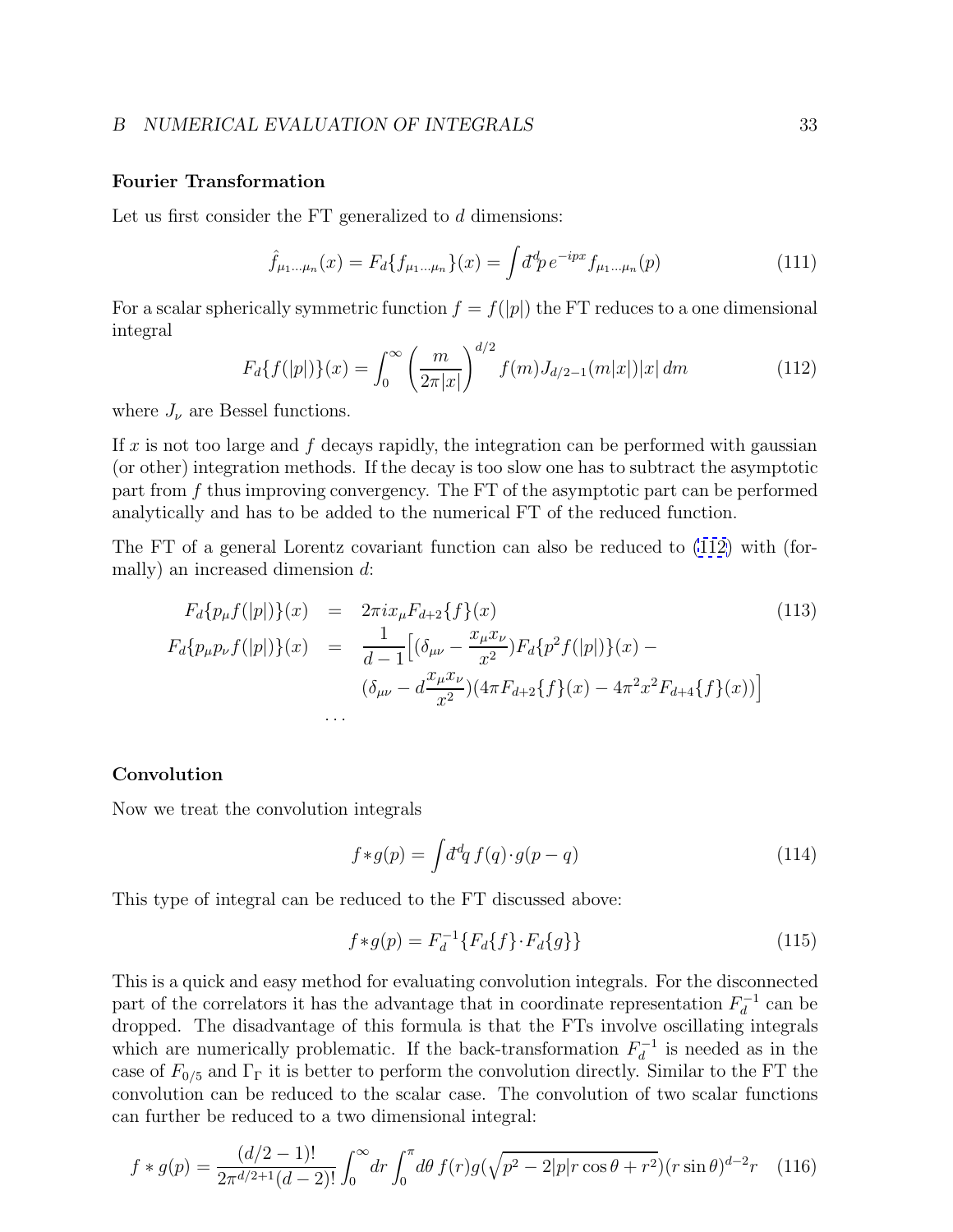## <span id="page-32-0"></span>**Fourier Transformation**

Let us first consider the FT generalized to d dimensions:

$$
\hat{f}_{\mu_1...\mu_n}(x) = F_d \{ f_{\mu_1...\mu_n} \}(x) = \int d^d p \, e^{-ipx} f_{\mu_1...\mu_n}(p) \tag{111}
$$

For a scalar spherically symmetric function  $f = f(|p|)$  the FT reduces to a one dimensional integral

$$
F_d\{f(|p|)\}(x) = \int_0^\infty \left(\frac{m}{2\pi|x|}\right)^{d/2} f(m)J_{d/2-1}(m|x|)|x| \, dm \tag{112}
$$

where  $J_{\nu}$  are Bessel functions.

If x is not too large and f decays rapidly, the integration can be performed with gaussian (or other) integration methods. If the decay is too slow one has to subtract the asymptotic part from f thus improving convergency. The FT of the asymptotic part can be performed analytically and has to be added to the numerical FT of the reduced function.

The FT of a general Lorentz covariant function can also be reduced to (112) with (formally) an increased dimension d:

$$
F_d\{p_\mu f(|p|)\}(x) = 2\pi i x_\mu F_{d+2}\{f\}(x)
$$
\n
$$
F_d\{p_\mu p_\nu f(|p|)\}(x) = \frac{1}{d-1} \Big[ (\delta_{\mu\nu} - \frac{x_\mu x_\nu}{x^2}) F_d\{p^2 f(|p|)\}(x) - (\delta_{\mu\nu} - d\frac{x_\mu x_\nu}{x^2})(4\pi F_{d+2}\{f\}(x) - 4\pi^2 x^2 F_{d+4}\{f\}(x)) \Big]
$$
\n
$$
\dots
$$
\n(113)

## **Convolution**

Now we treat the convolution integrals

$$
f * g(p) = \int d^d q f(q) \cdot g(p - q)
$$
\n(114)

This type of integral can be reduced to the FT discussed above:

$$
f * g(p) = F_d^{-1} \{ F_d \{ f \} \cdot F_d \{ g \} \}
$$
\n(115)

This is a quick and easy method for evaluating convolution integrals. For the disconnected part of the correlators it has the advantage that in coordinate representation  $F_d^{-1}$  can be dropped. The disadvantage of this formula is that the FTs involve oscillating integrals which are numerically problematic. If the back-transformation  $F_d^{-1}$  is needed as in the case of  $F_{0/5}$  and  $\Gamma_{\Gamma}$  it is better to perform the convolution directly. Similar to the FT the convolution can be reduced to the scalar case. The convolution of two scalar functions can further be reduced to a two dimensional integral:

$$
f * g(p) = \frac{(d/2 - 1)!}{2\pi^{d/2 + 1}(d - 2)!} \int_0^\infty dr \int_0^\pi d\theta \, f(r)g(\sqrt{p^2 - 2|p|r\cos\theta + r^2})(r\sin\theta)^{d - 2}r \quad (116)
$$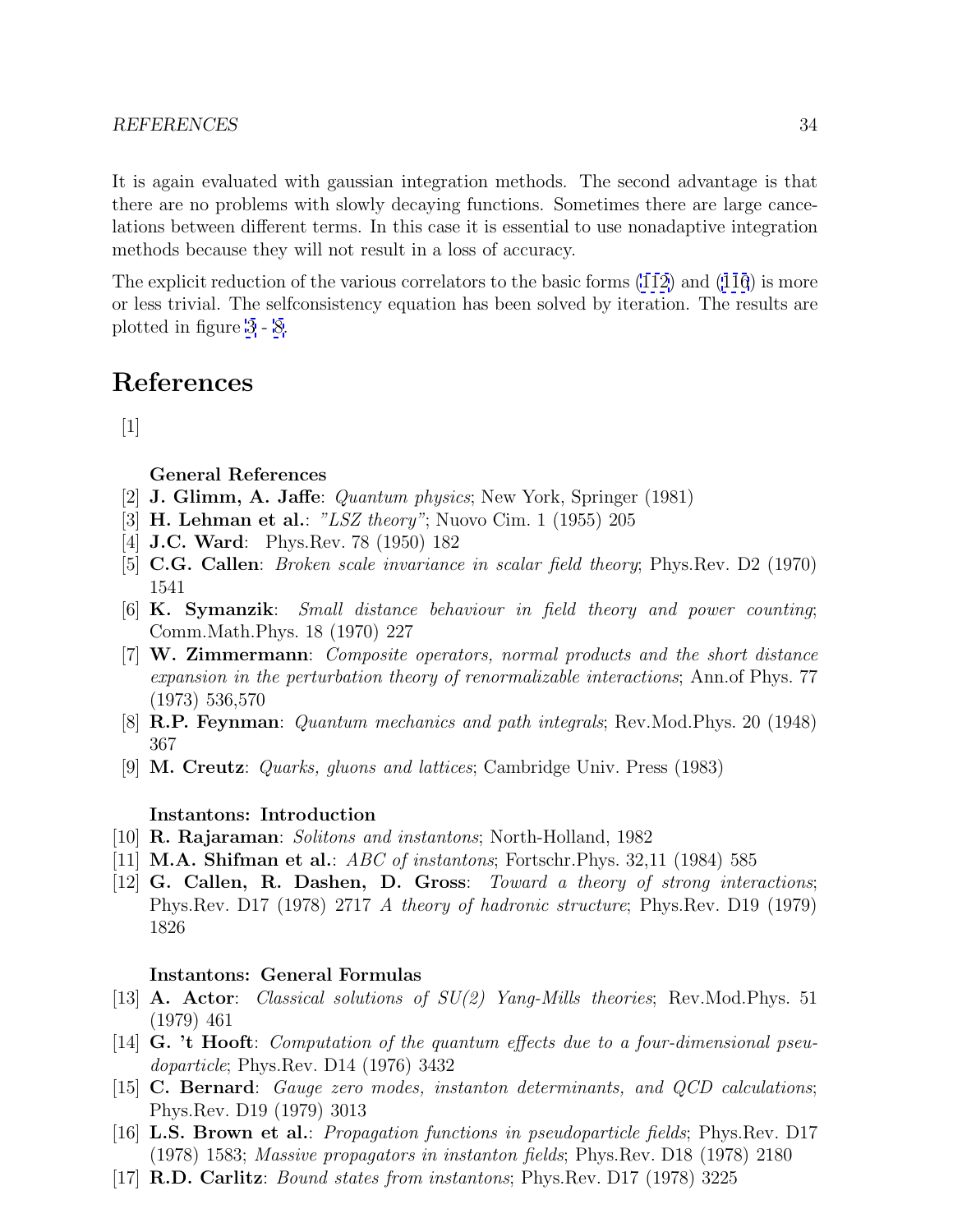<span id="page-33-0"></span>It is again evaluated with gaussian integration methods. The second advantage is that there are no problems with slowly decaying functions. Sometimes there are large cancelations between different terms. In this case it is essential to use nonadaptive integration methods because they will not result in a loss of accuracy.

The explicit reduction of the various correlators to the basic forms [\(112\)](#page-32-0) and [\(116](#page-32-0)) is more or less trivial. The selfconsistency equation has been solved by iteration. The results are plotted in figure [3](#page-37-0) - [8.](#page-42-0)

## **References**

 $\lceil 1 \rceil$ 

**General References**

- [2] **J. Glimm, A. Jaffe**: Quantum physics; New York, Springer (1981)
- [3] **H. Lehman et al.**: "LSZ theory"; Nuovo Cim. 1 (1955) 205
- [4] **J.C. Ward**: Phys.Rev. 78 (1950) 182
- [5] **C.G. Callen**: Broken scale invariance in scalar field theory; Phys.Rev. D2 (1970) 1541
- [6] **K. Symanzik**: Small distance behaviour in field theory and power counting; Comm.Math.Phys. 18 (1970) 227
- [7] **W. Zimmermann**: Composite operators, normal products and the short distance expansion in the perturbation theory of renormalizable interactions; Ann.of Phys. 77 (1973) 536,570
- [8] **R.P. Feynman**: Quantum mechanics and path integrals; Rev.Mod.Phys. 20 (1948) 367
- [9] **M. Creutz**: Quarks, gluons and lattices; Cambridge Univ. Press (1983)

## **Instantons: Introduction**

- [10] **R. Rajaraman**: Solitons and instantons; North-Holland, 1982
- [11] **M.A. Shifman et al.**: ABC of instantons; Fortschr.Phys. 32,11 (1984) 585
- [12] **G. Callen, R. Dashen, D. Gross**: Toward a theory of strong interactions; Phys.Rev. D17 (1978) 2717 A theory of hadronic structure; Phys.Rev. D19 (1979) 1826

## **Instantons: General Formulas**

- [13] **A. Actor**: Classical solutions of SU(2) Yang-Mills theories; Rev.Mod.Phys. 51 (1979) 461
- [14] **G. 't Hooft**: Computation of the quantum effects due to a four-dimensional pseudoparticle; Phys.Rev. D14 (1976) 3432
- [15] **C. Bernard**: Gauge zero modes, instanton determinants, and QCD calculations; Phys.Rev. D19 (1979) 3013
- [16] **L.S. Brown et al.**: Propagation functions in pseudoparticle fields; Phys.Rev. D17 (1978) 1583; Massive propagators in instanton fields; Phys.Rev. D18 (1978) 2180
- [17] **R.D. Carlitz**: Bound states from instantons; Phys.Rev. D17 (1978) 3225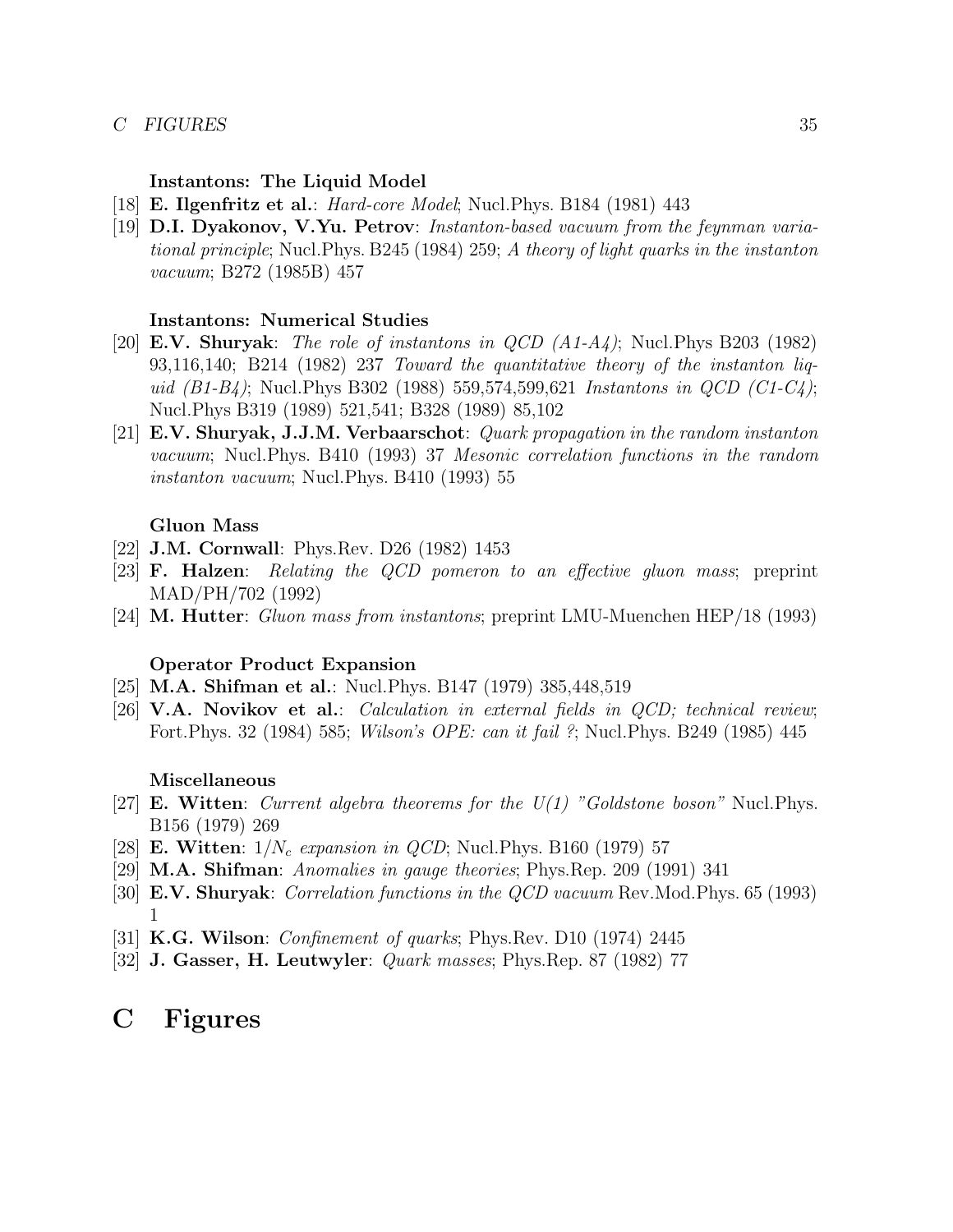## <span id="page-34-0"></span>*C FIGURES* 35

## **Instantons: The Liquid Model**

- [18] **E. Ilgenfritz et al.**: Hard-core Model; Nucl.Phys. B184 (1981) 443
- [19] **D.I. Dyakonov, V.Yu. Petrov**: Instanton-based vacuum from the feynman variational principle; Nucl.Phys. B245 (1984) 259; A theory of light quarks in the instanton vacuum; B272 (1985B) 457

## **Instantons: Numerical Studies**

- [20] **E.V. Shuryak**: The role of instantons in QCD (A1-A4); Nucl.Phys B203 (1982) 93,116,140; B214 (1982) 237 Toward the quantitative theory of the instanton liquid  $(B1-B4)$ ; Nucl.Phys B302 (1988) 559,574,599,621 Instantons in QCD (C1-C4); Nucl.Phys B319 (1989) 521,541; B328 (1989) 85,102
- [21] **E.V. Shuryak, J.J.M. Verbaarschot**: Quark propagation in the random instanton vacuum; Nucl.Phys. B410 (1993) 37 Mesonic correlation functions in the random instanton vacuum; Nucl.Phys. B410 (1993) 55

## **Gluon Mass**

- [22] **J.M. Cornwall**: Phys.Rev. D26 (1982) 1453
- [23] **F. Halzen**: Relating the QCD pomeron to an effective gluon mass; preprint MAD/PH/702 (1992)
- [24] **M. Hutter**: Gluon mass from instantons; preprint LMU-Muenchen HEP/18 (1993)

## **Operator Product Expansion**

- [25] **M.A. Shifman et al.**: Nucl.Phys. B147 (1979) 385,448,519
- [26] **V.A. Novikov et al.**: Calculation in external fields in QCD; technical review; Fort. Phys. 32 (1984) 585; *Wilson's OPE: can it fail* ?; Nucl. Phys. B249 (1985) 445

### **Miscellaneous**

- [27] **E. Witten**: Current algebra theorems for the U(1) "Goldstone boson" Nucl.Phys. B156 (1979) 269
- [28] **E. Witten**:  $1/N_c$  expansion in *QCD*; Nucl. Phys. B160 (1979) 57
- [29] **M.A. Shifman**: Anomalies in gauge theories; Phys.Rep. 209 (1991) 341
- [30] **E.V. Shuryak**: Correlation functions in the QCD vacuum Rev.Mod.Phys. 65 (1993) 1
- [31] **K.G. Wilson**: Confinement of quarks; Phys.Rev. D10 (1974) 2445
- [32] **J. Gasser, H. Leutwyler**: Quark masses; Phys.Rep. 87 (1982) 77

## **C Figures**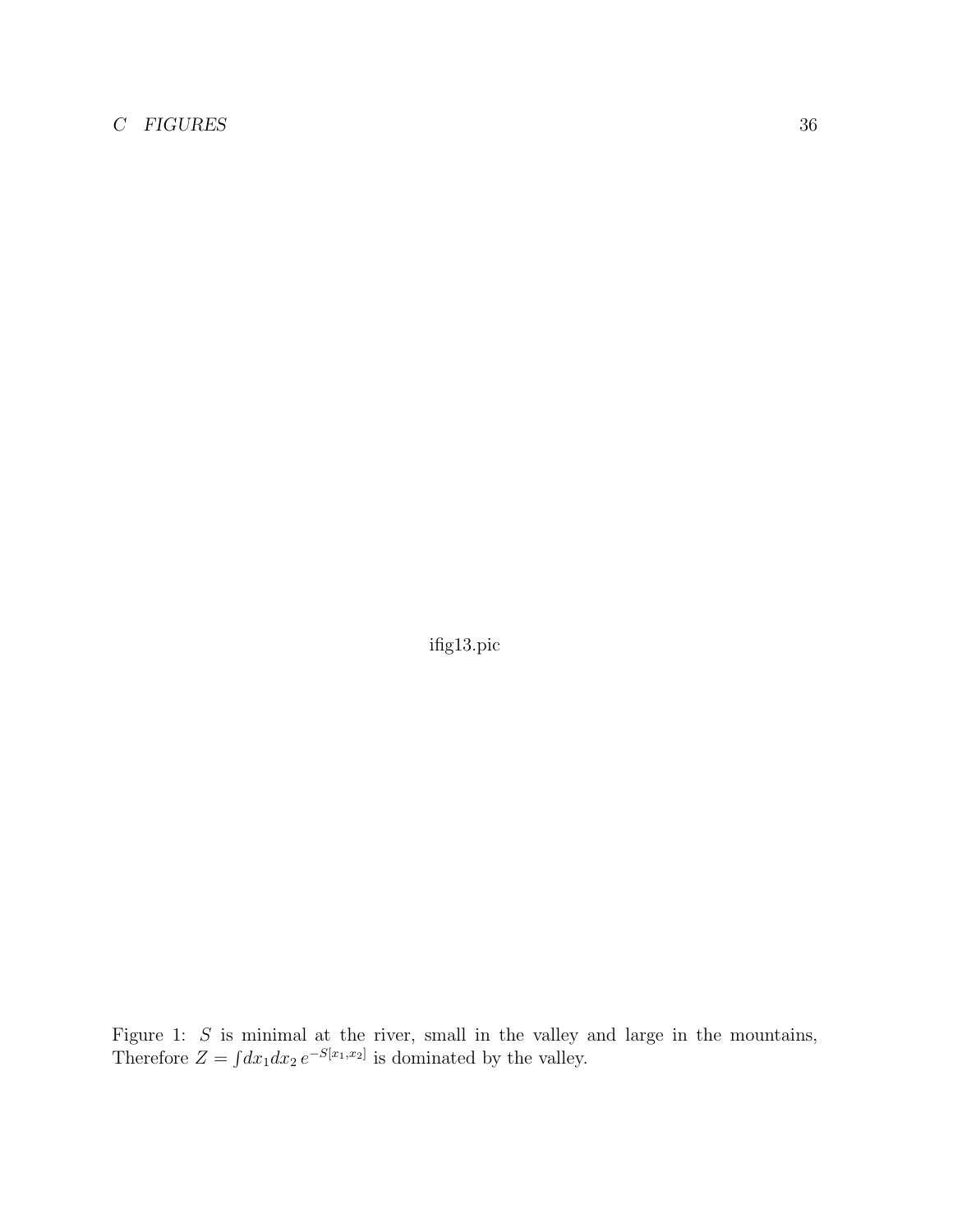## <span id="page-35-0"></span>*C FIGURES* 36

ifig13.pic

Figure 1:  $S$  is minimal at the river, small in the valley and large in the mountains, Therefore  $Z = \int dx_1 dx_2 e^{-S[x_1,x_2]}$  is dominated by the valley.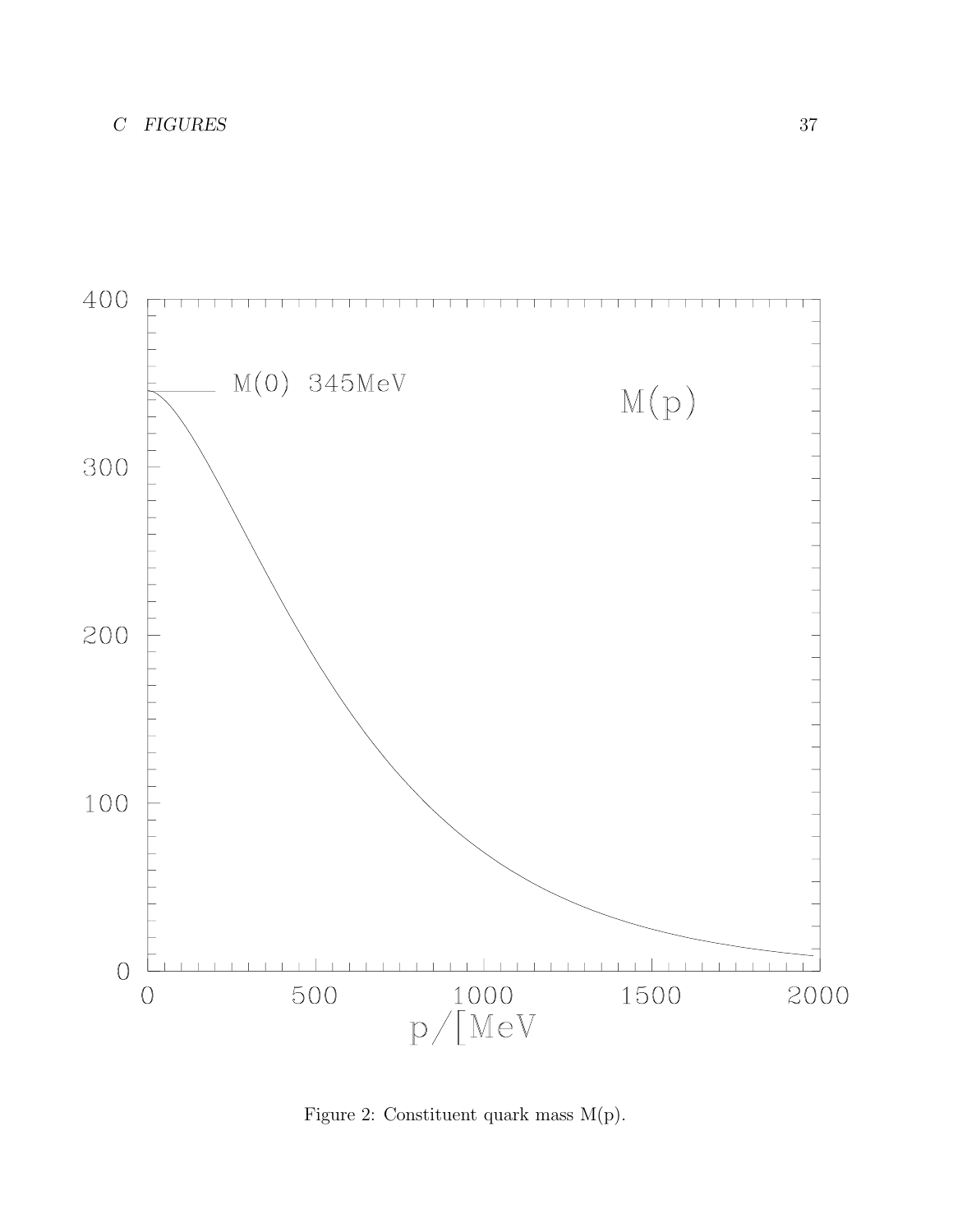<span id="page-36-0"></span>

Figure 2: Constituent quark mass M(p).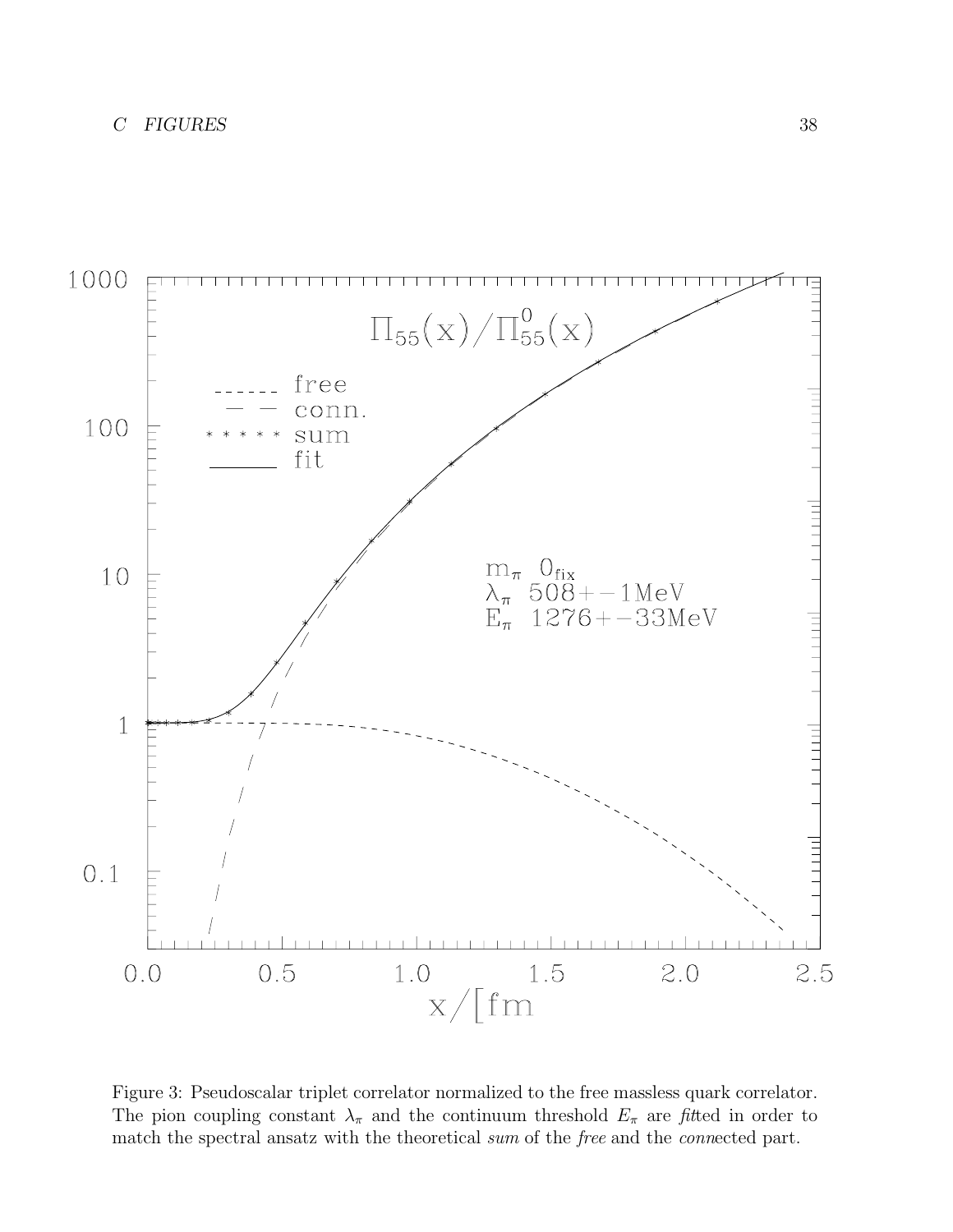<span id="page-37-0"></span>

Figure 3: Pseudoscalar triplet correlator normalized to the free massless quark correlator. The pion coupling constant  $\lambda_{\pi}$  and the continuum threshold  $E_{\pi}$  are fitted in order to match the spectral ansatz with the theoretical sum of the free and the connected part.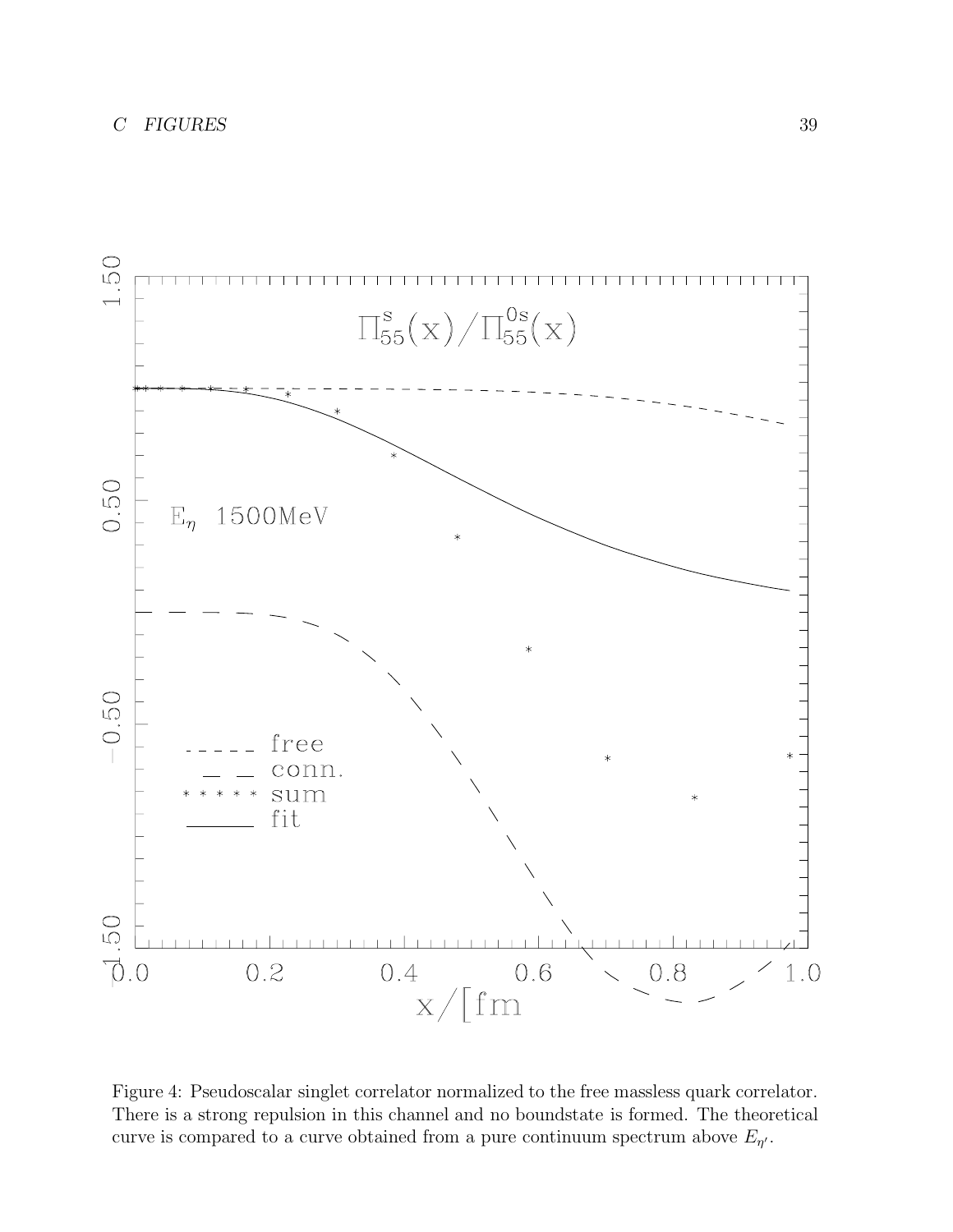<span id="page-38-0"></span>

Figure 4: Pseudoscalar singlet correlator normalized to the free massless quark correlator. There is a strong repulsion in this channel and no boundstate is formed. The theoretical curve is compared to a curve obtained from a pure continuum spectrum above  $E_{\eta}$ .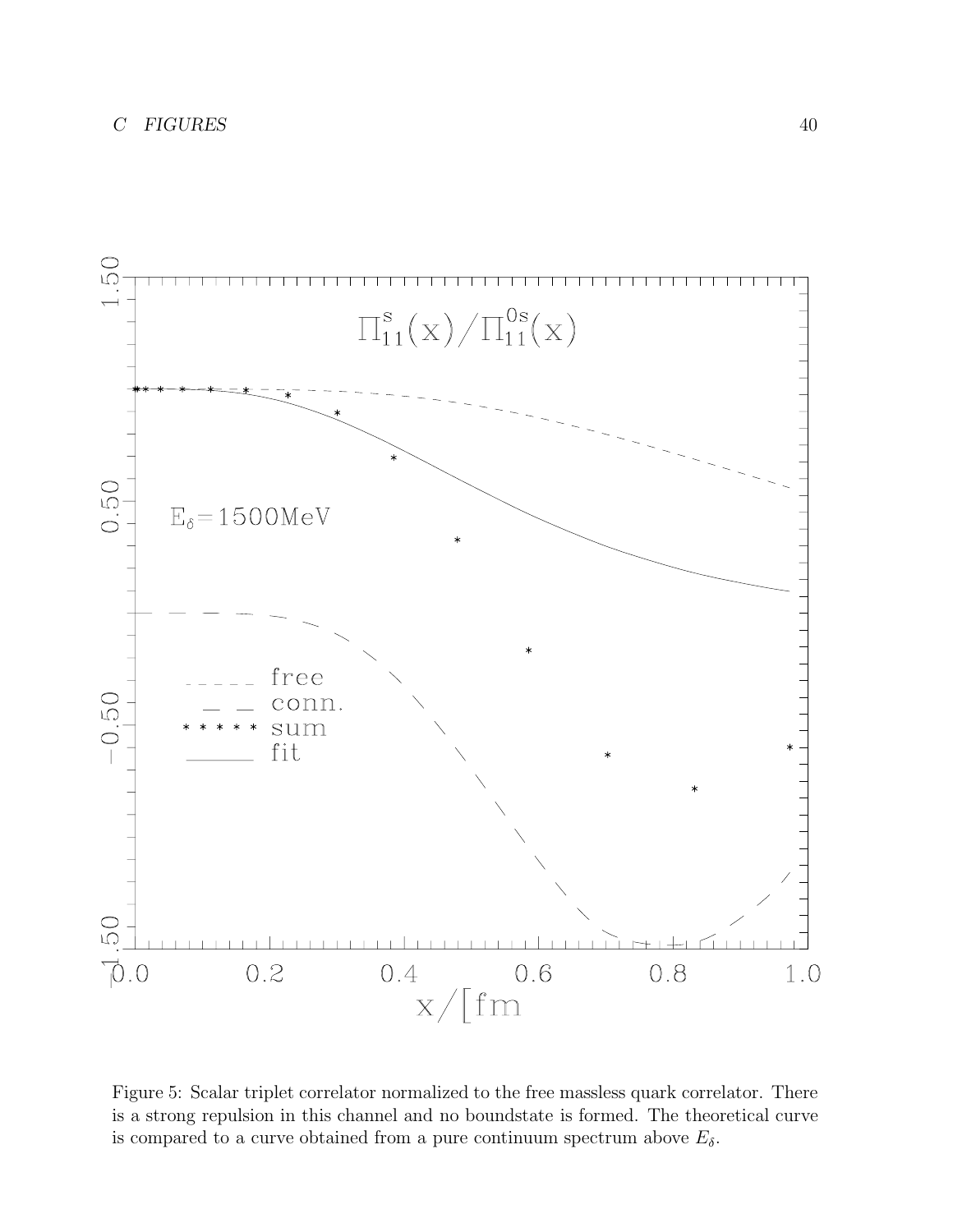

Figure 5: Scalar triplet correlator normalized to the free massless quark correlator. There is a strong repulsion in this channel and no boundstate is formed. The theoretical curve is compared to a curve obtained from a pure continuum spectrum above  $E_{\delta}$ .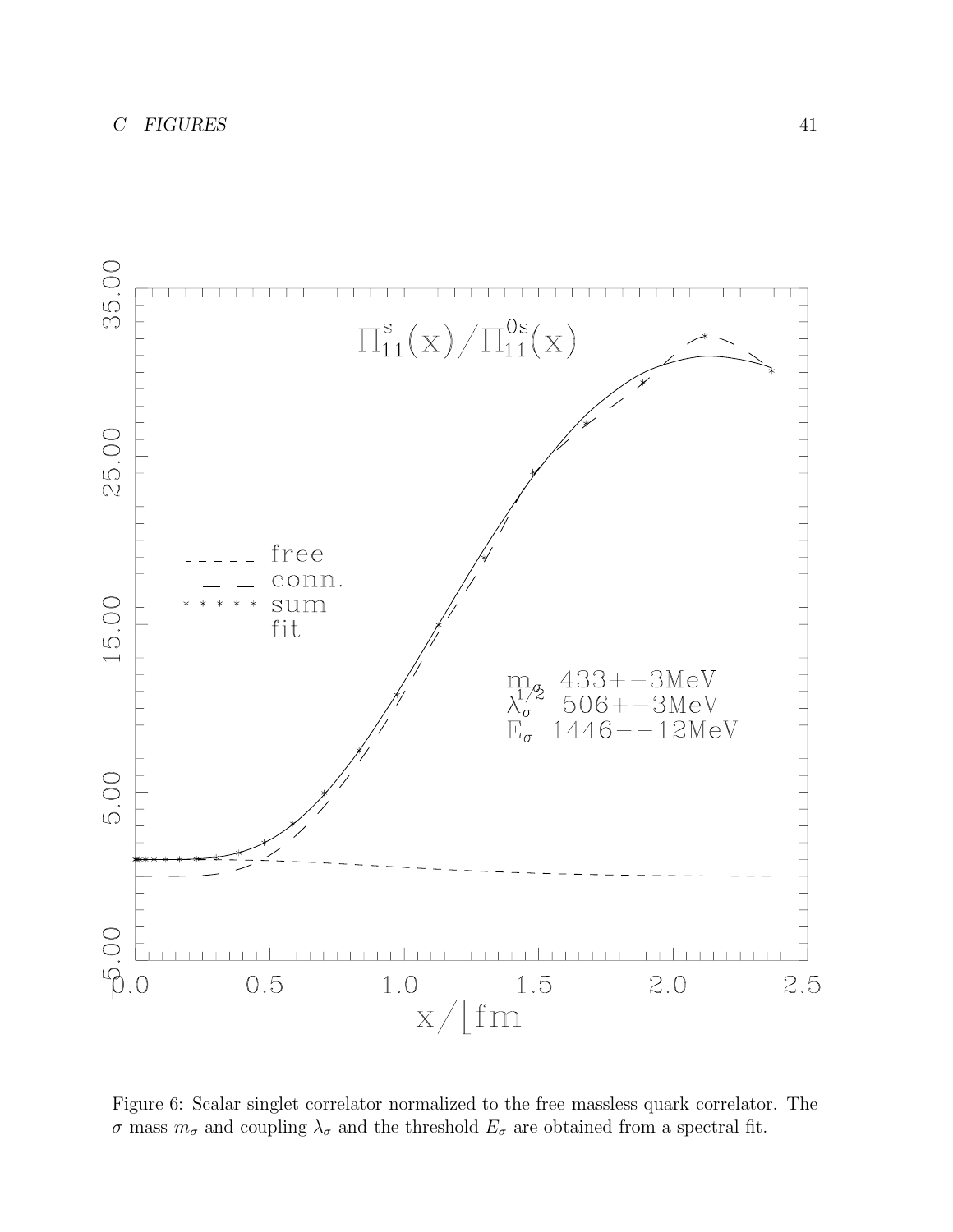

Figure 6: Scalar singlet correlator normalized to the free massless quark correlator. The σ mass  $m<sub>σ</sub>$  and coupling  $\lambda<sub>σ</sub>$  and the threshold  $E<sub>σ</sub>$  are obtained from a spectral fit.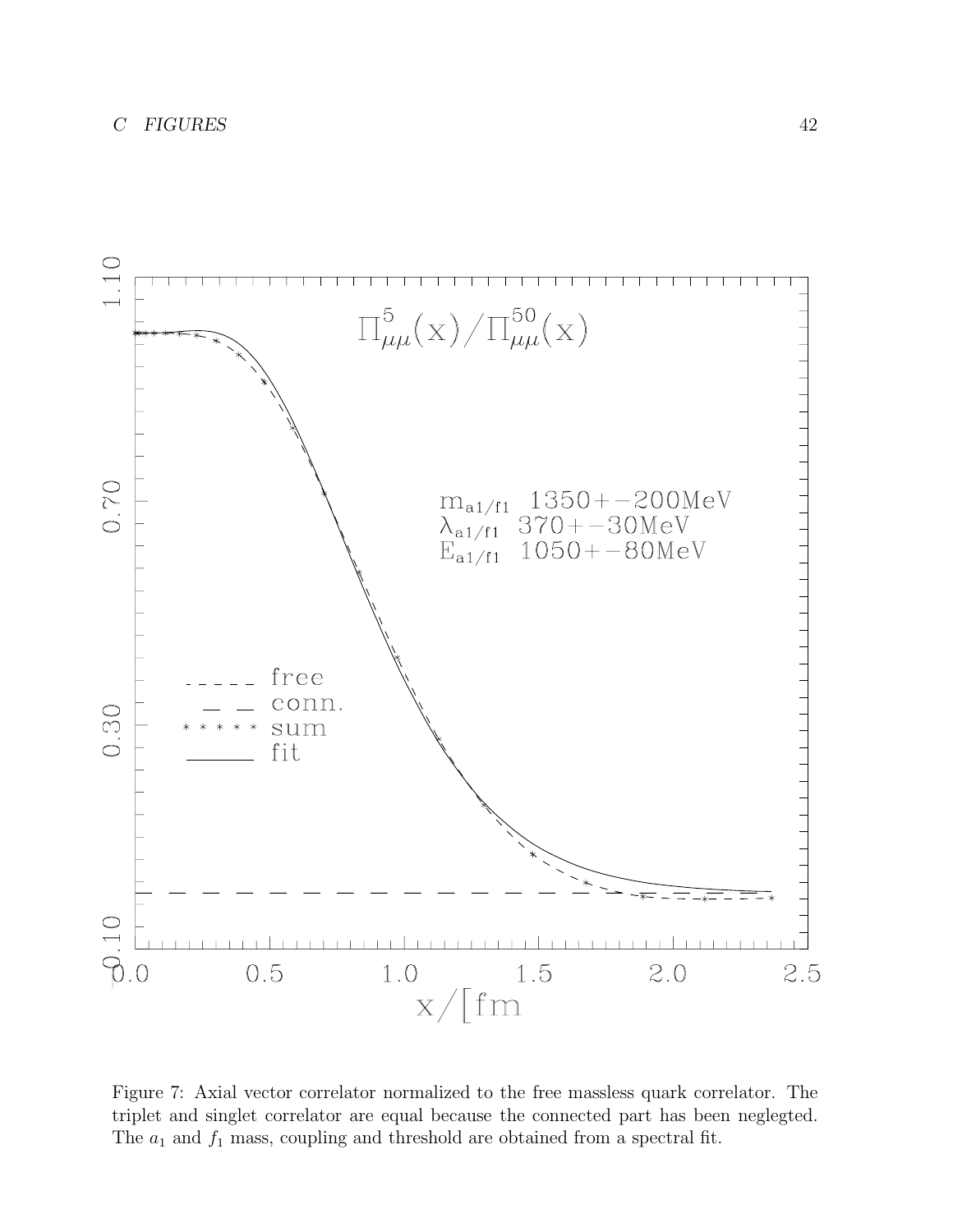

Figure 7: Axial vector correlator normalized to the free massless quark correlator. The triplet and singlet correlator are equal because the connected part has been neglegted. The  $a_1$  and  $f_1$  mass, coupling and threshold are obtained from a spectral fit.